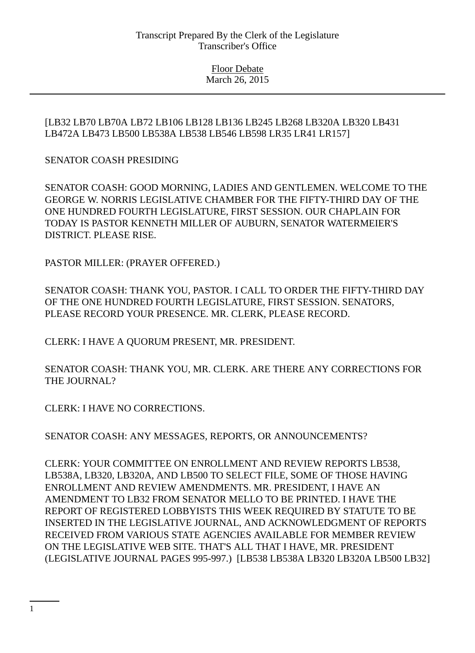## [LB32 LB70 LB70A LB72 LB106 LB128 LB136 LB245 LB268 LB320A LB320 LB431 LB472A LB473 LB500 LB538A LB538 LB546 LB598 LR35 LR41 LR157]

# SENATOR COASH PRESIDING

SENATOR COASH: GOOD MORNING, LADIES AND GENTLEMEN. WELCOME TO THE GEORGE W. NORRIS LEGISLATIVE CHAMBER FOR THE FIFTY-THIRD DAY OF THE ONE HUNDRED FOURTH LEGISLATURE, FIRST SESSION. OUR CHAPLAIN FOR TODAY IS PASTOR KENNETH MILLER OF AUBURN, SENATOR WATERMEIER'S DISTRICT. PLEASE RISE.

PASTOR MILLER: (PRAYER OFFERED.)

SENATOR COASH: THANK YOU, PASTOR. I CALL TO ORDER THE FIFTY-THIRD DAY OF THE ONE HUNDRED FOURTH LEGISLATURE, FIRST SESSION. SENATORS, PLEASE RECORD YOUR PRESENCE. MR. CLERK, PLEASE RECORD.

CLERK: I HAVE A QUORUM PRESENT, MR. PRESIDENT.

SENATOR COASH: THANK YOU, MR. CLERK. ARE THERE ANY CORRECTIONS FOR THE JOURNAL?

CLERK: I HAVE NO CORRECTIONS.

SENATOR COASH: ANY MESSAGES, REPORTS, OR ANNOUNCEMENTS?

CLERK: YOUR COMMITTEE ON ENROLLMENT AND REVIEW REPORTS LB538, LB538A, LB320, LB320A, AND LB500 TO SELECT FILE, SOME OF THOSE HAVING ENROLLMENT AND REVIEW AMENDMENTS. MR. PRESIDENT, I HAVE AN AMENDMENT TO LB32 FROM SENATOR MELLO TO BE PRINTED. I HAVE THE REPORT OF REGISTERED LOBBYISTS THIS WEEK REQUIRED BY STATUTE TO BE INSERTED IN THE LEGISLATIVE JOURNAL, AND ACKNOWLEDGMENT OF REPORTS RECEIVED FROM VARIOUS STATE AGENCIES AVAILABLE FOR MEMBER REVIEW ON THE LEGISLATIVE WEB SITE. THAT'S ALL THAT I HAVE, MR. PRESIDENT (LEGISLATIVE JOURNAL PAGES 995-997.) [LB538 LB538A LB320 LB320A LB500 LB32]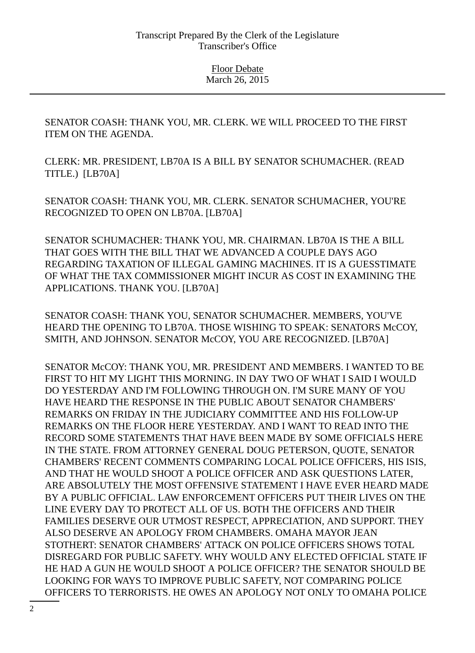SENATOR COASH: THANK YOU, MR. CLERK. WE WILL PROCEED TO THE FIRST ITEM ON THE AGENDA.

CLERK: MR. PRESIDENT, LB70A IS A BILL BY SENATOR SCHUMACHER. (READ TITLE.) [LB70A]

SENATOR COASH: THANK YOU, MR. CLERK. SENATOR SCHUMACHER, YOU'RE RECOGNIZED TO OPEN ON LB70A. [LB70A]

SENATOR SCHUMACHER: THANK YOU, MR. CHAIRMAN. LB70A IS THE A BILL THAT GOES WITH THE BILL THAT WE ADVANCED A COUPLE DAYS AGO REGARDING TAXATION OF ILLEGAL GAMING MACHINES. IT IS A GUESSTIMATE OF WHAT THE TAX COMMISSIONER MIGHT INCUR AS COST IN EXAMINING THE APPLICATIONS. THANK YOU. [LB70A]

SENATOR COASH: THANK YOU, SENATOR SCHUMACHER. MEMBERS, YOU'VE HEARD THE OPENING TO LB70A. THOSE WISHING TO SPEAK: SENATORS McCOY, SMITH, AND JOHNSON. SENATOR McCOY, YOU ARE RECOGNIZED. [LB70A]

SENATOR McCOY: THANK YOU, MR. PRESIDENT AND MEMBERS. I WANTED TO BE FIRST TO HIT MY LIGHT THIS MORNING. IN DAY TWO OF WHAT I SAID I WOULD DO YESTERDAY AND I'M FOLLOWING THROUGH ON. I'M SURE MANY OF YOU HAVE HEARD THE RESPONSE IN THE PUBLIC ABOUT SENATOR CHAMBERS' REMARKS ON FRIDAY IN THE JUDICIARY COMMITTEE AND HIS FOLLOW-UP REMARKS ON THE FLOOR HERE YESTERDAY. AND I WANT TO READ INTO THE RECORD SOME STATEMENTS THAT HAVE BEEN MADE BY SOME OFFICIALS HERE IN THE STATE. FROM ATTORNEY GENERAL DOUG PETERSON, QUOTE, SENATOR CHAMBERS' RECENT COMMENTS COMPARING LOCAL POLICE OFFICERS, HIS ISIS, AND THAT HE WOULD SHOOT A POLICE OFFICER AND ASK QUESTIONS LATER, ARE ABSOLUTELY THE MOST OFFENSIVE STATEMENT I HAVE EVER HEARD MADE BY A PUBLIC OFFICIAL. LAW ENFORCEMENT OFFICERS PUT THEIR LIVES ON THE LINE EVERY DAY TO PROTECT ALL OF US. BOTH THE OFFICERS AND THEIR FAMILIES DESERVE OUR UTMOST RESPECT, APPRECIATION, AND SUPPORT. THEY ALSO DESERVE AN APOLOGY FROM CHAMBERS. OMAHA MAYOR JEAN STOTHERT: SENATOR CHAMBERS' ATTACK ON POLICE OFFICERS SHOWS TOTAL DISREGARD FOR PUBLIC SAFETY. WHY WOULD ANY ELECTED OFFICIAL STATE IF HE HAD A GUN HE WOULD SHOOT A POLICE OFFICER? THE SENATOR SHOULD BE LOOKING FOR WAYS TO IMPROVE PUBLIC SAFETY, NOT COMPARING POLICE OFFICERS TO TERRORISTS. HE OWES AN APOLOGY NOT ONLY TO OMAHA POLICE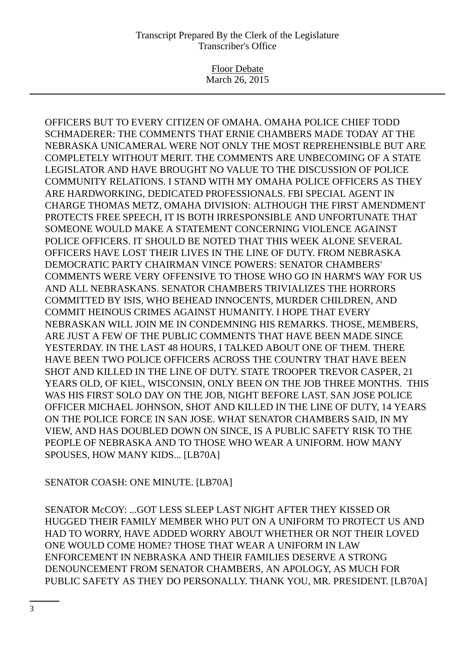Floor Debate March 26, 2015

OFFICERS BUT TO EVERY CITIZEN OF OMAHA. OMAHA POLICE CHIEF TODD SCHMADERER: THE COMMENTS THAT ERNIE CHAMBERS MADE TODAY AT THE NEBRASKA UNICAMERAL WERE NOT ONLY THE MOST REPREHENSIBLE BUT ARE COMPLETELY WITHOUT MERIT. THE COMMENTS ARE UNBECOMING OF A STATE LEGISLATOR AND HAVE BROUGHT NO VALUE TO THE DISCUSSION OF POLICE COMMUNITY RELATIONS. I STAND WITH MY OMAHA POLICE OFFICERS AS THEY ARE HARDWORKING, DEDICATED PROFESSIONALS. FBI SPECIAL AGENT IN CHARGE THOMAS METZ, OMAHA DIVISION: ALTHOUGH THE FIRST AMENDMENT PROTECTS FREE SPEECH, IT IS BOTH IRRESPONSIBLE AND UNFORTUNATE THAT SOMEONE WOULD MAKE A STATEMENT CONCERNING VIOLENCE AGAINST POLICE OFFICERS. IT SHOULD BE NOTED THAT THIS WEEK ALONE SEVERAL OFFICERS HAVE LOST THEIR LIVES IN THE LINE OF DUTY. FROM NEBRASKA DEMOCRATIC PARTY CHAIRMAN VINCE POWERS: SENATOR CHAMBERS' COMMENTS WERE VERY OFFENSIVE TO THOSE WHO GO IN HARM'S WAY FOR US AND ALL NEBRASKANS. SENATOR CHAMBERS TRIVIALIZES THE HORRORS COMMITTED BY ISIS, WHO BEHEAD INNOCENTS, MURDER CHILDREN, AND COMMIT HEINOUS CRIMES AGAINST HUMANITY. I HOPE THAT EVERY NEBRASKAN WILL JOIN ME IN CONDEMNING HIS REMARKS. THOSE, MEMBERS, ARE JUST A FEW OF THE PUBLIC COMMENTS THAT HAVE BEEN MADE SINCE YESTERDAY. IN THE LAST 48 HOURS, I TALKED ABOUT ONE OF THEM. THERE HAVE BEEN TWO POLICE OFFICERS ACROSS THE COUNTRY THAT HAVE BEEN SHOT AND KILLED IN THE LINE OF DUTY. STATE TROOPER TREVOR CASPER, 21 YEARS OLD, OF KIEL, WISCONSIN, ONLY BEEN ON THE JOB THREE MONTHS. THIS WAS HIS FIRST SOLO DAY ON THE JOB, NIGHT BEFORE LAST. SAN JOSE POLICE OFFICER MICHAEL JOHNSON, SHOT AND KILLED IN THE LINE OF DUTY, 14 YEARS ON THE POLICE FORCE IN SAN JOSE. WHAT SENATOR CHAMBERS SAID, IN MY VIEW, AND HAS DOUBLED DOWN ON SINCE, IS A PUBLIC SAFETY RISK TO THE PEOPLE OF NEBRASKA AND TO THOSE WHO WEAR A UNIFORM. HOW MANY SPOUSES, HOW MANY KIDS... [LB70A]

# SENATOR COASH: ONE MINUTE. [LB70A]

SENATOR McCOY: ...GOT LESS SLEEP LAST NIGHT AFTER THEY KISSED OR HUGGED THEIR FAMILY MEMBER WHO PUT ON A UNIFORM TO PROTECT US AND HAD TO WORRY, HAVE ADDED WORRY ABOUT WHETHER OR NOT THEIR LOVED ONE WOULD COME HOME? THOSE THAT WEAR A UNIFORM IN LAW ENFORCEMENT IN NEBRASKA AND THEIR FAMILIES DESERVE A STRONG DENOUNCEMENT FROM SENATOR CHAMBERS, AN APOLOGY, AS MUCH FOR PUBLIC SAFETY AS THEY DO PERSONALLY. THANK YOU, MR. PRESIDENT. [LB70A]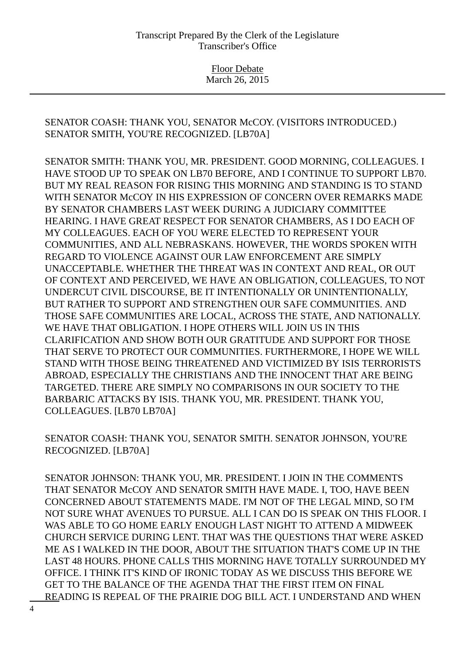SENATOR COASH: THANK YOU, SENATOR McCOY. (VISITORS INTRODUCED.) SENATOR SMITH, YOU'RE RECOGNIZED. [LB70A]

SENATOR SMITH: THANK YOU, MR. PRESIDENT. GOOD MORNING, COLLEAGUES. I HAVE STOOD UP TO SPEAK ON LB70 BEFORE, AND I CONTINUE TO SUPPORT LB70. BUT MY REAL REASON FOR RISING THIS MORNING AND STANDING IS TO STAND WITH SENATOR McCOY IN HIS EXPRESSION OF CONCERN OVER REMARKS MADE BY SENATOR CHAMBERS LAST WEEK DURING A JUDICIARY COMMITTEE HEARING. I HAVE GREAT RESPECT FOR SENATOR CHAMBERS, AS I DO EACH OF MY COLLEAGUES. EACH OF YOU WERE ELECTED TO REPRESENT YOUR COMMUNITIES, AND ALL NEBRASKANS. HOWEVER, THE WORDS SPOKEN WITH REGARD TO VIOLENCE AGAINST OUR LAW ENFORCEMENT ARE SIMPLY UNACCEPTABLE. WHETHER THE THREAT WAS IN CONTEXT AND REAL, OR OUT OF CONTEXT AND PERCEIVED, WE HAVE AN OBLIGATION, COLLEAGUES, TO NOT UNDERCUT CIVIL DISCOURSE, BE IT INTENTIONALLY OR UNINTENTIONALLY, BUT RATHER TO SUPPORT AND STRENGTHEN OUR SAFE COMMUNITIES. AND THOSE SAFE COMMUNITIES ARE LOCAL, ACROSS THE STATE, AND NATIONALLY. WE HAVE THAT OBLIGATION. I HOPE OTHERS WILL JOIN US IN THIS CLARIFICATION AND SHOW BOTH OUR GRATITUDE AND SUPPORT FOR THOSE THAT SERVE TO PROTECT OUR COMMUNITIES. FURTHERMORE, I HOPE WE WILL STAND WITH THOSE BEING THREATENED AND VICTIMIZED BY ISIS TERRORISTS ABROAD, ESPECIALLY THE CHRISTIANS AND THE INNOCENT THAT ARE BEING TARGETED. THERE ARE SIMPLY NO COMPARISONS IN OUR SOCIETY TO THE BARBARIC ATTACKS BY ISIS. THANK YOU, MR. PRESIDENT. THANK YOU, COLLEAGUES. [LB70 LB70A]

SENATOR COASH: THANK YOU, SENATOR SMITH. SENATOR JOHNSON, YOU'RE RECOGNIZED. [LB70A]

SENATOR JOHNSON: THANK YOU, MR. PRESIDENT. I JOIN IN THE COMMENTS THAT SENATOR McCOY AND SENATOR SMITH HAVE MADE. I, TOO, HAVE BEEN CONCERNED ABOUT STATEMENTS MADE. I'M NOT OF THE LEGAL MIND, SO I'M NOT SURE WHAT AVENUES TO PURSUE. ALL I CAN DO IS SPEAK ON THIS FLOOR. I WAS ABLE TO GO HOME EARLY ENOUGH LAST NIGHT TO ATTEND A MIDWEEK CHURCH SERVICE DURING LENT. THAT WAS THE QUESTIONS THAT WERE ASKED ME AS I WALKED IN THE DOOR, ABOUT THE SITUATION THAT'S COME UP IN THE LAST 48 HOURS. PHONE CALLS THIS MORNING HAVE TOTALLY SURROUNDED MY OFFICE. I THINK IT'S KIND OF IRONIC TODAY AS WE DISCUSS THIS BEFORE WE GET TO THE BALANCE OF THE AGENDA THAT THE FIRST ITEM ON FINAL READING IS REPEAL OF THE PRAIRIE DOG BILL ACT. I UNDERSTAND AND WHEN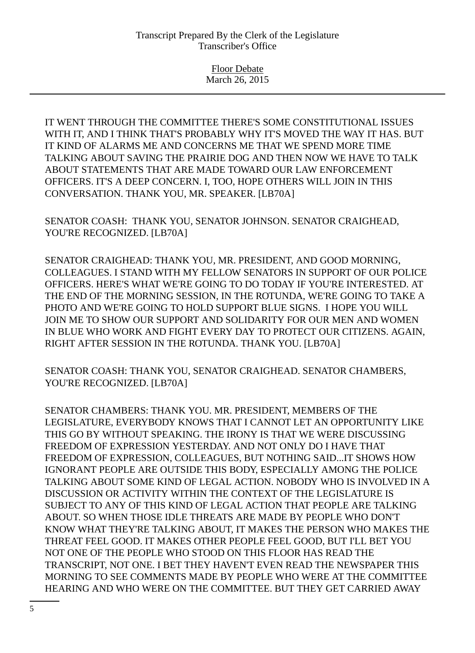IT WENT THROUGH THE COMMITTEE THERE'S SOME CONSTITUTIONAL ISSUES WITH IT, AND I THINK THAT'S PROBABLY WHY IT'S MOVED THE WAY IT HAS. BUT IT KIND OF ALARMS ME AND CONCERNS ME THAT WE SPEND MORE TIME TALKING ABOUT SAVING THE PRAIRIE DOG AND THEN NOW WE HAVE TO TALK ABOUT STATEMENTS THAT ARE MADE TOWARD OUR LAW ENFORCEMENT OFFICERS. IT'S A DEEP CONCERN. I, TOO, HOPE OTHERS WILL JOIN IN THIS CONVERSATION. THANK YOU, MR. SPEAKER. [LB70A]

SENATOR COASH: THANK YOU, SENATOR JOHNSON. SENATOR CRAIGHEAD, YOU'RE RECOGNIZED. [LB70A]

SENATOR CRAIGHEAD: THANK YOU, MR. PRESIDENT, AND GOOD MORNING, COLLEAGUES. I STAND WITH MY FELLOW SENATORS IN SUPPORT OF OUR POLICE OFFICERS. HERE'S WHAT WE'RE GOING TO DO TODAY IF YOU'RE INTERESTED. AT THE END OF THE MORNING SESSION, IN THE ROTUNDA, WE'RE GOING TO TAKE A PHOTO AND WE'RE GOING TO HOLD SUPPORT BLUE SIGNS. I HOPE YOU WILL JOIN ME TO SHOW OUR SUPPORT AND SOLIDARITY FOR OUR MEN AND WOMEN IN BLUE WHO WORK AND FIGHT EVERY DAY TO PROTECT OUR CITIZENS. AGAIN, RIGHT AFTER SESSION IN THE ROTUNDA. THANK YOU. [LB70A]

SENATOR COASH: THANK YOU, SENATOR CRAIGHEAD. SENATOR CHAMBERS, YOU'RE RECOGNIZED. [LB70A]

SENATOR CHAMBERS: THANK YOU. MR. PRESIDENT, MEMBERS OF THE LEGISLATURE, EVERYBODY KNOWS THAT I CANNOT LET AN OPPORTUNITY LIKE THIS GO BY WITHOUT SPEAKING. THE IRONY IS THAT WE WERE DISCUSSING FREEDOM OF EXPRESSION YESTERDAY. AND NOT ONLY DO I HAVE THAT FREEDOM OF EXPRESSION, COLLEAGUES, BUT NOTHING SAID...IT SHOWS HOW IGNORANT PEOPLE ARE OUTSIDE THIS BODY, ESPECIALLY AMONG THE POLICE TALKING ABOUT SOME KIND OF LEGAL ACTION. NOBODY WHO IS INVOLVED IN A DISCUSSION OR ACTIVITY WITHIN THE CONTEXT OF THE LEGISLATURE IS SUBJECT TO ANY OF THIS KIND OF LEGAL ACTION THAT PEOPLE ARE TALKING ABOUT. SO WHEN THOSE IDLE THREATS ARE MADE BY PEOPLE WHO DON'T KNOW WHAT THEY'RE TALKING ABOUT, IT MAKES THE PERSON WHO MAKES THE THREAT FEEL GOOD. IT MAKES OTHER PEOPLE FEEL GOOD, BUT I'LL BET YOU NOT ONE OF THE PEOPLE WHO STOOD ON THIS FLOOR HAS READ THE TRANSCRIPT, NOT ONE. I BET THEY HAVEN'T EVEN READ THE NEWSPAPER THIS MORNING TO SEE COMMENTS MADE BY PEOPLE WHO WERE AT THE COMMITTEE HEARING AND WHO WERE ON THE COMMITTEE. BUT THEY GET CARRIED AWAY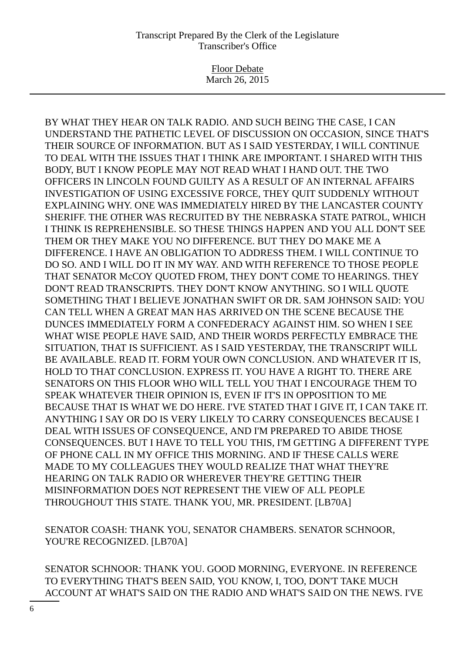Floor Debate March 26, 2015

BY WHAT THEY HEAR ON TALK RADIO. AND SUCH BEING THE CASE, I CAN UNDERSTAND THE PATHETIC LEVEL OF DISCUSSION ON OCCASION, SINCE THAT'S THEIR SOURCE OF INFORMATION. BUT AS I SAID YESTERDAY, I WILL CONTINUE TO DEAL WITH THE ISSUES THAT I THINK ARE IMPORTANT. I SHARED WITH THIS BODY, BUT I KNOW PEOPLE MAY NOT READ WHAT I HAND OUT. THE TWO OFFICERS IN LINCOLN FOUND GUILTY AS A RESULT OF AN INTERNAL AFFAIRS INVESTIGATION OF USING EXCESSIVE FORCE, THEY QUIT SUDDENLY WITHOUT EXPLAINING WHY. ONE WAS IMMEDIATELY HIRED BY THE LANCASTER COUNTY SHERIFF. THE OTHER WAS RECRUITED BY THE NEBRASKA STATE PATROL, WHICH I THINK IS REPREHENSIBLE. SO THESE THINGS HAPPEN AND YOU ALL DON'T SEE THEM OR THEY MAKE YOU NO DIFFERENCE. BUT THEY DO MAKE ME A DIFFERENCE. I HAVE AN OBLIGATION TO ADDRESS THEM. I WILL CONTINUE TO DO SO. AND I WILL DO IT IN MY WAY. AND WITH REFERENCE TO THOSE PEOPLE THAT SENATOR McCOY QUOTED FROM, THEY DON'T COME TO HEARINGS. THEY DON'T READ TRANSCRIPTS. THEY DON'T KNOW ANYTHING. SO I WILL QUOTE SOMETHING THAT I BELIEVE JONATHAN SWIFT OR DR. SAM JOHNSON SAID: YOU CAN TELL WHEN A GREAT MAN HAS ARRIVED ON THE SCENE BECAUSE THE DUNCES IMMEDIATELY FORM A CONFEDERACY AGAINST HIM. SO WHEN I SEE WHAT WISE PEOPLE HAVE SAID, AND THEIR WORDS PERFECTLY EMBRACE THE SITUATION, THAT IS SUFFICIENT. AS I SAID YESTERDAY, THE TRANSCRIPT WILL BE AVAILABLE. READ IT. FORM YOUR OWN CONCLUSION. AND WHATEVER IT IS, HOLD TO THAT CONCLUSION. EXPRESS IT. YOU HAVE A RIGHT TO. THERE ARE SENATORS ON THIS FLOOR WHO WILL TELL YOU THAT I ENCOURAGE THEM TO SPEAK WHATEVER THEIR OPINION IS, EVEN IF IT'S IN OPPOSITION TO ME BECAUSE THAT IS WHAT WE DO HERE. I'VE STATED THAT I GIVE IT, I CAN TAKE IT. ANYTHING I SAY OR DO IS VERY LIKELY TO CARRY CONSEQUENCES BECAUSE I DEAL WITH ISSUES OF CONSEQUENCE, AND I'M PREPARED TO ABIDE THOSE CONSEQUENCES. BUT I HAVE TO TELL YOU THIS, I'M GETTING A DIFFERENT TYPE OF PHONE CALL IN MY OFFICE THIS MORNING. AND IF THESE CALLS WERE MADE TO MY COLLEAGUES THEY WOULD REALIZE THAT WHAT THEY'RE HEARING ON TALK RADIO OR WHEREVER THEY'RE GETTING THEIR MISINFORMATION DOES NOT REPRESENT THE VIEW OF ALL PEOPLE THROUGHOUT THIS STATE. THANK YOU, MR. PRESIDENT. [LB70A]

SENATOR COASH: THANK YOU, SENATOR CHAMBERS. SENATOR SCHNOOR, YOU'RE RECOGNIZED. [LB70A]

SENATOR SCHNOOR: THANK YOU. GOOD MORNING, EVERYONE. IN REFERENCE TO EVERYTHING THAT'S BEEN SAID, YOU KNOW, I, TOO, DON'T TAKE MUCH ACCOUNT AT WHAT'S SAID ON THE RADIO AND WHAT'S SAID ON THE NEWS. I'VE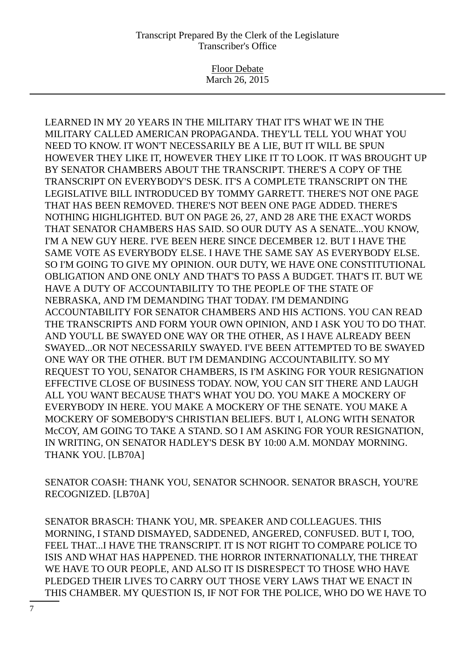Floor Debate March 26, 2015

LEARNED IN MY 20 YEARS IN THE MILITARY THAT IT'S WHAT WE IN THE MILITARY CALLED AMERICAN PROPAGANDA. THEY'LL TELL YOU WHAT YOU NEED TO KNOW. IT WON'T NECESSARILY BE A LIE, BUT IT WILL BE SPUN HOWEVER THEY LIKE IT, HOWEVER THEY LIKE IT TO LOOK. IT WAS BROUGHT UP BY SENATOR CHAMBERS ABOUT THE TRANSCRIPT. THERE'S A COPY OF THE TRANSCRIPT ON EVERYBODY'S DESK. IT'S A COMPLETE TRANSCRIPT ON THE LEGISLATIVE BILL INTRODUCED BY TOMMY GARRETT. THERE'S NOT ONE PAGE THAT HAS BEEN REMOVED. THERE'S NOT BEEN ONE PAGE ADDED. THERE'S NOTHING HIGHLIGHTED. BUT ON PAGE 26, 27, AND 28 ARE THE EXACT WORDS THAT SENATOR CHAMBERS HAS SAID. SO OUR DUTY AS A SENATE...YOU KNOW, I'M A NEW GUY HERE. I'VE BEEN HERE SINCE DECEMBER 12. BUT I HAVE THE SAME VOTE AS EVERYBODY ELSE. I HAVE THE SAME SAY AS EVERYBODY ELSE. SO I'M GOING TO GIVE MY OPINION. OUR DUTY, WE HAVE ONE CONSTITUTIONAL OBLIGATION AND ONE ONLY AND THAT'S TO PASS A BUDGET. THAT'S IT. BUT WE HAVE A DUTY OF ACCOUNTABILITY TO THE PEOPLE OF THE STATE OF NEBRASKA, AND I'M DEMANDING THAT TODAY. I'M DEMANDING ACCOUNTABILITY FOR SENATOR CHAMBERS AND HIS ACTIONS. YOU CAN READ THE TRANSCRIPTS AND FORM YOUR OWN OPINION, AND I ASK YOU TO DO THAT. AND YOU'LL BE SWAYED ONE WAY OR THE OTHER, AS I HAVE ALREADY BEEN SWAYED...OR NOT NECESSARILY SWAYED. I'VE BEEN ATTEMPTED TO BE SWAYED ONE WAY OR THE OTHER. BUT I'M DEMANDING ACCOUNTABILITY. SO MY REQUEST TO YOU, SENATOR CHAMBERS, IS I'M ASKING FOR YOUR RESIGNATION EFFECTIVE CLOSE OF BUSINESS TODAY. NOW, YOU CAN SIT THERE AND LAUGH ALL YOU WANT BECAUSE THAT'S WHAT YOU DO. YOU MAKE A MOCKERY OF EVERYBODY IN HERE. YOU MAKE A MOCKERY OF THE SENATE. YOU MAKE A MOCKERY OF SOMEBODY'S CHRISTIAN BELIEFS. BUT I, ALONG WITH SENATOR McCOY, AM GOING TO TAKE A STAND. SO I AM ASKING FOR YOUR RESIGNATION, IN WRITING, ON SENATOR HADLEY'S DESK BY 10:00 A.M. MONDAY MORNING. THANK YOU. [LB70A]

SENATOR COASH: THANK YOU, SENATOR SCHNOOR. SENATOR BRASCH, YOU'RE RECOGNIZED. [LB70A]

SENATOR BRASCH: THANK YOU, MR. SPEAKER AND COLLEAGUES. THIS MORNING, I STAND DISMAYED, SADDENED, ANGERED, CONFUSED. BUT I, TOO, FEEL THAT...I HAVE THE TRANSCRIPT. IT IS NOT RIGHT TO COMPARE POLICE TO ISIS AND WHAT HAS HAPPENED. THE HORROR INTERNATIONALLY, THE THREAT WE HAVE TO OUR PEOPLE, AND ALSO IT IS DISRESPECT TO THOSE WHO HAVE PLEDGED THEIR LIVES TO CARRY OUT THOSE VERY LAWS THAT WE ENACT IN THIS CHAMBER. MY QUESTION IS, IF NOT FOR THE POLICE, WHO DO WE HAVE TO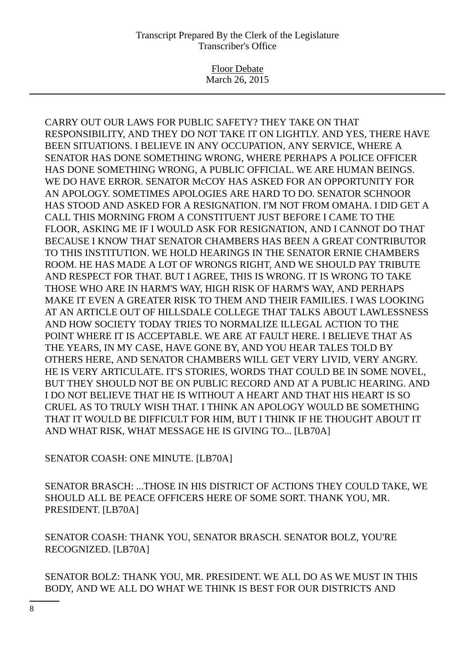Floor Debate March 26, 2015

CARRY OUT OUR LAWS FOR PUBLIC SAFETY? THEY TAKE ON THAT RESPONSIBILITY, AND THEY DO NOT TAKE IT ON LIGHTLY. AND YES, THERE HAVE BEEN SITUATIONS. I BELIEVE IN ANY OCCUPATION, ANY SERVICE, WHERE A SENATOR HAS DONE SOMETHING WRONG, WHERE PERHAPS A POLICE OFFICER HAS DONE SOMETHING WRONG, A PUBLIC OFFICIAL. WE ARE HUMAN BEINGS. WE DO HAVE ERROR. SENATOR McCOY HAS ASKED FOR AN OPPORTUNITY FOR AN APOLOGY. SOMETIMES APOLOGIES ARE HARD TO DO. SENATOR SCHNOOR HAS STOOD AND ASKED FOR A RESIGNATION. I'M NOT FROM OMAHA. I DID GET A CALL THIS MORNING FROM A CONSTITUENT JUST BEFORE I CAME TO THE FLOOR, ASKING ME IF I WOULD ASK FOR RESIGNATION, AND I CANNOT DO THAT BECAUSE I KNOW THAT SENATOR CHAMBERS HAS BEEN A GREAT CONTRIBUTOR TO THIS INSTITUTION. WE HOLD HEARINGS IN THE SENATOR ERNIE CHAMBERS ROOM. HE HAS MADE A LOT OF WRONGS RIGHT, AND WE SHOULD PAY TRIBUTE AND RESPECT FOR THAT. BUT I AGREE, THIS IS WRONG. IT IS WRONG TO TAKE THOSE WHO ARE IN HARM'S WAY, HIGH RISK OF HARM'S WAY, AND PERHAPS MAKE IT EVEN A GREATER RISK TO THEM AND THEIR FAMILIES. I WAS LOOKING AT AN ARTICLE OUT OF HILLSDALE COLLEGE THAT TALKS ABOUT LAWLESSNESS AND HOW SOCIETY TODAY TRIES TO NORMALIZE ILLEGAL ACTION TO THE POINT WHERE IT IS ACCEPTABLE. WE ARE AT FAULT HERE. I BELIEVE THAT AS THE YEARS, IN MY CASE, HAVE GONE BY, AND YOU HEAR TALES TOLD BY OTHERS HERE, AND SENATOR CHAMBERS WILL GET VERY LIVID, VERY ANGRY. HE IS VERY ARTICULATE. IT'S STORIES, WORDS THAT COULD BE IN SOME NOVEL, BUT THEY SHOULD NOT BE ON PUBLIC RECORD AND AT A PUBLIC HEARING. AND I DO NOT BELIEVE THAT HE IS WITHOUT A HEART AND THAT HIS HEART IS SO CRUEL AS TO TRULY WISH THAT. I THINK AN APOLOGY WOULD BE SOMETHING THAT IT WOULD BE DIFFICULT FOR HIM, BUT I THINK IF HE THOUGHT ABOUT IT AND WHAT RISK, WHAT MESSAGE HE IS GIVING TO... [LB70A]

SENATOR COASH: ONE MINUTE. [LB70A]

SENATOR BRASCH: ...THOSE IN HIS DISTRICT OF ACTIONS THEY COULD TAKE, WE SHOULD ALL BE PEACE OFFICERS HERE OF SOME SORT. THANK YOU, MR. PRESIDENT. [LB70A]

SENATOR COASH: THANK YOU, SENATOR BRASCH. SENATOR BOLZ, YOU'RE RECOGNIZED. [LB70A]

SENATOR BOLZ: THANK YOU, MR. PRESIDENT. WE ALL DO AS WE MUST IN THIS BODY, AND WE ALL DO WHAT WE THINK IS BEST FOR OUR DISTRICTS AND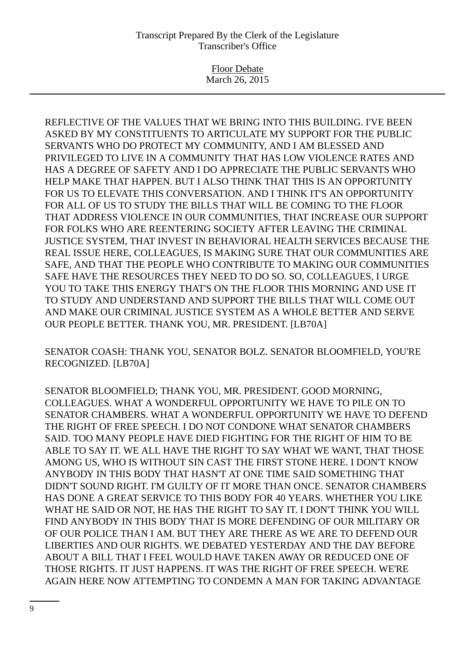Floor Debate March 26, 2015

REFLECTIVE OF THE VALUES THAT WE BRING INTO THIS BUILDING. I'VE BEEN ASKED BY MY CONSTITUENTS TO ARTICULATE MY SUPPORT FOR THE PUBLIC SERVANTS WHO DO PROTECT MY COMMUNITY, AND I AM BLESSED AND PRIVILEGED TO LIVE IN A COMMUNITY THAT HAS LOW VIOLENCE RATES AND HAS A DEGREE OF SAFETY AND I DO APPRECIATE THE PUBLIC SERVANTS WHO HELP MAKE THAT HAPPEN. BUT I ALSO THINK THAT THIS IS AN OPPORTUNITY FOR US TO ELEVATE THIS CONVERSATION. AND I THINK IT'S AN OPPORTUNITY FOR ALL OF US TO STUDY THE BILLS THAT WILL BE COMING TO THE FLOOR THAT ADDRESS VIOLENCE IN OUR COMMUNITIES, THAT INCREASE OUR SUPPORT FOR FOLKS WHO ARE REENTERING SOCIETY AFTER LEAVING THE CRIMINAL JUSTICE SYSTEM, THAT INVEST IN BEHAVIORAL HEALTH SERVICES BECAUSE THE REAL ISSUE HERE, COLLEAGUES, IS MAKING SURE THAT OUR COMMUNITIES ARE SAFE, AND THAT THE PEOPLE WHO CONTRIBUTE TO MAKING OUR COMMUNITIES SAFE HAVE THE RESOURCES THEY NEED TO DO SO. SO, COLLEAGUES, I URGE YOU TO TAKE THIS ENERGY THAT'S ON THE FLOOR THIS MORNING AND USE IT TO STUDY AND UNDERSTAND AND SUPPORT THE BILLS THAT WILL COME OUT AND MAKE OUR CRIMINAL JUSTICE SYSTEM AS A WHOLE BETTER AND SERVE OUR PEOPLE BETTER. THANK YOU, MR. PRESIDENT. [LB70A]

SENATOR COASH: THANK YOU, SENATOR BOLZ. SENATOR BLOOMFIELD, YOU'RE RECOGNIZED. [LB70A]

SENATOR BLOOMFIELD; THANK YOU, MR. PRESIDENT. GOOD MORNING, COLLEAGUES. WHAT A WONDERFUL OPPORTUNITY WE HAVE TO PILE ON TO SENATOR CHAMBERS. WHAT A WONDERFUL OPPORTUNITY WE HAVE TO DEFEND THE RIGHT OF FREE SPEECH. I DO NOT CONDONE WHAT SENATOR CHAMBERS SAID. TOO MANY PEOPLE HAVE DIED FIGHTING FOR THE RIGHT OF HIM TO BE ABLE TO SAY IT. WE ALL HAVE THE RIGHT TO SAY WHAT WE WANT, THAT THOSE AMONG US, WHO IS WITHOUT SIN CAST THE FIRST STONE HERE. I DON'T KNOW ANYBODY IN THIS BODY THAT HASN'T AT ONE TIME SAID SOMETHING THAT DIDN'T SOUND RIGHT. I'M GUILTY OF IT MORE THAN ONCE. SENATOR CHAMBERS HAS DONE A GREAT SERVICE TO THIS BODY FOR 40 YEARS. WHETHER YOU LIKE WHAT HE SAID OR NOT, HE HAS THE RIGHT TO SAY IT. I DON'T THINK YOU WILL FIND ANYBODY IN THIS BODY THAT IS MORE DEFENDING OF OUR MILITARY OR OF OUR POLICE THAN I AM. BUT THEY ARE THERE AS WE ARE TO DEFEND OUR LIBERTIES AND OUR RIGHTS. WE DEBATED YESTERDAY AND THE DAY BEFORE ABOUT A BILL THAT I FEEL WOULD HAVE TAKEN AWAY OR REDUCED ONE OF THOSE RIGHTS. IT JUST HAPPENS. IT WAS THE RIGHT OF FREE SPEECH. WE'RE AGAIN HERE NOW ATTEMPTING TO CONDEMN A MAN FOR TAKING ADVANTAGE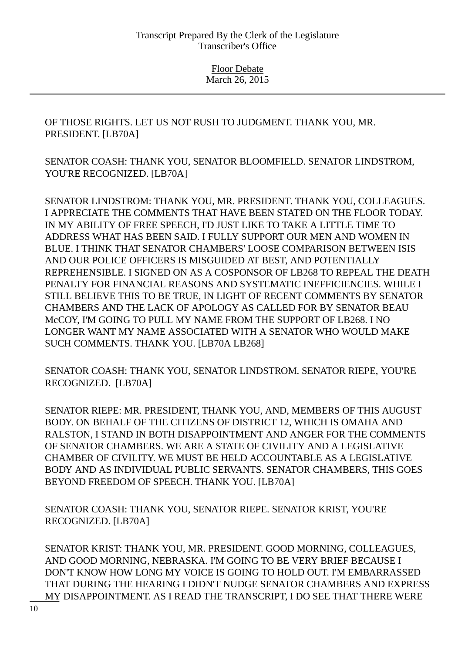OF THOSE RIGHTS. LET US NOT RUSH TO JUDGMENT. THANK YOU, MR. PRESIDENT. [LB70A]

SENATOR COASH: THANK YOU, SENATOR BLOOMFIELD. SENATOR LINDSTROM, YOU'RE RECOGNIZED. [LB70A]

SENATOR LINDSTROM: THANK YOU, MR. PRESIDENT. THANK YOU, COLLEAGUES. I APPRECIATE THE COMMENTS THAT HAVE BEEN STATED ON THE FLOOR TODAY. IN MY ABILITY OF FREE SPEECH, I'D JUST LIKE TO TAKE A LITTLE TIME TO ADDRESS WHAT HAS BEEN SAID. I FULLY SUPPORT OUR MEN AND WOMEN IN BLUE. I THINK THAT SENATOR CHAMBERS' LOOSE COMPARISON BETWEEN ISIS AND OUR POLICE OFFICERS IS MISGUIDED AT BEST, AND POTENTIALLY REPREHENSIBLE. I SIGNED ON AS A COSPONSOR OF LB268 TO REPEAL THE DEATH PENALTY FOR FINANCIAL REASONS AND SYSTEMATIC INEFFICIENCIES. WHILE I STILL BELIEVE THIS TO BE TRUE, IN LIGHT OF RECENT COMMENTS BY SENATOR CHAMBERS AND THE LACK OF APOLOGY AS CALLED FOR BY SENATOR BEAU McCOY, I'M GOING TO PULL MY NAME FROM THE SUPPORT OF LB268. I NO LONGER WANT MY NAME ASSOCIATED WITH A SENATOR WHO WOULD MAKE SUCH COMMENTS. THANK YOU. [LB70A LB268]

SENATOR COASH: THANK YOU, SENATOR LINDSTROM. SENATOR RIEPE, YOU'RE RECOGNIZED. [LB70A]

SENATOR RIEPE: MR. PRESIDENT, THANK YOU, AND, MEMBERS OF THIS AUGUST BODY. ON BEHALF OF THE CITIZENS OF DISTRICT 12, WHICH IS OMAHA AND RALSTON, I STAND IN BOTH DISAPPOINTMENT AND ANGER FOR THE COMMENTS OF SENATOR CHAMBERS. WE ARE A STATE OF CIVILITY AND A LEGISLATIVE CHAMBER OF CIVILITY. WE MUST BE HELD ACCOUNTABLE AS A LEGISLATIVE BODY AND AS INDIVIDUAL PUBLIC SERVANTS. SENATOR CHAMBERS, THIS GOES BEYOND FREEDOM OF SPEECH. THANK YOU. [LB70A]

SENATOR COASH: THANK YOU, SENATOR RIEPE. SENATOR KRIST, YOU'RE RECOGNIZED. [LB70A]

SENATOR KRIST: THANK YOU, MR. PRESIDENT. GOOD MORNING, COLLEAGUES, AND GOOD MORNING, NEBRASKA. I'M GOING TO BE VERY BRIEF BECAUSE I DON'T KNOW HOW LONG MY VOICE IS GOING TO HOLD OUT. I'M EMBARRASSED THAT DURING THE HEARING I DIDN'T NUDGE SENATOR CHAMBERS AND EXPRESS MY DISAPPOINTMENT. AS I READ THE TRANSCRIPT, I DO SEE THAT THERE WERE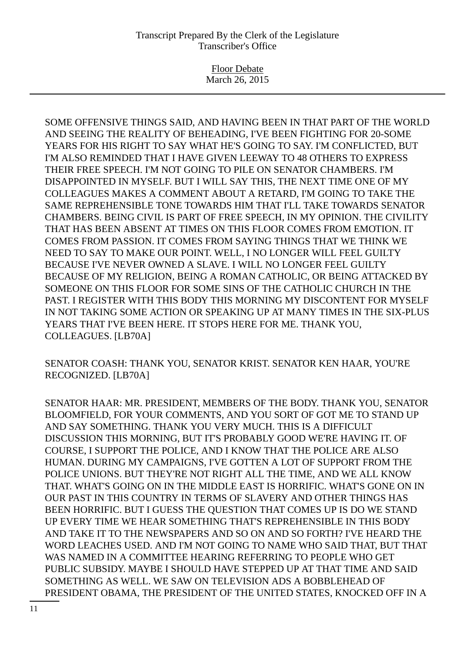Floor Debate March 26, 2015

SOME OFFENSIVE THINGS SAID, AND HAVING BEEN IN THAT PART OF THE WORLD AND SEEING THE REALITY OF BEHEADING, I'VE BEEN FIGHTING FOR 20-SOME YEARS FOR HIS RIGHT TO SAY WHAT HE'S GOING TO SAY. I'M CONFLICTED, BUT I'M ALSO REMINDED THAT I HAVE GIVEN LEEWAY TO 48 OTHERS TO EXPRESS THEIR FREE SPEECH. I'M NOT GOING TO PILE ON SENATOR CHAMBERS. I'M DISAPPOINTED IN MYSELF. BUT I WILL SAY THIS, THE NEXT TIME ONE OF MY COLLEAGUES MAKES A COMMENT ABOUT A RETARD, I'M GOING TO TAKE THE SAME REPREHENSIBLE TONE TOWARDS HIM THAT I'LL TAKE TOWARDS SENATOR CHAMBERS. BEING CIVIL IS PART OF FREE SPEECH, IN MY OPINION. THE CIVILITY THAT HAS BEEN ABSENT AT TIMES ON THIS FLOOR COMES FROM EMOTION. IT COMES FROM PASSION. IT COMES FROM SAYING THINGS THAT WE THINK WE NEED TO SAY TO MAKE OUR POINT. WELL, I NO LONGER WILL FEEL GUILTY BECAUSE I'VE NEVER OWNED A SLAVE. I WILL NO LONGER FEEL GUILTY BECAUSE OF MY RELIGION, BEING A ROMAN CATHOLIC, OR BEING ATTACKED BY SOMEONE ON THIS FLOOR FOR SOME SINS OF THE CATHOLIC CHURCH IN THE PAST. I REGISTER WITH THIS BODY THIS MORNING MY DISCONTENT FOR MYSELF IN NOT TAKING SOME ACTION OR SPEAKING UP AT MANY TIMES IN THE SIX-PLUS YEARS THAT I'VE BEEN HERE. IT STOPS HERE FOR ME. THANK YOU, COLLEAGUES. [LB70A]

SENATOR COASH: THANK YOU, SENATOR KRIST. SENATOR KEN HAAR, YOU'RE RECOGNIZED. [LB70A]

SENATOR HAAR: MR. PRESIDENT, MEMBERS OF THE BODY. THANK YOU, SENATOR BLOOMFIELD, FOR YOUR COMMENTS, AND YOU SORT OF GOT ME TO STAND UP AND SAY SOMETHING. THANK YOU VERY MUCH. THIS IS A DIFFICULT DISCUSSION THIS MORNING, BUT IT'S PROBABLY GOOD WE'RE HAVING IT. OF COURSE, I SUPPORT THE POLICE, AND I KNOW THAT THE POLICE ARE ALSO HUMAN. DURING MY CAMPAIGNS, I'VE GOTTEN A LOT OF SUPPORT FROM THE POLICE UNIONS. BUT THEY'RE NOT RIGHT ALL THE TIME, AND WE ALL KNOW THAT. WHAT'S GOING ON IN THE MIDDLE EAST IS HORRIFIC. WHAT'S GONE ON IN OUR PAST IN THIS COUNTRY IN TERMS OF SLAVERY AND OTHER THINGS HAS BEEN HORRIFIC. BUT I GUESS THE QUESTION THAT COMES UP IS DO WE STAND UP EVERY TIME WE HEAR SOMETHING THAT'S REPREHENSIBLE IN THIS BODY AND TAKE IT TO THE NEWSPAPERS AND SO ON AND SO FORTH? I'VE HEARD THE WORD LEACHES USED. AND I'M NOT GOING TO NAME WHO SAID THAT, BUT THAT WAS NAMED IN A COMMITTEE HEARING REFERRING TO PEOPLE WHO GET PUBLIC SUBSIDY. MAYBE I SHOULD HAVE STEPPED UP AT THAT TIME AND SAID SOMETHING AS WELL. WE SAW ON TELEVISION ADS A BOBBLEHEAD OF PRESIDENT OBAMA, THE PRESIDENT OF THE UNITED STATES, KNOCKED OFF IN A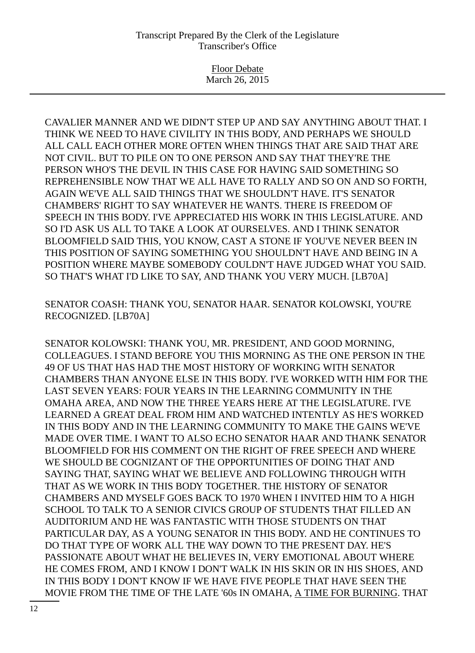Floor Debate March 26, 2015

CAVALIER MANNER AND WE DIDN'T STEP UP AND SAY ANYTHING ABOUT THAT. I THINK WE NEED TO HAVE CIVILITY IN THIS BODY, AND PERHAPS WE SHOULD ALL CALL EACH OTHER MORE OFTEN WHEN THINGS THAT ARE SAID THAT ARE NOT CIVIL. BUT TO PILE ON TO ONE PERSON AND SAY THAT THEY'RE THE PERSON WHO'S THE DEVIL IN THIS CASE FOR HAVING SAID SOMETHING SO REPREHENSIBLE NOW THAT WE ALL HAVE TO RALLY AND SO ON AND SO FORTH, AGAIN WE'VE ALL SAID THINGS THAT WE SHOULDN'T HAVE. IT'S SENATOR CHAMBERS' RIGHT TO SAY WHATEVER HE WANTS. THERE IS FREEDOM OF SPEECH IN THIS BODY. I'VE APPRECIATED HIS WORK IN THIS LEGISLATURE. AND SO I'D ASK US ALL TO TAKE A LOOK AT OURSELVES. AND I THINK SENATOR BLOOMFIELD SAID THIS, YOU KNOW, CAST A STONE IF YOU'VE NEVER BEEN IN THIS POSITION OF SAYING SOMETHING YOU SHOULDN'T HAVE AND BEING IN A POSITION WHERE MAYBE SOMEBODY COULDN'T HAVE JUDGED WHAT YOU SAID. SO THAT'S WHAT I'D LIKE TO SAY, AND THANK YOU VERY MUCH. [LB70A]

SENATOR COASH: THANK YOU, SENATOR HAAR. SENATOR KOLOWSKI, YOU'RE RECOGNIZED. [LB70A]

SENATOR KOLOWSKI: THANK YOU, MR. PRESIDENT, AND GOOD MORNING, COLLEAGUES. I STAND BEFORE YOU THIS MORNING AS THE ONE PERSON IN THE 49 OF US THAT HAS HAD THE MOST HISTORY OF WORKING WITH SENATOR CHAMBERS THAN ANYONE ELSE IN THIS BODY. I'VE WORKED WITH HIM FOR THE LAST SEVEN YEARS: FOUR YEARS IN THE LEARNING COMMUNITY IN THE OMAHA AREA, AND NOW THE THREE YEARS HERE AT THE LEGISLATURE. I'VE LEARNED A GREAT DEAL FROM HIM AND WATCHED INTENTLY AS HE'S WORKED IN THIS BODY AND IN THE LEARNING COMMUNITY TO MAKE THE GAINS WE'VE MADE OVER TIME. I WANT TO ALSO ECHO SENATOR HAAR AND THANK SENATOR BLOOMFIELD FOR HIS COMMENT ON THE RIGHT OF FREE SPEECH AND WHERE WE SHOULD BE COGNIZANT OF THE OPPORTUNITIES OF DOING THAT AND SAYING THAT, SAYING WHAT WE BELIEVE AND FOLLOWING THROUGH WITH THAT AS WE WORK IN THIS BODY TOGETHER. THE HISTORY OF SENATOR CHAMBERS AND MYSELF GOES BACK TO 1970 WHEN I INVITED HIM TO A HIGH SCHOOL TO TALK TO A SENIOR CIVICS GROUP OF STUDENTS THAT FILLED AN AUDITORIUM AND HE WAS FANTASTIC WITH THOSE STUDENTS ON THAT PARTICULAR DAY, AS A YOUNG SENATOR IN THIS BODY. AND HE CONTINUES TO DO THAT TYPE OF WORK ALL THE WAY DOWN TO THE PRESENT DAY. HE'S PASSIONATE ABOUT WHAT HE BELIEVES IN, VERY EMOTIONAL ABOUT WHERE HE COMES FROM, AND I KNOW I DON'T WALK IN HIS SKIN OR IN HIS SHOES, AND IN THIS BODY I DON'T KNOW IF WE HAVE FIVE PEOPLE THAT HAVE SEEN THE MOVIE FROM THE TIME OF THE LATE '60s IN OMAHA, A TIME FOR BURNING. THAT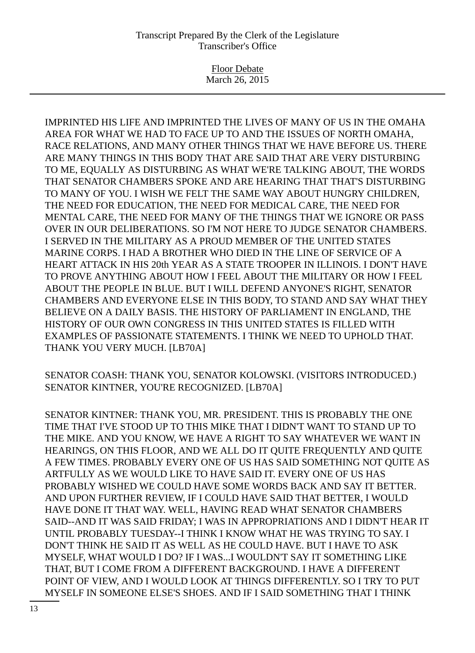Floor Debate March 26, 2015

IMPRINTED HIS LIFE AND IMPRINTED THE LIVES OF MANY OF US IN THE OMAHA AREA FOR WHAT WE HAD TO FACE UP TO AND THE ISSUES OF NORTH OMAHA, RACE RELATIONS, AND MANY OTHER THINGS THAT WE HAVE BEFORE US. THERE ARE MANY THINGS IN THIS BODY THAT ARE SAID THAT ARE VERY DISTURBING TO ME, EQUALLY AS DISTURBING AS WHAT WE'RE TALKING ABOUT, THE WORDS THAT SENATOR CHAMBERS SPOKE AND ARE HEARING THAT THAT'S DISTURBING TO MANY OF YOU. I WISH WE FELT THE SAME WAY ABOUT HUNGRY CHILDREN, THE NEED FOR EDUCATION, THE NEED FOR MEDICAL CARE, THE NEED FOR MENTAL CARE, THE NEED FOR MANY OF THE THINGS THAT WE IGNORE OR PASS OVER IN OUR DELIBERATIONS. SO I'M NOT HERE TO JUDGE SENATOR CHAMBERS. I SERVED IN THE MILITARY AS A PROUD MEMBER OF THE UNITED STATES MARINE CORPS. I HAD A BROTHER WHO DIED IN THE LINE OF SERVICE OF A HEART ATTACK IN HIS 20th YEAR AS A STATE TROOPER IN ILLINOIS. I DON'T HAVE TO PROVE ANYTHING ABOUT HOW I FEEL ABOUT THE MILITARY OR HOW I FEEL ABOUT THE PEOPLE IN BLUE. BUT I WILL DEFEND ANYONE'S RIGHT, SENATOR CHAMBERS AND EVERYONE ELSE IN THIS BODY, TO STAND AND SAY WHAT THEY BELIEVE ON A DAILY BASIS. THE HISTORY OF PARLIAMENT IN ENGLAND, THE HISTORY OF OUR OWN CONGRESS IN THIS UNITED STATES IS FILLED WITH EXAMPLES OF PASSIONATE STATEMENTS. I THINK WE NEED TO UPHOLD THAT. THANK YOU VERY MUCH. [LB70A]

SENATOR COASH: THANK YOU, SENATOR KOLOWSKI. (VISITORS INTRODUCED.) SENATOR KINTNER, YOU'RE RECOGNIZED. [LB70A]

SENATOR KINTNER: THANK YOU, MR. PRESIDENT. THIS IS PROBABLY THE ONE TIME THAT I'VE STOOD UP TO THIS MIKE THAT I DIDN'T WANT TO STAND UP TO THE MIKE. AND YOU KNOW, WE HAVE A RIGHT TO SAY WHATEVER WE WANT IN HEARINGS, ON THIS FLOOR, AND WE ALL DO IT QUITE FREQUENTLY AND QUITE A FEW TIMES. PROBABLY EVERY ONE OF US HAS SAID SOMETHING NOT QUITE AS ARTFULLY AS WE WOULD LIKE TO HAVE SAID IT. EVERY ONE OF US HAS PROBABLY WISHED WE COULD HAVE SOME WORDS BACK AND SAY IT BETTER. AND UPON FURTHER REVIEW, IF I COULD HAVE SAID THAT BETTER, I WOULD HAVE DONE IT THAT WAY. WELL, HAVING READ WHAT SENATOR CHAMBERS SAID--AND IT WAS SAID FRIDAY; I WAS IN APPROPRIATIONS AND I DIDN'T HEAR IT UNTIL PROBABLY TUESDAY--I THINK I KNOW WHAT HE WAS TRYING TO SAY. I DON'T THINK HE SAID IT AS WELL AS HE COULD HAVE. BUT I HAVE TO ASK MYSELF, WHAT WOULD I DO? IF I WAS...I WOULDN'T SAY IT SOMETHING LIKE THAT, BUT I COME FROM A DIFFERENT BACKGROUND. I HAVE A DIFFERENT POINT OF VIEW, AND I WOULD LOOK AT THINGS DIFFERENTLY. SO I TRY TO PUT MYSELF IN SOMEONE ELSE'S SHOES. AND IF I SAID SOMETHING THAT I THINK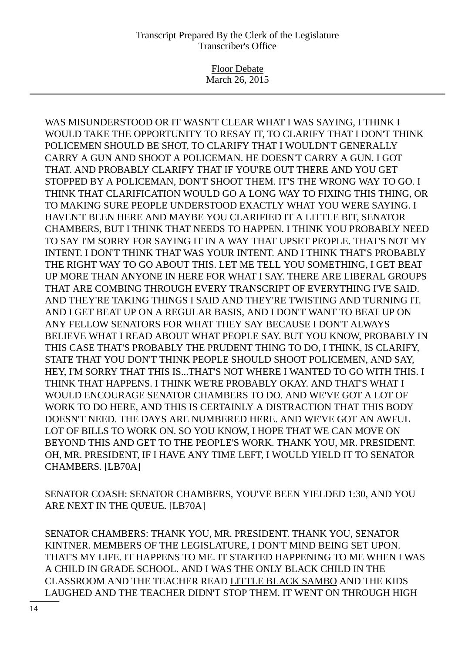Floor Debate March 26, 2015

WAS MISUNDERSTOOD OR IT WASN'T CLEAR WHAT I WAS SAYING, I THINK I WOULD TAKE THE OPPORTUNITY TO RESAY IT, TO CLARIFY THAT I DON'T THINK POLICEMEN SHOULD BE SHOT, TO CLARIFY THAT I WOULDN'T GENERALLY CARRY A GUN AND SHOOT A POLICEMAN. HE DOESN'T CARRY A GUN. I GOT THAT. AND PROBABLY CLARIFY THAT IF YOU'RE OUT THERE AND YOU GET STOPPED BY A POLICEMAN, DON'T SHOOT THEM. IT'S THE WRONG WAY TO GO. I THINK THAT CLARIFICATION WOULD GO A LONG WAY TO FIXING THIS THING, OR TO MAKING SURE PEOPLE UNDERSTOOD EXACTLY WHAT YOU WERE SAYING. I HAVEN'T BEEN HERE AND MAYBE YOU CLARIFIED IT A LITTLE BIT, SENATOR CHAMBERS, BUT I THINK THAT NEEDS TO HAPPEN. I THINK YOU PROBABLY NEED TO SAY I'M SORRY FOR SAYING IT IN A WAY THAT UPSET PEOPLE. THAT'S NOT MY INTENT. I DON'T THINK THAT WAS YOUR INTENT. AND I THINK THAT'S PROBABLY THE RIGHT WAY TO GO ABOUT THIS. LET ME TELL YOU SOMETHING, I GET BEAT UP MORE THAN ANYONE IN HERE FOR WHAT I SAY. THERE ARE LIBERAL GROUPS THAT ARE COMBING THROUGH EVERY TRANSCRIPT OF EVERYTHING I'VE SAID. AND THEY'RE TAKING THINGS I SAID AND THEY'RE TWISTING AND TURNING IT. AND I GET BEAT UP ON A REGULAR BASIS, AND I DON'T WANT TO BEAT UP ON ANY FELLOW SENATORS FOR WHAT THEY SAY BECAUSE I DON'T ALWAYS BELIEVE WHAT I READ ABOUT WHAT PEOPLE SAY. BUT YOU KNOW, PROBABLY IN THIS CASE THAT'S PROBABLY THE PRUDENT THING TO DO, I THINK, IS CLARIFY, STATE THAT YOU DON'T THINK PEOPLE SHOULD SHOOT POLICEMEN, AND SAY, HEY, I'M SORRY THAT THIS IS...THAT'S NOT WHERE I WANTED TO GO WITH THIS. I THINK THAT HAPPENS. I THINK WE'RE PROBABLY OKAY. AND THAT'S WHAT I WOULD ENCOURAGE SENATOR CHAMBERS TO DO. AND WE'VE GOT A LOT OF WORK TO DO HERE, AND THIS IS CERTAINLY A DISTRACTION THAT THIS BODY DOESN'T NEED. THE DAYS ARE NUMBERED HERE. AND WE'VE GOT AN AWFUL LOT OF BILLS TO WORK ON. SO YOU KNOW, I HOPE THAT WE CAN MOVE ON BEYOND THIS AND GET TO THE PEOPLE'S WORK. THANK YOU, MR. PRESIDENT. OH, MR. PRESIDENT, IF I HAVE ANY TIME LEFT, I WOULD YIELD IT TO SENATOR CHAMBERS. [LB70A]

SENATOR COASH: SENATOR CHAMBERS, YOU'VE BEEN YIELDED 1:30, AND YOU ARE NEXT IN THE QUEUE. [LB70A]

SENATOR CHAMBERS: THANK YOU, MR. PRESIDENT. THANK YOU, SENATOR KINTNER. MEMBERS OF THE LEGISLATURE, I DON'T MIND BEING SET UPON. THAT'S MY LIFE. IT HAPPENS TO ME. IT STARTED HAPPENING TO ME WHEN I WAS A CHILD IN GRADE SCHOOL. AND I WAS THE ONLY BLACK CHILD IN THE CLASSROOM AND THE TEACHER READ LITTLE BLACK SAMBO AND THE KIDS LAUGHED AND THE TEACHER DIDN'T STOP THEM. IT WENT ON THROUGH HIGH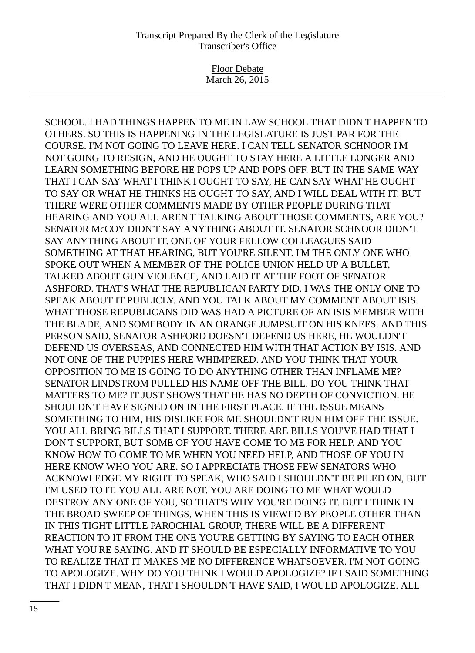Floor Debate March 26, 2015

SCHOOL. I HAD THINGS HAPPEN TO ME IN LAW SCHOOL THAT DIDN'T HAPPEN TO OTHERS. SO THIS IS HAPPENING IN THE LEGISLATURE IS JUST PAR FOR THE COURSE. I'M NOT GOING TO LEAVE HERE. I CAN TELL SENATOR SCHNOOR I'M NOT GOING TO RESIGN, AND HE OUGHT TO STAY HERE A LITTLE LONGER AND LEARN SOMETHING BEFORE HE POPS UP AND POPS OFF. BUT IN THE SAME WAY THAT I CAN SAY WHAT I THINK I OUGHT TO SAY, HE CAN SAY WHAT HE OUGHT TO SAY OR WHAT HE THINKS HE OUGHT TO SAY, AND I WILL DEAL WITH IT. BUT THERE WERE OTHER COMMENTS MADE BY OTHER PEOPLE DURING THAT HEARING AND YOU ALL AREN'T TALKING ABOUT THOSE COMMENTS, ARE YOU? SENATOR McCOY DIDN'T SAY ANYTHING ABOUT IT. SENATOR SCHNOOR DIDN'T SAY ANYTHING ABOUT IT. ONE OF YOUR FELLOW COLLEAGUES SAID SOMETHING AT THAT HEARING, BUT YOU'RE SILENT. I'M THE ONLY ONE WHO SPOKE OUT WHEN A MEMBER OF THE POLICE UNION HELD UP A BULLET, TALKED ABOUT GUN VIOLENCE, AND LAID IT AT THE FOOT OF SENATOR ASHFORD. THAT'S WHAT THE REPUBLICAN PARTY DID. I WAS THE ONLY ONE TO SPEAK ABOUT IT PUBLICLY. AND YOU TALK ABOUT MY COMMENT ABOUT ISIS. WHAT THOSE REPUBLICANS DID WAS HAD A PICTURE OF AN ISIS MEMBER WITH THE BLADE, AND SOMEBODY IN AN ORANGE JUMPSUIT ON HIS KNEES. AND THIS PERSON SAID, SENATOR ASHFORD DOESN'T DEFEND US HERE, HE WOULDN'T DEFEND US OVERSEAS, AND CONNECTED HIM WITH THAT ACTION BY ISIS. AND NOT ONE OF THE PUPPIES HERE WHIMPERED. AND YOU THINK THAT YOUR OPPOSITION TO ME IS GOING TO DO ANYTHING OTHER THAN INFLAME ME? SENATOR LINDSTROM PULLED HIS NAME OFF THE BILL. DO YOU THINK THAT MATTERS TO ME? IT JUST SHOWS THAT HE HAS NO DEPTH OF CONVICTION. HE SHOULDN'T HAVE SIGNED ON IN THE FIRST PLACE. IF THE ISSUE MEANS SOMETHING TO HIM, HIS DISLIKE FOR ME SHOULDN'T RUN HIM OFF THE ISSUE. YOU ALL BRING BILLS THAT I SUPPORT. THERE ARE BILLS YOU'VE HAD THAT I DON'T SUPPORT, BUT SOME OF YOU HAVE COME TO ME FOR HELP. AND YOU KNOW HOW TO COME TO ME WHEN YOU NEED HELP, AND THOSE OF YOU IN HERE KNOW WHO YOU ARE. SO I APPRECIATE THOSE FEW SENATORS WHO ACKNOWLEDGE MY RIGHT TO SPEAK, WHO SAID I SHOULDN'T BE PILED ON, BUT I'M USED TO IT. YOU ALL ARE NOT. YOU ARE DOING TO ME WHAT WOULD DESTROY ANY ONE OF YOU, SO THAT'S WHY YOU'RE DOING IT. BUT I THINK IN THE BROAD SWEEP OF THINGS, WHEN THIS IS VIEWED BY PEOPLE OTHER THAN IN THIS TIGHT LITTLE PAROCHIAL GROUP, THERE WILL BE A DIFFERENT REACTION TO IT FROM THE ONE YOU'RE GETTING BY SAYING TO EACH OTHER WHAT YOU'RE SAYING. AND IT SHOULD BE ESPECIALLY INFORMATIVE TO YOU TO REALIZE THAT IT MAKES ME NO DIFFERENCE WHATSOEVER. I'M NOT GOING TO APOLOGIZE. WHY DO YOU THINK I WOULD APOLOGIZE? IF I SAID SOMETHING THAT I DIDN'T MEAN, THAT I SHOULDN'T HAVE SAID, I WOULD APOLOGIZE. ALL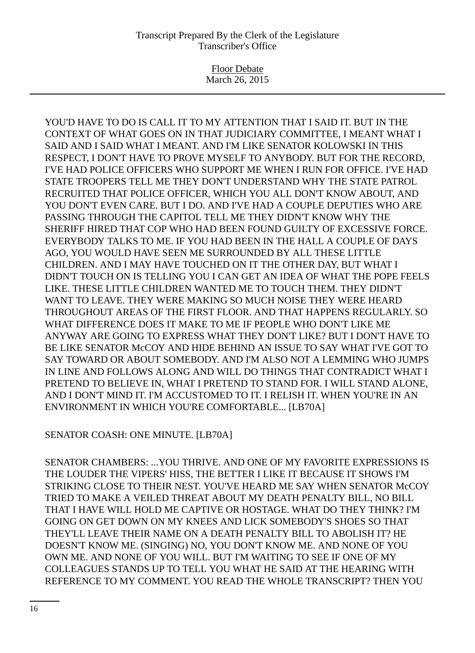Floor Debate March 26, 2015

YOU'D HAVE TO DO IS CALL IT TO MY ATTENTION THAT I SAID IT. BUT IN THE CONTEXT OF WHAT GOES ON IN THAT JUDICIARY COMMITTEE, I MEANT WHAT I SAID AND I SAID WHAT I MEANT. AND I'M LIKE SENATOR KOLOWSKI IN THIS RESPECT, I DON'T HAVE TO PROVE MYSELF TO ANYBODY. BUT FOR THE RECORD, I'VE HAD POLICE OFFICERS WHO SUPPORT ME WHEN I RUN FOR OFFICE. I'VE HAD STATE TROOPERS TELL ME THEY DON'T UNDERSTAND WHY THE STATE PATROL RECRUITED THAT POLICE OFFICER, WHICH YOU ALL DON'T KNOW ABOUT, AND YOU DON'T EVEN CARE. BUT I DO. AND I'VE HAD A COUPLE DEPUTIES WHO ARE PASSING THROUGH THE CAPITOL TELL ME THEY DIDN'T KNOW WHY THE SHERIFF HIRED THAT COP WHO HAD BEEN FOUND GUILTY OF EXCESSIVE FORCE. EVERYBODY TALKS TO ME. IF YOU HAD BEEN IN THE HALL A COUPLE OF DAYS AGO, YOU WOULD HAVE SEEN ME SURROUNDED BY ALL THESE LITTLE CHILDREN. AND I MAY HAVE TOUCHED ON IT THE OTHER DAY, BUT WHAT I DIDN'T TOUCH ON IS TELLING YOU I CAN GET AN IDEA OF WHAT THE POPE FEELS LIKE. THESE LITTLE CHILDREN WANTED ME TO TOUCH THEM. THEY DIDN'T WANT TO LEAVE. THEY WERE MAKING SO MUCH NOISE THEY WERE HEARD THROUGHOUT AREAS OF THE FIRST FLOOR. AND THAT HAPPENS REGULARLY. SO WHAT DIFFERENCE DOES IT MAKE TO ME IF PEOPLE WHO DON'T LIKE ME ANYWAY ARE GOING TO EXPRESS WHAT THEY DON'T LIKE? BUT I DON'T HAVE TO BE LIKE SENATOR McCOY AND HIDE BEHIND AN ISSUE TO SAY WHAT I'VE GOT TO SAY TOWARD OR ABOUT SOMEBODY. AND I'M ALSO NOT A LEMMING WHO JUMPS IN LINE AND FOLLOWS ALONG AND WILL DO THINGS THAT CONTRADICT WHAT I PRETEND TO BELIEVE IN, WHAT I PRETEND TO STAND FOR. I WILL STAND ALONE, AND I DON'T MIND IT. I'M ACCUSTOMED TO IT. I RELISH IT. WHEN YOU'RE IN AN ENVIRONMENT IN WHICH YOU'RE COMFORTABLE... [LB70A]

SENATOR COASH: ONE MINUTE. [LB70A]

SENATOR CHAMBERS: ...YOU THRIVE. AND ONE OF MY FAVORITE EXPRESSIONS IS THE LOUDER THE VIPERS' HISS, THE BETTER I LIKE IT BECAUSE IT SHOWS I'M STRIKING CLOSE TO THEIR NEST. YOU'VE HEARD ME SAY WHEN SENATOR McCOY TRIED TO MAKE A VEILED THREAT ABOUT MY DEATH PENALTY BILL, NO BILL THAT I HAVE WILL HOLD ME CAPTIVE OR HOSTAGE. WHAT DO THEY THINK? I'M GOING ON GET DOWN ON MY KNEES AND LICK SOMEBODY'S SHOES SO THAT THEY'LL LEAVE THEIR NAME ON A DEATH PENALTY BILL TO ABOLISH IT? HE DOESN'T KNOW ME. (SINGING) NO, YOU DON'T KNOW ME. AND NONE OF YOU OWN ME. AND NONE OF YOU WILL. BUT I'M WAITING TO SEE IF ONE OF MY COLLEAGUES STANDS UP TO TELL YOU WHAT HE SAID AT THE HEARING WITH REFERENCE TO MY COMMENT. YOU READ THE WHOLE TRANSCRIPT? THEN YOU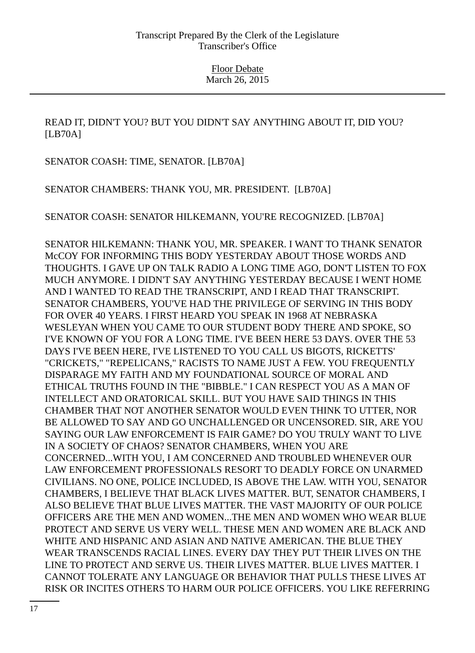READ IT, DIDN'T YOU? BUT YOU DIDN'T SAY ANYTHING ABOUT IT, DID YOU? [LB70A]

SENATOR COASH: TIME, SENATOR. [LB70A]

SENATOR CHAMBERS: THANK YOU, MR. PRESIDENT. [LB70A]

SENATOR COASH: SENATOR HILKEMANN, YOU'RE RECOGNIZED. [LB70A]

SENATOR HILKEMANN: THANK YOU, MR. SPEAKER. I WANT TO THANK SENATOR McCOY FOR INFORMING THIS BODY YESTERDAY ABOUT THOSE WORDS AND THOUGHTS. I GAVE UP ON TALK RADIO A LONG TIME AGO, DON'T LISTEN TO FOX MUCH ANYMORE. I DIDN'T SAY ANYTHING YESTERDAY BECAUSE I WENT HOME AND I WANTED TO READ THE TRANSCRIPT, AND I READ THAT TRANSCRIPT. SENATOR CHAMBERS, YOU'VE HAD THE PRIVILEGE OF SERVING IN THIS BODY FOR OVER 40 YEARS. I FIRST HEARD YOU SPEAK IN 1968 AT NEBRASKA WESLEYAN WHEN YOU CAME TO OUR STUDENT BODY THERE AND SPOKE, SO I'VE KNOWN OF YOU FOR A LONG TIME. I'VE BEEN HERE 53 DAYS. OVER THE 53 DAYS I'VE BEEN HERE, I'VE LISTENED TO YOU CALL US BIGOTS, RICKETTS' "CRICKETS," "REPELICANS," RACISTS TO NAME JUST A FEW. YOU FREQUENTLY DISPARAGE MY FAITH AND MY FOUNDATIONAL SOURCE OF MORAL AND ETHICAL TRUTHS FOUND IN THE "BIBBLE." I CAN RESPECT YOU AS A MAN OF INTELLECT AND ORATORICAL SKILL. BUT YOU HAVE SAID THINGS IN THIS CHAMBER THAT NOT ANOTHER SENATOR WOULD EVEN THINK TO UTTER, NOR BE ALLOWED TO SAY AND GO UNCHALLENGED OR UNCENSORED. SIR, ARE YOU SAYING OUR LAW ENFORCEMENT IS FAIR GAME? DO YOU TRULY WANT TO LIVE IN A SOCIETY OF CHAOS? SENATOR CHAMBERS, WHEN YOU ARE CONCERNED...WITH YOU, I AM CONCERNED AND TROUBLED WHENEVER OUR LAW ENFORCEMENT PROFESSIONALS RESORT TO DEADLY FORCE ON UNARMED CIVILIANS. NO ONE, POLICE INCLUDED, IS ABOVE THE LAW. WITH YOU, SENATOR CHAMBERS, I BELIEVE THAT BLACK LIVES MATTER. BUT, SENATOR CHAMBERS, I ALSO BELIEVE THAT BLUE LIVES MATTER. THE VAST MAJORITY OF OUR POLICE OFFICERS ARE THE MEN AND WOMEN...THE MEN AND WOMEN WHO WEAR BLUE PROTECT AND SERVE US VERY WELL. THESE MEN AND WOMEN ARE BLACK AND WHITE AND HISPANIC AND ASIAN AND NATIVE AMERICAN. THE BLUE THEY WEAR TRANSCENDS RACIAL LINES. EVERY DAY THEY PUT THEIR LIVES ON THE LINE TO PROTECT AND SERVE US. THEIR LIVES MATTER. BLUE LIVES MATTER. I CANNOT TOLERATE ANY LANGUAGE OR BEHAVIOR THAT PULLS THESE LIVES AT RISK OR INCITES OTHERS TO HARM OUR POLICE OFFICERS. YOU LIKE REFERRING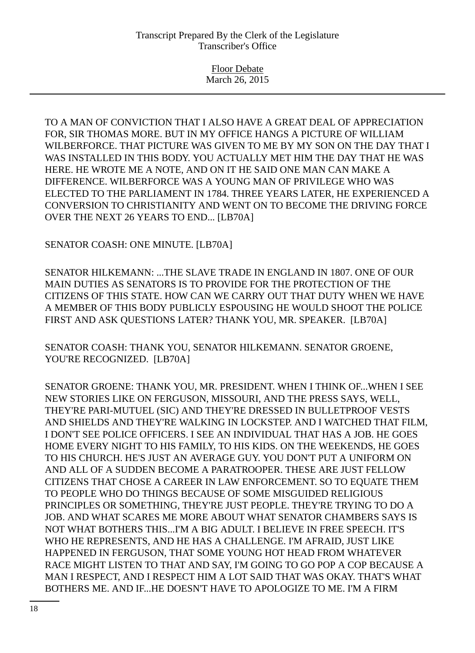Floor Debate March 26, 2015

TO A MAN OF CONVICTION THAT I ALSO HAVE A GREAT DEAL OF APPRECIATION FOR, SIR THOMAS MORE. BUT IN MY OFFICE HANGS A PICTURE OF WILLIAM WILBERFORCE. THAT PICTURE WAS GIVEN TO ME BY MY SON ON THE DAY THAT I WAS INSTALLED IN THIS BODY. YOU ACTUALLY MET HIM THE DAY THAT HE WAS HERE. HE WROTE ME A NOTE, AND ON IT HE SAID ONE MAN CAN MAKE A DIFFERENCE. WILBERFORCE WAS A YOUNG MAN OF PRIVILEGE WHO WAS ELECTED TO THE PARLIAMENT IN 1784. THREE YEARS LATER, HE EXPERIENCED A CONVERSION TO CHRISTIANITY AND WENT ON TO BECOME THE DRIVING FORCE OVER THE NEXT 26 YEARS TO END... [LB70A]

SENATOR COASH: ONE MINUTE. [LB70A]

SENATOR HILKEMANN: ...THE SLAVE TRADE IN ENGLAND IN 1807. ONE OF OUR MAIN DUTIES AS SENATORS IS TO PROVIDE FOR THE PROTECTION OF THE CITIZENS OF THIS STATE. HOW CAN WE CARRY OUT THAT DUTY WHEN WE HAVE A MEMBER OF THIS BODY PUBLICLY ESPOUSING HE WOULD SHOOT THE POLICE FIRST AND ASK QUESTIONS LATER? THANK YOU, MR. SPEAKER. [LB70A]

SENATOR COASH: THANK YOU, SENATOR HILKEMANN. SENATOR GROENE, YOU'RE RECOGNIZED. [LB70A]

SENATOR GROENE: THANK YOU, MR. PRESIDENT. WHEN I THINK OF...WHEN I SEE NEW STORIES LIKE ON FERGUSON, MISSOURI, AND THE PRESS SAYS, WELL, THEY'RE PARI-MUTUEL (SIC) AND THEY'RE DRESSED IN BULLETPROOF VESTS AND SHIELDS AND THEY'RE WALKING IN LOCKSTEP. AND I WATCHED THAT FILM, I DON'T SEE POLICE OFFICERS. I SEE AN INDIVIDUAL THAT HAS A JOB. HE GOES HOME EVERY NIGHT TO HIS FAMILY, TO HIS KIDS. ON THE WEEKENDS, HE GOES TO HIS CHURCH. HE'S JUST AN AVERAGE GUY. YOU DON'T PUT A UNIFORM ON AND ALL OF A SUDDEN BECOME A PARATROOPER. THESE ARE JUST FELLOW CITIZENS THAT CHOSE A CAREER IN LAW ENFORCEMENT. SO TO EQUATE THEM TO PEOPLE WHO DO THINGS BECAUSE OF SOME MISGUIDED RELIGIOUS PRINCIPLES OR SOMETHING, THEY'RE JUST PEOPLE. THEY'RE TRYING TO DO A JOB. AND WHAT SCARES ME MORE ABOUT WHAT SENATOR CHAMBERS SAYS IS NOT WHAT BOTHERS THIS...I'M A BIG ADULT. I BELIEVE IN FREE SPEECH. IT'S WHO HE REPRESENTS, AND HE HAS A CHALLENGE. I'M AFRAID, JUST LIKE HAPPENED IN FERGUSON, THAT SOME YOUNG HOT HEAD FROM WHATEVER RACE MIGHT LISTEN TO THAT AND SAY, I'M GOING TO GO POP A COP BECAUSE A MAN I RESPECT, AND I RESPECT HIM A LOT SAID THAT WAS OKAY. THAT'S WHAT BOTHERS ME. AND IF...HE DOESN'T HAVE TO APOLOGIZE TO ME. I'M A FIRM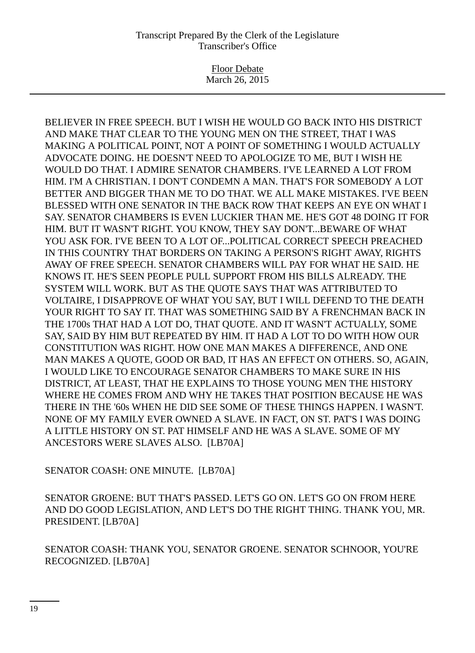Floor Debate March 26, 2015

BELIEVER IN FREE SPEECH. BUT I WISH HE WOULD GO BACK INTO HIS DISTRICT AND MAKE THAT CLEAR TO THE YOUNG MEN ON THE STREET, THAT I WAS MAKING A POLITICAL POINT, NOT A POINT OF SOMETHING I WOULD ACTUALLY ADVOCATE DOING. HE DOESN'T NEED TO APOLOGIZE TO ME, BUT I WISH HE WOULD DO THAT. I ADMIRE SENATOR CHAMBERS. I'VE LEARNED A LOT FROM HIM. I'M A CHRISTIAN. I DON'T CONDEMN A MAN. THAT'S FOR SOMEBODY A LOT BETTER AND BIGGER THAN ME TO DO THAT. WE ALL MAKE MISTAKES. I'VE BEEN BLESSED WITH ONE SENATOR IN THE BACK ROW THAT KEEPS AN EYE ON WHAT I SAY. SENATOR CHAMBERS IS EVEN LUCKIER THAN ME. HE'S GOT 48 DOING IT FOR HIM. BUT IT WASN'T RIGHT. YOU KNOW, THEY SAY DON'T...BEWARE OF WHAT YOU ASK FOR. I'VE BEEN TO A LOT OF...POLITICAL CORRECT SPEECH PREACHED IN THIS COUNTRY THAT BORDERS ON TAKING A PERSON'S RIGHT AWAY, RIGHTS AWAY OF FREE SPEECH. SENATOR CHAMBERS WILL PAY FOR WHAT HE SAID. HE KNOWS IT. HE'S SEEN PEOPLE PULL SUPPORT FROM HIS BILLS ALREADY. THE SYSTEM WILL WORK. BUT AS THE QUOTE SAYS THAT WAS ATTRIBUTED TO VOLTAIRE, I DISAPPROVE OF WHAT YOU SAY, BUT I WILL DEFEND TO THE DEATH YOUR RIGHT TO SAY IT. THAT WAS SOMETHING SAID BY A FRENCHMAN BACK IN THE 1700s THAT HAD A LOT DO, THAT QUOTE. AND IT WASN'T ACTUALLY, SOME SAY, SAID BY HIM BUT REPEATED BY HIM. IT HAD A LOT TO DO WITH HOW OUR CONSTITUTION WAS RIGHT. HOW ONE MAN MAKES A DIFFERENCE, AND ONE MAN MAKES A QUOTE, GOOD OR BAD, IT HAS AN EFFECT ON OTHERS. SO, AGAIN, I WOULD LIKE TO ENCOURAGE SENATOR CHAMBERS TO MAKE SURE IN HIS DISTRICT, AT LEAST, THAT HE EXPLAINS TO THOSE YOUNG MEN THE HISTORY WHERE HE COMES FROM AND WHY HE TAKES THAT POSITION BECAUSE HE WAS THERE IN THE '60s WHEN HE DID SEE SOME OF THESE THINGS HAPPEN. I WASN'T. NONE OF MY FAMILY EVER OWNED A SLAVE. IN FACT, ON ST. PAT'S I WAS DOING A LITTLE HISTORY ON ST. PAT HIMSELF AND HE WAS A SLAVE. SOME OF MY ANCESTORS WERE SLAVES ALSO. [LB70A]

SENATOR COASH: ONE MINUTE. [LB70A]

SENATOR GROENE: BUT THAT'S PASSED. LET'S GO ON. LET'S GO ON FROM HERE AND DO GOOD LEGISLATION, AND LET'S DO THE RIGHT THING. THANK YOU, MR. PRESIDENT. [LB70A]

SENATOR COASH: THANK YOU, SENATOR GROENE. SENATOR SCHNOOR, YOU'RE RECOGNIZED. [LB70A]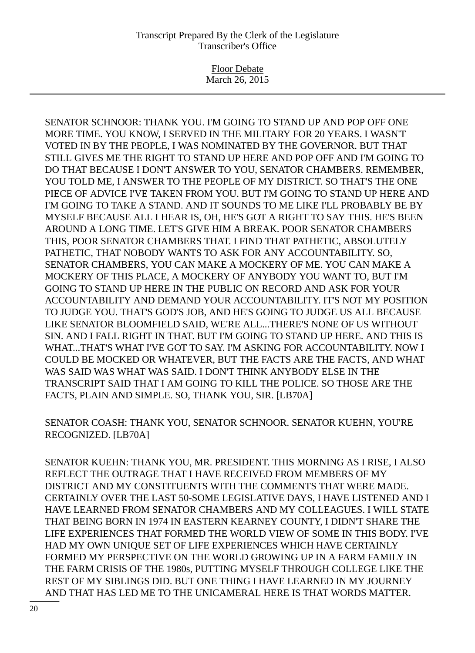Floor Debate March 26, 2015

SENATOR SCHNOOR: THANK YOU. I'M GOING TO STAND UP AND POP OFF ONE MORE TIME. YOU KNOW, I SERVED IN THE MILITARY FOR 20 YEARS. I WASN'T VOTED IN BY THE PEOPLE, I WAS NOMINATED BY THE GOVERNOR. BUT THAT STILL GIVES ME THE RIGHT TO STAND UP HERE AND POP OFF AND I'M GOING TO DO THAT BECAUSE I DON'T ANSWER TO YOU, SENATOR CHAMBERS. REMEMBER, YOU TOLD ME, I ANSWER TO THE PEOPLE OF MY DISTRICT. SO THAT'S THE ONE PIECE OF ADVICE I'VE TAKEN FROM YOU. BUT I'M GOING TO STAND UP HERE AND I'M GOING TO TAKE A STAND. AND IT SOUNDS TO ME LIKE I'LL PROBABLY BE BY MYSELF BECAUSE ALL I HEAR IS, OH, HE'S GOT A RIGHT TO SAY THIS. HE'S BEEN AROUND A LONG TIME. LET'S GIVE HIM A BREAK. POOR SENATOR CHAMBERS THIS, POOR SENATOR CHAMBERS THAT. I FIND THAT PATHETIC, ABSOLUTELY PATHETIC, THAT NOBODY WANTS TO ASK FOR ANY ACCOUNTABILITY. SO, SENATOR CHAMBERS, YOU CAN MAKE A MOCKERY OF ME. YOU CAN MAKE A MOCKERY OF THIS PLACE, A MOCKERY OF ANYBODY YOU WANT TO, BUT I'M GOING TO STAND UP HERE IN THE PUBLIC ON RECORD AND ASK FOR YOUR ACCOUNTABILITY AND DEMAND YOUR ACCOUNTABILITY. IT'S NOT MY POSITION TO JUDGE YOU. THAT'S GOD'S JOB, AND HE'S GOING TO JUDGE US ALL BECAUSE LIKE SENATOR BLOOMFIELD SAID, WE'RE ALL...THERE'S NONE OF US WITHOUT SIN. AND I FALL RIGHT IN THAT. BUT I'M GOING TO STAND UP HERE. AND THIS IS WHAT...THAT'S WHAT I'VE GOT TO SAY. I'M ASKING FOR ACCOUNTABILITY. NOW I COULD BE MOCKED OR WHATEVER, BUT THE FACTS ARE THE FACTS, AND WHAT WAS SAID WAS WHAT WAS SAID. I DON'T THINK ANYBODY ELSE IN THE TRANSCRIPT SAID THAT I AM GOING TO KILL THE POLICE. SO THOSE ARE THE FACTS, PLAIN AND SIMPLE. SO, THANK YOU, SIR. [LB70A]

SENATOR COASH: THANK YOU, SENATOR SCHNOOR. SENATOR KUEHN, YOU'RE RECOGNIZED. [LB70A]

SENATOR KUEHN: THANK YOU, MR. PRESIDENT. THIS MORNING AS I RISE, I ALSO REFLECT THE OUTRAGE THAT I HAVE RECEIVED FROM MEMBERS OF MY DISTRICT AND MY CONSTITUENTS WITH THE COMMENTS THAT WERE MADE. CERTAINLY OVER THE LAST 50-SOME LEGISLATIVE DAYS, I HAVE LISTENED AND I HAVE LEARNED FROM SENATOR CHAMBERS AND MY COLLEAGUES. I WILL STATE THAT BEING BORN IN 1974 IN EASTERN KEARNEY COUNTY, I DIDN'T SHARE THE LIFE EXPERIENCES THAT FORMED THE WORLD VIEW OF SOME IN THIS BODY. I'VE HAD MY OWN UNIQUE SET OF LIFE EXPERIENCES WHICH HAVE CERTAINLY FORMED MY PERSPECTIVE ON THE WORLD GROWING UP IN A FARM FAMILY IN THE FARM CRISIS OF THE 1980s, PUTTING MYSELF THROUGH COLLEGE LIKE THE REST OF MY SIBLINGS DID. BUT ONE THING I HAVE LEARNED IN MY JOURNEY AND THAT HAS LED ME TO THE UNICAMERAL HERE IS THAT WORDS MATTER.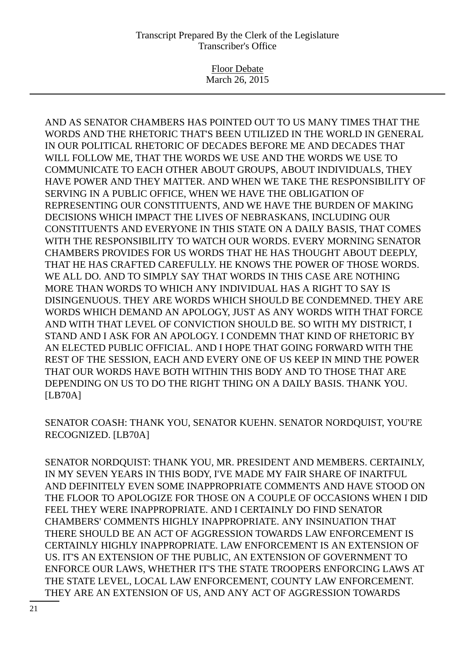Floor Debate March 26, 2015

AND AS SENATOR CHAMBERS HAS POINTED OUT TO US MANY TIMES THAT THE WORDS AND THE RHETORIC THAT'S BEEN UTILIZED IN THE WORLD IN GENERAL IN OUR POLITICAL RHETORIC OF DECADES BEFORE ME AND DECADES THAT WILL FOLLOW ME, THAT THE WORDS WE USE AND THE WORDS WE USE TO COMMUNICATE TO EACH OTHER ABOUT GROUPS, ABOUT INDIVIDUALS, THEY HAVE POWER AND THEY MATTER. AND WHEN WE TAKE THE RESPONSIBILITY OF SERVING IN A PUBLIC OFFICE, WHEN WE HAVE THE OBLIGATION OF REPRESENTING OUR CONSTITUENTS, AND WE HAVE THE BURDEN OF MAKING DECISIONS WHICH IMPACT THE LIVES OF NEBRASKANS, INCLUDING OUR CONSTITUENTS AND EVERYONE IN THIS STATE ON A DAILY BASIS, THAT COMES WITH THE RESPONSIBILITY TO WATCH OUR WORDS. EVERY MORNING SENATOR CHAMBERS PROVIDES FOR US WORDS THAT HE HAS THOUGHT ABOUT DEEPLY, THAT HE HAS CRAFTED CAREFULLY. HE KNOWS THE POWER OF THOSE WORDS. WE ALL DO. AND TO SIMPLY SAY THAT WORDS IN THIS CASE ARE NOTHING MORE THAN WORDS TO WHICH ANY INDIVIDUAL HAS A RIGHT TO SAY IS DISINGENUOUS. THEY ARE WORDS WHICH SHOULD BE CONDEMNED. THEY ARE WORDS WHICH DEMAND AN APOLOGY, JUST AS ANY WORDS WITH THAT FORCE AND WITH THAT LEVEL OF CONVICTION SHOULD BE. SO WITH MY DISTRICT, I STAND AND I ASK FOR AN APOLOGY. I CONDEMN THAT KIND OF RHETORIC BY AN ELECTED PUBLIC OFFICIAL. AND I HOPE THAT GOING FORWARD WITH THE REST OF THE SESSION, EACH AND EVERY ONE OF US KEEP IN MIND THE POWER THAT OUR WORDS HAVE BOTH WITHIN THIS BODY AND TO THOSE THAT ARE DEPENDING ON US TO DO THE RIGHT THING ON A DAILY BASIS. THANK YOU. [LB70A]

SENATOR COASH: THANK YOU, SENATOR KUEHN. SENATOR NORDQUIST, YOU'RE RECOGNIZED. [LB70A]

SENATOR NORDQUIST: THANK YOU, MR. PRESIDENT AND MEMBERS. CERTAINLY, IN MY SEVEN YEARS IN THIS BODY, I'VE MADE MY FAIR SHARE OF INARTFUL AND DEFINITELY EVEN SOME INAPPROPRIATE COMMENTS AND HAVE STOOD ON THE FLOOR TO APOLOGIZE FOR THOSE ON A COUPLE OF OCCASIONS WHEN I DID FEEL THEY WERE INAPPROPRIATE. AND I CERTAINLY DO FIND SENATOR CHAMBERS' COMMENTS HIGHLY INAPPROPRIATE. ANY INSINUATION THAT THERE SHOULD BE AN ACT OF AGGRESSION TOWARDS LAW ENFORCEMENT IS CERTAINLY HIGHLY INAPPROPRIATE. LAW ENFORCEMENT IS AN EXTENSION OF US. IT'S AN EXTENSION OF THE PUBLIC, AN EXTENSION OF GOVERNMENT TO ENFORCE OUR LAWS, WHETHER IT'S THE STATE TROOPERS ENFORCING LAWS AT THE STATE LEVEL, LOCAL LAW ENFORCEMENT, COUNTY LAW ENFORCEMENT. THEY ARE AN EXTENSION OF US, AND ANY ACT OF AGGRESSION TOWARDS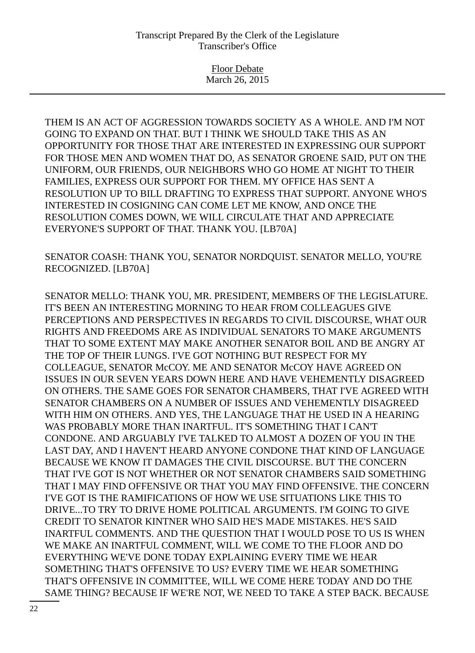Floor Debate March 26, 2015

THEM IS AN ACT OF AGGRESSION TOWARDS SOCIETY AS A WHOLE. AND I'M NOT GOING TO EXPAND ON THAT. BUT I THINK WE SHOULD TAKE THIS AS AN OPPORTUNITY FOR THOSE THAT ARE INTERESTED IN EXPRESSING OUR SUPPORT FOR THOSE MEN AND WOMEN THAT DO, AS SENATOR GROENE SAID, PUT ON THE UNIFORM, OUR FRIENDS, OUR NEIGHBORS WHO GO HOME AT NIGHT TO THEIR FAMILIES, EXPRESS OUR SUPPORT FOR THEM. MY OFFICE HAS SENT A RESOLUTION UP TO BILL DRAFTING TO EXPRESS THAT SUPPORT. ANYONE WHO'S INTERESTED IN COSIGNING CAN COME LET ME KNOW, AND ONCE THE RESOLUTION COMES DOWN, WE WILL CIRCULATE THAT AND APPRECIATE EVERYONE'S SUPPORT OF THAT. THANK YOU. [LB70A]

SENATOR COASH: THANK YOU, SENATOR NORDQUIST. SENATOR MELLO, YOU'RE RECOGNIZED. [LB70A]

SENATOR MELLO: THANK YOU, MR. PRESIDENT, MEMBERS OF THE LEGISLATURE. IT'S BEEN AN INTERESTING MORNING TO HEAR FROM COLLEAGUES GIVE PERCEPTIONS AND PERSPECTIVES IN REGARDS TO CIVIL DISCOURSE, WHAT OUR RIGHTS AND FREEDOMS ARE AS INDIVIDUAL SENATORS TO MAKE ARGUMENTS THAT TO SOME EXTENT MAY MAKE ANOTHER SENATOR BOIL AND BE ANGRY AT THE TOP OF THEIR LUNGS. I'VE GOT NOTHING BUT RESPECT FOR MY COLLEAGUE, SENATOR McCOY. ME AND SENATOR McCOY HAVE AGREED ON ISSUES IN OUR SEVEN YEARS DOWN HERE AND HAVE VEHEMENTLY DISAGREED ON OTHERS. THE SAME GOES FOR SENATOR CHAMBERS, THAT I'VE AGREED WITH SENATOR CHAMBERS ON A NUMBER OF ISSUES AND VEHEMENTLY DISAGREED WITH HIM ON OTHERS. AND YES, THE LANGUAGE THAT HE USED IN A HEARING WAS PROBABLY MORE THAN INARTFUL. IT'S SOMETHING THAT I CAN'T CONDONE. AND ARGUABLY I'VE TALKED TO ALMOST A DOZEN OF YOU IN THE LAST DAY, AND I HAVEN'T HEARD ANYONE CONDONE THAT KIND OF LANGUAGE BECAUSE WE KNOW IT DAMAGES THE CIVIL DISCOURSE. BUT THE CONCERN THAT I'VE GOT IS NOT WHETHER OR NOT SENATOR CHAMBERS SAID SOMETHING THAT I MAY FIND OFFENSIVE OR THAT YOU MAY FIND OFFENSIVE. THE CONCERN I'VE GOT IS THE RAMIFICATIONS OF HOW WE USE SITUATIONS LIKE THIS TO DRIVE...TO TRY TO DRIVE HOME POLITICAL ARGUMENTS. I'M GOING TO GIVE CREDIT TO SENATOR KINTNER WHO SAID HE'S MADE MISTAKES. HE'S SAID INARTFUL COMMENTS. AND THE QUESTION THAT I WOULD POSE TO US IS WHEN WE MAKE AN INARTFUL COMMENT, WILL WE COME TO THE FLOOR AND DO EVERYTHING WE'VE DONE TODAY EXPLAINING EVERY TIME WE HEAR SOMETHING THAT'S OFFENSIVE TO US? EVERY TIME WE HEAR SOMETHING THAT'S OFFENSIVE IN COMMITTEE, WILL WE COME HERE TODAY AND DO THE SAME THING? BECAUSE IF WE'RE NOT, WE NEED TO TAKE A STEP BACK. BECAUSE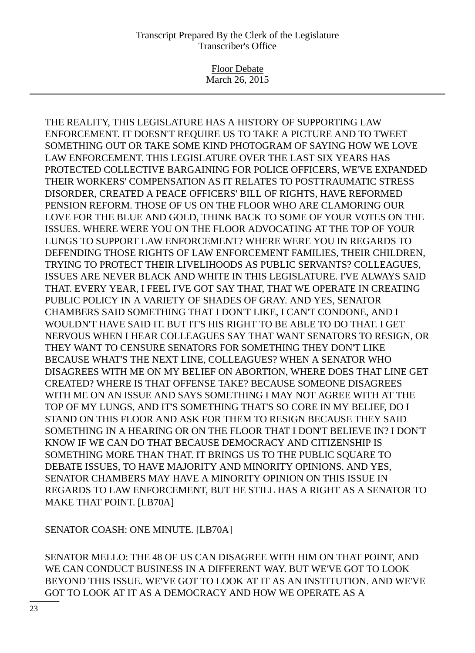Floor Debate March 26, 2015

THE REALITY, THIS LEGISLATURE HAS A HISTORY OF SUPPORTING LAW ENFORCEMENT. IT DOESN'T REQUIRE US TO TAKE A PICTURE AND TO TWEET SOMETHING OUT OR TAKE SOME KIND PHOTOGRAM OF SAYING HOW WE LOVE LAW ENFORCEMENT. THIS LEGISLATURE OVER THE LAST SIX YEARS HAS PROTECTED COLLECTIVE BARGAINING FOR POLICE OFFICERS, WE'VE EXPANDED THEIR WORKERS' COMPENSATION AS IT RELATES TO POSTTRAUMATIC STRESS DISORDER, CREATED A PEACE OFFICERS' BILL OF RIGHTS, HAVE REFORMED PENSION REFORM. THOSE OF US ON THE FLOOR WHO ARE CLAMORING OUR LOVE FOR THE BLUE AND GOLD, THINK BACK TO SOME OF YOUR VOTES ON THE ISSUES. WHERE WERE YOU ON THE FLOOR ADVOCATING AT THE TOP OF YOUR LUNGS TO SUPPORT LAW ENFORCEMENT? WHERE WERE YOU IN REGARDS TO DEFENDING THOSE RIGHTS OF LAW ENFORCEMENT FAMILIES, THEIR CHILDREN, TRYING TO PROTECT THEIR LIVELIHOODS AS PUBLIC SERVANTS? COLLEAGUES, ISSUES ARE NEVER BLACK AND WHITE IN THIS LEGISLATURE. I'VE ALWAYS SAID THAT. EVERY YEAR, I FEEL I'VE GOT SAY THAT, THAT WE OPERATE IN CREATING PUBLIC POLICY IN A VARIETY OF SHADES OF GRAY. AND YES, SENATOR CHAMBERS SAID SOMETHING THAT I DON'T LIKE, I CAN'T CONDONE, AND I WOULDN'T HAVE SAID IT. BUT IT'S HIS RIGHT TO BE ABLE TO DO THAT. I GET NERVOUS WHEN I HEAR COLLEAGUES SAY THAT WANT SENATORS TO RESIGN, OR THEY WANT TO CENSURE SENATORS FOR SOMETHING THEY DON'T LIKE BECAUSE WHAT'S THE NEXT LINE, COLLEAGUES? WHEN A SENATOR WHO DISAGREES WITH ME ON MY BELIEF ON ABORTION, WHERE DOES THAT LINE GET CREATED? WHERE IS THAT OFFENSE TAKE? BECAUSE SOMEONE DISAGREES WITH ME ON AN ISSUE AND SAYS SOMETHING I MAY NOT AGREE WITH AT THE TOP OF MY LUNGS, AND IT'S SOMETHING THAT'S SO CORE IN MY BELIEF, DO I STAND ON THIS FLOOR AND ASK FOR THEM TO RESIGN BECAUSE THEY SAID SOMETHING IN A HEARING OR ON THE FLOOR THAT I DON'T BELIEVE IN? I DON'T KNOW IF WE CAN DO THAT BECAUSE DEMOCRACY AND CITIZENSHIP IS SOMETHING MORE THAN THAT. IT BRINGS US TO THE PUBLIC SOUARE TO DEBATE ISSUES, TO HAVE MAJORITY AND MINORITY OPINIONS. AND YES, SENATOR CHAMBERS MAY HAVE A MINORITY OPINION ON THIS ISSUE IN REGARDS TO LAW ENFORCEMENT, BUT HE STILL HAS A RIGHT AS A SENATOR TO MAKE THAT POINT. [LB70A]

SENATOR COASH: ONE MINUTE. [LB70A]

SENATOR MELLO: THE 48 OF US CAN DISAGREE WITH HIM ON THAT POINT, AND WE CAN CONDUCT BUSINESS IN A DIFFERENT WAY. BUT WE'VE GOT TO LOOK BEYOND THIS ISSUE. WE'VE GOT TO LOOK AT IT AS AN INSTITUTION. AND WE'VE GOT TO LOOK AT IT AS A DEMOCRACY AND HOW WE OPERATE AS A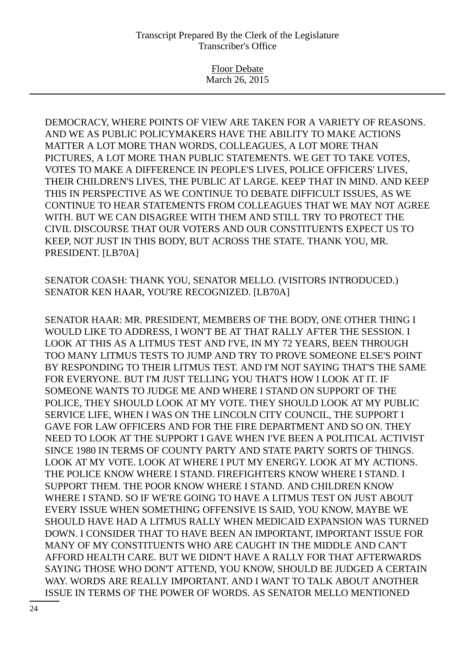Floor Debate March 26, 2015

DEMOCRACY, WHERE POINTS OF VIEW ARE TAKEN FOR A VARIETY OF REASONS. AND WE AS PUBLIC POLICYMAKERS HAVE THE ABILITY TO MAKE ACTIONS MATTER A LOT MORE THAN WORDS, COLLEAGUES, A LOT MORE THAN PICTURES, A LOT MORE THAN PUBLIC STATEMENTS. WE GET TO TAKE VOTES, VOTES TO MAKE A DIFFERENCE IN PEOPLE'S LIVES, POLICE OFFICERS' LIVES, THEIR CHILDREN'S LIVES, THE PUBLIC AT LARGE. KEEP THAT IN MIND. AND KEEP THIS IN PERSPECTIVE AS WE CONTINUE TO DEBATE DIFFICULT ISSUES, AS WE CONTINUE TO HEAR STATEMENTS FROM COLLEAGUES THAT WE MAY NOT AGREE WITH. BUT WE CAN DISAGREE WITH THEM AND STILL TRY TO PROTECT THE CIVIL DISCOURSE THAT OUR VOTERS AND OUR CONSTITUENTS EXPECT US TO KEEP, NOT JUST IN THIS BODY, BUT ACROSS THE STATE. THANK YOU, MR. PRESIDENT. [LB70A]

SENATOR COASH: THANK YOU, SENATOR MELLO. (VISITORS INTRODUCED.) SENATOR KEN HAAR, YOU'RE RECOGNIZED. [LB70A]

SENATOR HAAR: MR. PRESIDENT, MEMBERS OF THE BODY, ONE OTHER THING I WOULD LIKE TO ADDRESS, I WON'T BE AT THAT RALLY AFTER THE SESSION. I LOOK AT THIS AS A LITMUS TEST AND I'VE, IN MY 72 YEARS, BEEN THROUGH TOO MANY LITMUS TESTS TO JUMP AND TRY TO PROVE SOMEONE ELSE'S POINT BY RESPONDING TO THEIR LITMUS TEST. AND I'M NOT SAYING THAT'S THE SAME FOR EVERYONE. BUT I'M JUST TELLING YOU THAT'S HOW I LOOK AT IT. IF SOMEONE WANTS TO JUDGE ME AND WHERE I STAND ON SUPPORT OF THE POLICE, THEY SHOULD LOOK AT MY VOTE. THEY SHOULD LOOK AT MY PUBLIC SERVICE LIFE, WHEN I WAS ON THE LINCOLN CITY COUNCIL, THE SUPPORT I GAVE FOR LAW OFFICERS AND FOR THE FIRE DEPARTMENT AND SO ON. THEY NEED TO LOOK AT THE SUPPORT I GAVE WHEN I'VE BEEN A POLITICAL ACTIVIST SINCE 1980 IN TERMS OF COUNTY PARTY AND STATE PARTY SORTS OF THINGS. LOOK AT MY VOTE. LOOK AT WHERE I PUT MY ENERGY. LOOK AT MY ACTIONS. THE POLICE KNOW WHERE I STAND. FIREFIGHTERS KNOW WHERE I STAND. I SUPPORT THEM. THE POOR KNOW WHERE I STAND. AND CHILDREN KNOW WHERE I STAND. SO IF WE'RE GOING TO HAVE A LITMUS TEST ON JUST ABOUT EVERY ISSUE WHEN SOMETHING OFFENSIVE IS SAID, YOU KNOW, MAYBE WE SHOULD HAVE HAD A LITMUS RALLY WHEN MEDICAID EXPANSION WAS TURNED DOWN. I CONSIDER THAT TO HAVE BEEN AN IMPORTANT, IMPORTANT ISSUE FOR MANY OF MY CONSTITUENTS WHO ARE CAUGHT IN THE MIDDLE AND CAN'T AFFORD HEALTH CARE. BUT WE DIDN'T HAVE A RALLY FOR THAT AFTERWARDS SAYING THOSE WHO DON'T ATTEND, YOU KNOW, SHOULD BE JUDGED A CERTAIN WAY. WORDS ARE REALLY IMPORTANT. AND I WANT TO TALK ABOUT ANOTHER ISSUE IN TERMS OF THE POWER OF WORDS. AS SENATOR MELLO MENTIONED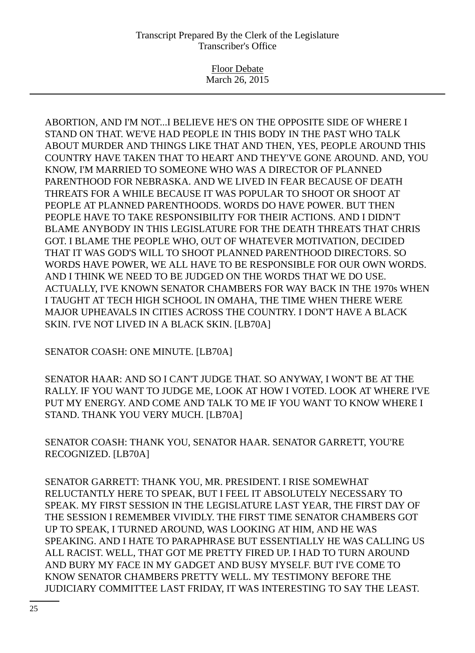Floor Debate March 26, 2015

ABORTION, AND I'M NOT...I BELIEVE HE'S ON THE OPPOSITE SIDE OF WHERE I STAND ON THAT. WE'VE HAD PEOPLE IN THIS BODY IN THE PAST WHO TALK ABOUT MURDER AND THINGS LIKE THAT AND THEN, YES, PEOPLE AROUND THIS COUNTRY HAVE TAKEN THAT TO HEART AND THEY'VE GONE AROUND. AND, YOU KNOW, I'M MARRIED TO SOMEONE WHO WAS A DIRECTOR OF PLANNED PARENTHOOD FOR NEBRASKA. AND WE LIVED IN FEAR BECAUSE OF DEATH THREATS FOR A WHILE BECAUSE IT WAS POPULAR TO SHOOT OR SHOOT AT PEOPLE AT PLANNED PARENTHOODS. WORDS DO HAVE POWER. BUT THEN PEOPLE HAVE TO TAKE RESPONSIBILITY FOR THEIR ACTIONS. AND I DIDN'T BLAME ANYBODY IN THIS LEGISLATURE FOR THE DEATH THREATS THAT CHRIS GOT. I BLAME THE PEOPLE WHO, OUT OF WHATEVER MOTIVATION, DECIDED THAT IT WAS GOD'S WILL TO SHOOT PLANNED PARENTHOOD DIRECTORS. SO WORDS HAVE POWER, WE ALL HAVE TO BE RESPONSIBLE FOR OUR OWN WORDS. AND I THINK WE NEED TO BE JUDGED ON THE WORDS THAT WE DO USE. ACTUALLY, I'VE KNOWN SENATOR CHAMBERS FOR WAY BACK IN THE 1970s WHEN I TAUGHT AT TECH HIGH SCHOOL IN OMAHA, THE TIME WHEN THERE WERE MAJOR UPHEAVALS IN CITIES ACROSS THE COUNTRY. I DON'T HAVE A BLACK SKIN. I'VE NOT LIVED IN A BLACK SKIN. [LB70A]

SENATOR COASH: ONE MINUTE. [LB70A]

SENATOR HAAR: AND SO I CAN'T JUDGE THAT. SO ANYWAY, I WON'T BE AT THE RALLY. IF YOU WANT TO JUDGE ME, LOOK AT HOW I VOTED. LOOK AT WHERE I'VE PUT MY ENERGY. AND COME AND TALK TO ME IF YOU WANT TO KNOW WHERE I STAND. THANK YOU VERY MUCH. [LB70A]

SENATOR COASH: THANK YOU, SENATOR HAAR. SENATOR GARRETT, YOU'RE RECOGNIZED. [LB70A]

SENATOR GARRETT: THANK YOU, MR. PRESIDENT. I RISE SOMEWHAT RELUCTANTLY HERE TO SPEAK, BUT I FEEL IT ABSOLUTELY NECESSARY TO SPEAK. MY FIRST SESSION IN THE LEGISLATURE LAST YEAR, THE FIRST DAY OF THE SESSION I REMEMBER VIVIDLY. THE FIRST TIME SENATOR CHAMBERS GOT UP TO SPEAK, I TURNED AROUND, WAS LOOKING AT HIM, AND HE WAS SPEAKING. AND I HATE TO PARAPHRASE BUT ESSENTIALLY HE WAS CALLING US ALL RACIST. WELL, THAT GOT ME PRETTY FIRED UP. I HAD TO TURN AROUND AND BURY MY FACE IN MY GADGET AND BUSY MYSELF. BUT I'VE COME TO KNOW SENATOR CHAMBERS PRETTY WELL. MY TESTIMONY BEFORE THE JUDICIARY COMMITTEE LAST FRIDAY, IT WAS INTERESTING TO SAY THE LEAST.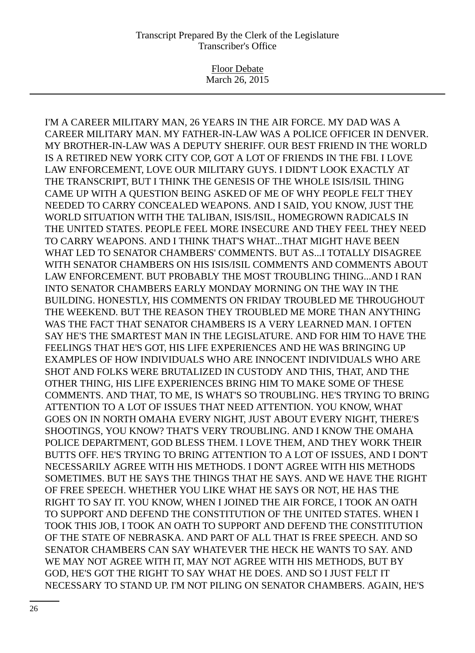Floor Debate March 26, 2015

I'M A CAREER MILITARY MAN, 26 YEARS IN THE AIR FORCE. MY DAD WAS A CAREER MILITARY MAN. MY FATHER-IN-LAW WAS A POLICE OFFICER IN DENVER. MY BROTHER-IN-LAW WAS A DEPUTY SHERIFF. OUR BEST FRIEND IN THE WORLD IS A RETIRED NEW YORK CITY COP, GOT A LOT OF FRIENDS IN THE FBI. I LOVE LAW ENFORCEMENT, LOVE OUR MILITARY GUYS. I DIDN'T LOOK EXACTLY AT THE TRANSCRIPT, BUT I THINK THE GENESIS OF THE WHOLE ISIS/ISIL THING CAME UP WITH A QUESTION BEING ASKED OF ME OF WHY PEOPLE FELT THEY NEEDED TO CARRY CONCEALED WEAPONS. AND I SAID, YOU KNOW, JUST THE WORLD SITUATION WITH THE TALIBAN, ISIS/ISIL, HOMEGROWN RADICALS IN THE UNITED STATES. PEOPLE FEEL MORE INSECURE AND THEY FEEL THEY NEED TO CARRY WEAPONS. AND I THINK THAT'S WHAT...THAT MIGHT HAVE BEEN WHAT LED TO SENATOR CHAMBERS' COMMENTS. BUT AS...I TOTALLY DISAGREE WITH SENATOR CHAMBERS ON HIS ISIS/ISIL COMMENTS AND COMMENTS ABOUT LAW ENFORCEMENT. BUT PROBABLY THE MOST TROUBLING THING...AND I RAN INTO SENATOR CHAMBERS EARLY MONDAY MORNING ON THE WAY IN THE BUILDING. HONESTLY, HIS COMMENTS ON FRIDAY TROUBLED ME THROUGHOUT THE WEEKEND. BUT THE REASON THEY TROUBLED ME MORE THAN ANYTHING WAS THE FACT THAT SENATOR CHAMBERS IS A VERY LEARNED MAN. I OFTEN SAY HE'S THE SMARTEST MAN IN THE LEGISLATURE. AND FOR HIM TO HAVE THE FEELINGS THAT HE'S GOT, HIS LIFE EXPERIENCES AND HE WAS BRINGING UP EXAMPLES OF HOW INDIVIDUALS WHO ARE INNOCENT INDIVIDUALS WHO ARE SHOT AND FOLKS WERE BRUTALIZED IN CUSTODY AND THIS, THAT, AND THE OTHER THING, HIS LIFE EXPERIENCES BRING HIM TO MAKE SOME OF THESE COMMENTS. AND THAT, TO ME, IS WHAT'S SO TROUBLING. HE'S TRYING TO BRING ATTENTION TO A LOT OF ISSUES THAT NEED ATTENTION. YOU KNOW, WHAT GOES ON IN NORTH OMAHA EVERY NIGHT, JUST ABOUT EVERY NIGHT, THERE'S SHOOTINGS, YOU KNOW? THAT'S VERY TROUBLING. AND I KNOW THE OMAHA POLICE DEPARTMENT, GOD BLESS THEM. I LOVE THEM, AND THEY WORK THEIR BUTTS OFF. HE'S TRYING TO BRING ATTENTION TO A LOT OF ISSUES, AND I DON'T NECESSARILY AGREE WITH HIS METHODS. I DON'T AGREE WITH HIS METHODS SOMETIMES. BUT HE SAYS THE THINGS THAT HE SAYS. AND WE HAVE THE RIGHT OF FREE SPEECH. WHETHER YOU LIKE WHAT HE SAYS OR NOT, HE HAS THE RIGHT TO SAY IT. YOU KNOW, WHEN I JOINED THE AIR FORCE, I TOOK AN OATH TO SUPPORT AND DEFEND THE CONSTITUTION OF THE UNITED STATES. WHEN I TOOK THIS JOB, I TOOK AN OATH TO SUPPORT AND DEFEND THE CONSTITUTION OF THE STATE OF NEBRASKA. AND PART OF ALL THAT IS FREE SPEECH. AND SO SENATOR CHAMBERS CAN SAY WHATEVER THE HECK HE WANTS TO SAY. AND WE MAY NOT AGREE WITH IT, MAY NOT AGREE WITH HIS METHODS, BUT BY GOD, HE'S GOT THE RIGHT TO SAY WHAT HE DOES. AND SO I JUST FELT IT NECESSARY TO STAND UP. I'M NOT PILING ON SENATOR CHAMBERS. AGAIN, HE'S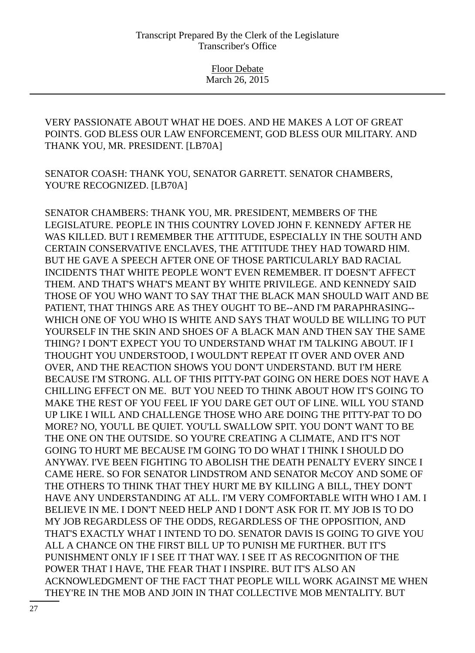VERY PASSIONATE ABOUT WHAT HE DOES. AND HE MAKES A LOT OF GREAT POINTS. GOD BLESS OUR LAW ENFORCEMENT, GOD BLESS OUR MILITARY. AND THANK YOU, MR. PRESIDENT. [LB70A]

SENATOR COASH: THANK YOU, SENATOR GARRETT. SENATOR CHAMBERS, YOU'RE RECOGNIZED. [LB70A]

SENATOR CHAMBERS: THANK YOU, MR. PRESIDENT, MEMBERS OF THE LEGISLATURE. PEOPLE IN THIS COUNTRY LOVED JOHN F. KENNEDY AFTER HE WAS KILLED. BUT I REMEMBER THE ATTITUDE, ESPECIALLY IN THE SOUTH AND CERTAIN CONSERVATIVE ENCLAVES, THE ATTITUDE THEY HAD TOWARD HIM. BUT HE GAVE A SPEECH AFTER ONE OF THOSE PARTICULARLY BAD RACIAL INCIDENTS THAT WHITE PEOPLE WON'T EVEN REMEMBER. IT DOESN'T AFFECT THEM. AND THAT'S WHAT'S MEANT BY WHITE PRIVILEGE. AND KENNEDY SAID THOSE OF YOU WHO WANT TO SAY THAT THE BLACK MAN SHOULD WAIT AND BE PATIENT, THAT THINGS ARE AS THEY OUGHT TO BE--AND I'M PARAPHRASING-- WHICH ONE OF YOU WHO IS WHITE AND SAYS THAT WOULD BE WILLING TO PUT YOURSELF IN THE SKIN AND SHOES OF A BLACK MAN AND THEN SAY THE SAME THING? I DON'T EXPECT YOU TO UNDERSTAND WHAT I'M TALKING ABOUT. IF I THOUGHT YOU UNDERSTOOD, I WOULDN'T REPEAT IT OVER AND OVER AND OVER, AND THE REACTION SHOWS YOU DON'T UNDERSTAND. BUT I'M HERE BECAUSE I'M STRONG. ALL OF THIS PITTY-PAT GOING ON HERE DOES NOT HAVE A CHILLING EFFECT ON ME. BUT YOU NEED TO THINK ABOUT HOW IT'S GOING TO MAKE THE REST OF YOU FEEL IF YOU DARE GET OUT OF LINE. WILL YOU STAND UP LIKE I WILL AND CHALLENGE THOSE WHO ARE DOING THE PITTY-PAT TO DO MORE? NO, YOU'LL BE QUIET. YOU'LL SWALLOW SPIT. YOU DON'T WANT TO BE THE ONE ON THE OUTSIDE. SO YOU'RE CREATING A CLIMATE, AND IT'S NOT GOING TO HURT ME BECAUSE I'M GOING TO DO WHAT I THINK I SHOULD DO ANYWAY. I'VE BEEN FIGHTING TO ABOLISH THE DEATH PENALTY EVERY SINCE I CAME HERE. SO FOR SENATOR LINDSTROM AND SENATOR McCOY AND SOME OF THE OTHERS TO THINK THAT THEY HURT ME BY KILLING A BILL, THEY DON'T HAVE ANY UNDERSTANDING AT ALL. I'M VERY COMFORTABLE WITH WHO I AM. I BELIEVE IN ME. I DON'T NEED HELP AND I DON'T ASK FOR IT. MY JOB IS TO DO MY JOB REGARDLESS OF THE ODDS, REGARDLESS OF THE OPPOSITION, AND THAT'S EXACTLY WHAT I INTEND TO DO. SENATOR DAVIS IS GOING TO GIVE YOU ALL A CHANCE ON THE FIRST BILL UP TO PUNISH ME FURTHER. BUT IT'S PUNISHMENT ONLY IF I SEE IT THAT WAY. I SEE IT AS RECOGNITION OF THE POWER THAT I HAVE, THE FEAR THAT I INSPIRE. BUT IT'S ALSO AN ACKNOWLEDGMENT OF THE FACT THAT PEOPLE WILL WORK AGAINST ME WHEN THEY'RE IN THE MOB AND JOIN IN THAT COLLECTIVE MOB MENTALITY. BUT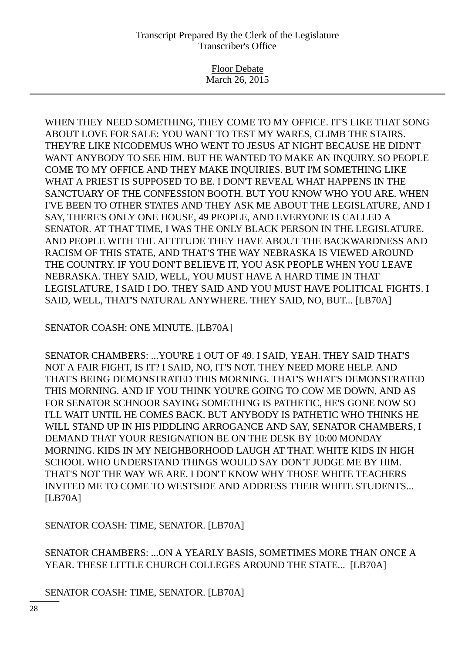Floor Debate March 26, 2015

WHEN THEY NEED SOMETHING, THEY COME TO MY OFFICE. IT'S LIKE THAT SONG ABOUT LOVE FOR SALE: YOU WANT TO TEST MY WARES, CLIMB THE STAIRS. THEY'RE LIKE NICODEMUS WHO WENT TO JESUS AT NIGHT BECAUSE HE DIDN'T WANT ANYBODY TO SEE HIM. BUT HE WANTED TO MAKE AN INQUIRY. SO PEOPLE COME TO MY OFFICE AND THEY MAKE INQUIRIES. BUT I'M SOMETHING LIKE WHAT A PRIEST IS SUPPOSED TO BE. I DON'T REVEAL WHAT HAPPENS IN THE SANCTUARY OF THE CONFESSION BOOTH. BUT YOU KNOW WHO YOU ARE. WHEN I'VE BEEN TO OTHER STATES AND THEY ASK ME ABOUT THE LEGISLATURE, AND I SAY, THERE'S ONLY ONE HOUSE, 49 PEOPLE, AND EVERYONE IS CALLED A SENATOR. AT THAT TIME, I WAS THE ONLY BLACK PERSON IN THE LEGISLATURE. AND PEOPLE WITH THE ATTITUDE THEY HAVE ABOUT THE BACKWARDNESS AND RACISM OF THIS STATE, AND THAT'S THE WAY NEBRASKA IS VIEWED AROUND THE COUNTRY. IF YOU DON'T BELIEVE IT, YOU ASK PEOPLE WHEN YOU LEAVE NEBRASKA. THEY SAID, WELL, YOU MUST HAVE A HARD TIME IN THAT LEGISLATURE, I SAID I DO. THEY SAID AND YOU MUST HAVE POLITICAL FIGHTS. I SAID, WELL, THAT'S NATURAL ANYWHERE. THEY SAID, NO, BUT... [LB70A]

SENATOR COASH: ONE MINUTE. [LB70A]

SENATOR CHAMBERS: ...YOU'RE 1 OUT OF 49. I SAID, YEAH. THEY SAID THAT'S NOT A FAIR FIGHT, IS IT? I SAID, NO, IT'S NOT. THEY NEED MORE HELP. AND THAT'S BEING DEMONSTRATED THIS MORNING. THAT'S WHAT'S DEMONSTRATED THIS MORNING. AND IF YOU THINK YOU'RE GOING TO COW ME DOWN, AND AS FOR SENATOR SCHNOOR SAYING SOMETHING IS PATHETIC, HE'S GONE NOW SO I'LL WAIT UNTIL HE COMES BACK. BUT ANYBODY IS PATHETIC WHO THINKS HE WILL STAND UP IN HIS PIDDLING ARROGANCE AND SAY, SENATOR CHAMBERS, I DEMAND THAT YOUR RESIGNATION BE ON THE DESK BY 10:00 MONDAY MORNING. KIDS IN MY NEIGHBORHOOD LAUGH AT THAT. WHITE KIDS IN HIGH SCHOOL WHO UNDERSTAND THINGS WOULD SAY DON'T JUDGE ME BY HIM. THAT'S NOT THE WAY WE ARE. I DON'T KNOW WHY THOSE WHITE TEACHERS INVITED ME TO COME TO WESTSIDE AND ADDRESS THEIR WHITE STUDENTS... [LB70A]

SENATOR COASH: TIME, SENATOR. [LB70A]

SENATOR CHAMBERS: ...ON A YEARLY BASIS, SOMETIMES MORE THAN ONCE A YEAR. THESE LITTLE CHURCH COLLEGES AROUND THE STATE... [LB70A]

SENATOR COASH: TIME, SENATOR. [LB70A]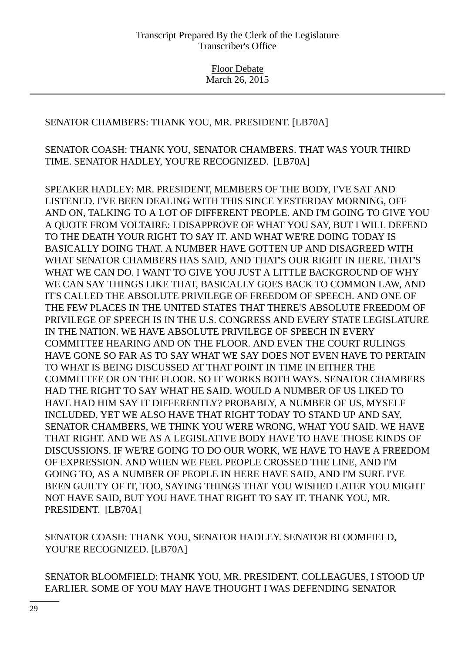# SENATOR CHAMBERS: THANK YOU, MR. PRESIDENT. [LB70A]

## SENATOR COASH: THANK YOU, SENATOR CHAMBERS. THAT WAS YOUR THIRD TIME. SENATOR HADLEY, YOU'RE RECOGNIZED. [LB70A]

SPEAKER HADLEY: MR. PRESIDENT, MEMBERS OF THE BODY, I'VE SAT AND LISTENED. I'VE BEEN DEALING WITH THIS SINCE YESTERDAY MORNING, OFF AND ON, TALKING TO A LOT OF DIFFERENT PEOPLE. AND I'M GOING TO GIVE YOU A QUOTE FROM VOLTAIRE: I DISAPPROVE OF WHAT YOU SAY, BUT I WILL DEFEND TO THE DEATH YOUR RIGHT TO SAY IT. AND WHAT WE'RE DOING TODAY IS BASICALLY DOING THAT. A NUMBER HAVE GOTTEN UP AND DISAGREED WITH WHAT SENATOR CHAMBERS HAS SAID, AND THAT'S OUR RIGHT IN HERE. THAT'S WHAT WE CAN DO. I WANT TO GIVE YOU JUST A LITTLE BACKGROUND OF WHY WE CAN SAY THINGS LIKE THAT, BASICALLY GOES BACK TO COMMON LAW, AND IT'S CALLED THE ABSOLUTE PRIVILEGE OF FREEDOM OF SPEECH. AND ONE OF THE FEW PLACES IN THE UNITED STATES THAT THERE'S ABSOLUTE FREEDOM OF PRIVILEGE OF SPEECH IS IN THE U.S. CONGRESS AND EVERY STATE LEGISLATURE IN THE NATION. WE HAVE ABSOLUTE PRIVILEGE OF SPEECH IN EVERY COMMITTEE HEARING AND ON THE FLOOR. AND EVEN THE COURT RULINGS HAVE GONE SO FAR AS TO SAY WHAT WE SAY DOES NOT EVEN HAVE TO PERTAIN TO WHAT IS BEING DISCUSSED AT THAT POINT IN TIME IN EITHER THE COMMITTEE OR ON THE FLOOR. SO IT WORKS BOTH WAYS. SENATOR CHAMBERS HAD THE RIGHT TO SAY WHAT HE SAID. WOULD A NUMBER OF US LIKED TO HAVE HAD HIM SAY IT DIFFERENTLY? PROBABLY, A NUMBER OF US, MYSELF INCLUDED, YET WE ALSO HAVE THAT RIGHT TODAY TO STAND UP AND SAY, SENATOR CHAMBERS, WE THINK YOU WERE WRONG, WHAT YOU SAID. WE HAVE THAT RIGHT. AND WE AS A LEGISLATIVE BODY HAVE TO HAVE THOSE KINDS OF DISCUSSIONS. IF WE'RE GOING TO DO OUR WORK, WE HAVE TO HAVE A FREEDOM OF EXPRESSION. AND WHEN WE FEEL PEOPLE CROSSED THE LINE, AND I'M GOING TO, AS A NUMBER OF PEOPLE IN HERE HAVE SAID, AND I'M SURE I'VE BEEN GUILTY OF IT, TOO, SAYING THINGS THAT YOU WISHED LATER YOU MIGHT NOT HAVE SAID, BUT YOU HAVE THAT RIGHT TO SAY IT. THANK YOU, MR. PRESIDENT. [LB70A]

SENATOR COASH: THANK YOU, SENATOR HADLEY. SENATOR BLOOMFIELD, YOU'RE RECOGNIZED. [LB70A]

SENATOR BLOOMFIELD: THANK YOU, MR. PRESIDENT. COLLEAGUES, I STOOD UP EARLIER. SOME OF YOU MAY HAVE THOUGHT I WAS DEFENDING SENATOR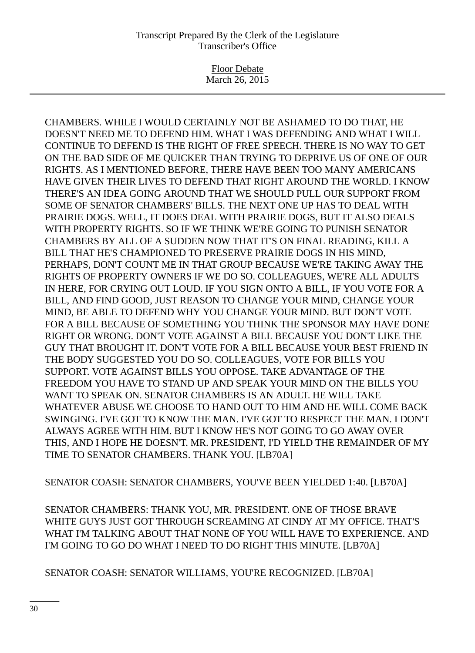Floor Debate March 26, 2015

CHAMBERS. WHILE I WOULD CERTAINLY NOT BE ASHAMED TO DO THAT, HE DOESN'T NEED ME TO DEFEND HIM. WHAT I WAS DEFENDING AND WHAT I WILL CONTINUE TO DEFEND IS THE RIGHT OF FREE SPEECH. THERE IS NO WAY TO GET ON THE BAD SIDE OF ME QUICKER THAN TRYING TO DEPRIVE US OF ONE OF OUR RIGHTS. AS I MENTIONED BEFORE, THERE HAVE BEEN TOO MANY AMERICANS HAVE GIVEN THEIR LIVES TO DEFEND THAT RIGHT AROUND THE WORLD. I KNOW THERE'S AN IDEA GOING AROUND THAT WE SHOULD PULL OUR SUPPORT FROM SOME OF SENATOR CHAMBERS' BILLS. THE NEXT ONE UP HAS TO DEAL WITH PRAIRIE DOGS. WELL, IT DOES DEAL WITH PRAIRIE DOGS, BUT IT ALSO DEALS WITH PROPERTY RIGHTS. SO IF WE THINK WE'RE GOING TO PUNISH SENATOR CHAMBERS BY ALL OF A SUDDEN NOW THAT IT'S ON FINAL READING, KILL A BILL THAT HE'S CHAMPIONED TO PRESERVE PRAIRIE DOGS IN HIS MIND, PERHAPS, DON'T COUNT ME IN THAT GROUP BECAUSE WE'RE TAKING AWAY THE RIGHTS OF PROPERTY OWNERS IF WE DO SO. COLLEAGUES, WE'RE ALL ADULTS IN HERE, FOR CRYING OUT LOUD. IF YOU SIGN ONTO A BILL, IF YOU VOTE FOR A BILL, AND FIND GOOD, JUST REASON TO CHANGE YOUR MIND, CHANGE YOUR MIND, BE ABLE TO DEFEND WHY YOU CHANGE YOUR MIND. BUT DON'T VOTE FOR A BILL BECAUSE OF SOMETHING YOU THINK THE SPONSOR MAY HAVE DONE RIGHT OR WRONG. DON'T VOTE AGAINST A BILL BECAUSE YOU DON'T LIKE THE GUY THAT BROUGHT IT. DON'T VOTE FOR A BILL BECAUSE YOUR BEST FRIEND IN THE BODY SUGGESTED YOU DO SO. COLLEAGUES, VOTE FOR BILLS YOU SUPPORT. VOTE AGAINST BILLS YOU OPPOSE. TAKE ADVANTAGE OF THE FREEDOM YOU HAVE TO STAND UP AND SPEAK YOUR MIND ON THE BILLS YOU WANT TO SPEAK ON. SENATOR CHAMBERS IS AN ADULT. HE WILL TAKE WHATEVER ABUSE WE CHOOSE TO HAND OUT TO HIM AND HE WILL COME BACK SWINGING. I'VE GOT TO KNOW THE MAN. I'VE GOT TO RESPECT THE MAN. I DON'T ALWAYS AGREE WITH HIM. BUT I KNOW HE'S NOT GOING TO GO AWAY OVER THIS, AND I HOPE HE DOESN'T. MR. PRESIDENT, I'D YIELD THE REMAINDER OF MY TIME TO SENATOR CHAMBERS. THANK YOU. [LB70A]

SENATOR COASH: SENATOR CHAMBERS, YOU'VE BEEN YIELDED 1:40. [LB70A]

SENATOR CHAMBERS: THANK YOU, MR. PRESIDENT. ONE OF THOSE BRAVE WHITE GUYS JUST GOT THROUGH SCREAMING AT CINDY AT MY OFFICE. THAT'S WHAT I'M TALKING ABOUT THAT NONE OF YOU WILL HAVE TO EXPERIENCE. AND I'M GOING TO GO DO WHAT I NEED TO DO RIGHT THIS MINUTE. [LB70A]

SENATOR COASH: SENATOR WILLIAMS, YOU'RE RECOGNIZED. [LB70A]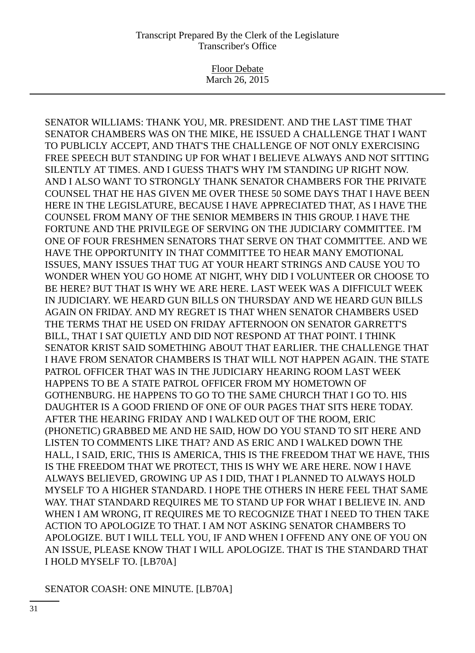Floor Debate March 26, 2015

SENATOR WILLIAMS: THANK YOU, MR. PRESIDENT. AND THE LAST TIME THAT SENATOR CHAMBERS WAS ON THE MIKE, HE ISSUED A CHALLENGE THAT I WANT TO PUBLICLY ACCEPT, AND THAT'S THE CHALLENGE OF NOT ONLY EXERCISING FREE SPEECH BUT STANDING UP FOR WHAT I BELIEVE ALWAYS AND NOT SITTING SILENTLY AT TIMES. AND I GUESS THAT'S WHY I'M STANDING UP RIGHT NOW. AND I ALSO WANT TO STRONGLY THANK SENATOR CHAMBERS FOR THE PRIVATE COUNSEL THAT HE HAS GIVEN ME OVER THESE 50 SOME DAYS THAT I HAVE BEEN HERE IN THE LEGISLATURE, BECAUSE I HAVE APPRECIATED THAT, AS I HAVE THE COUNSEL FROM MANY OF THE SENIOR MEMBERS IN THIS GROUP. I HAVE THE FORTUNE AND THE PRIVILEGE OF SERVING ON THE JUDICIARY COMMITTEE. I'M ONE OF FOUR FRESHMEN SENATORS THAT SERVE ON THAT COMMITTEE. AND WE HAVE THE OPPORTUNITY IN THAT COMMITTEE TO HEAR MANY EMOTIONAL ISSUES, MANY ISSUES THAT TUG AT YOUR HEART STRINGS AND CAUSE YOU TO WONDER WHEN YOU GO HOME AT NIGHT, WHY DID I VOLUNTEER OR CHOOSE TO BE HERE? BUT THAT IS WHY WE ARE HERE. LAST WEEK WAS A DIFFICULT WEEK IN JUDICIARY. WE HEARD GUN BILLS ON THURSDAY AND WE HEARD GUN BILLS AGAIN ON FRIDAY. AND MY REGRET IS THAT WHEN SENATOR CHAMBERS USED THE TERMS THAT HE USED ON FRIDAY AFTERNOON ON SENATOR GARRETT'S BILL, THAT I SAT QUIETLY AND DID NOT RESPOND AT THAT POINT. I THINK SENATOR KRIST SAID SOMETHING ABOUT THAT EARLIER. THE CHALLENGE THAT I HAVE FROM SENATOR CHAMBERS IS THAT WILL NOT HAPPEN AGAIN. THE STATE PATROL OFFICER THAT WAS IN THE JUDICIARY HEARING ROOM LAST WEEK HAPPENS TO BE A STATE PATROL OFFICER FROM MY HOMETOWN OF GOTHENBURG. HE HAPPENS TO GO TO THE SAME CHURCH THAT I GO TO. HIS DAUGHTER IS A GOOD FRIEND OF ONE OF OUR PAGES THAT SITS HERE TODAY. AFTER THE HEARING FRIDAY AND I WALKED OUT OF THE ROOM, ERIC (PHONETIC) GRABBED ME AND HE SAID, HOW DO YOU STAND TO SIT HERE AND LISTEN TO COMMENTS LIKE THAT? AND AS ERIC AND I WALKED DOWN THE HALL, I SAID, ERIC, THIS IS AMERICA, THIS IS THE FREEDOM THAT WE HAVE, THIS IS THE FREEDOM THAT WE PROTECT, THIS IS WHY WE ARE HERE. NOW I HAVE ALWAYS BELIEVED, GROWING UP AS I DID, THAT I PLANNED TO ALWAYS HOLD MYSELF TO A HIGHER STANDARD. I HOPE THE OTHERS IN HERE FEEL THAT SAME WAY. THAT STANDARD REQUIRES ME TO STAND UP FOR WHAT I BELIEVE IN. AND WHEN I AM WRONG, IT REQUIRES ME TO RECOGNIZE THAT I NEED TO THEN TAKE ACTION TO APOLOGIZE TO THAT. I AM NOT ASKING SENATOR CHAMBERS TO APOLOGIZE. BUT I WILL TELL YOU, IF AND WHEN I OFFEND ANY ONE OF YOU ON AN ISSUE, PLEASE KNOW THAT I WILL APOLOGIZE. THAT IS THE STANDARD THAT I HOLD MYSELF TO. [LB70A]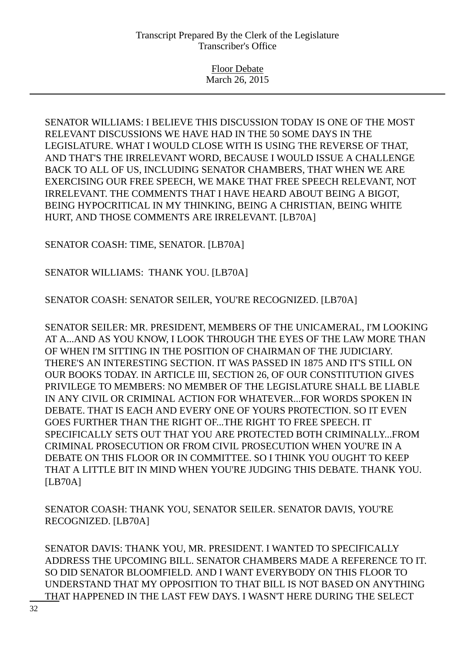SENATOR WILLIAMS: I BELIEVE THIS DISCUSSION TODAY IS ONE OF THE MOST RELEVANT DISCUSSIONS WE HAVE HAD IN THE 50 SOME DAYS IN THE LEGISLATURE. WHAT I WOULD CLOSE WITH IS USING THE REVERSE OF THAT, AND THAT'S THE IRRELEVANT WORD, BECAUSE I WOULD ISSUE A CHALLENGE BACK TO ALL OF US, INCLUDING SENATOR CHAMBERS, THAT WHEN WE ARE EXERCISING OUR FREE SPEECH, WE MAKE THAT FREE SPEECH RELEVANT, NOT IRRELEVANT. THE COMMENTS THAT I HAVE HEARD ABOUT BEING A BIGOT, BEING HYPOCRITICAL IN MY THINKING, BEING A CHRISTIAN, BEING WHITE HURT, AND THOSE COMMENTS ARE IRRELEVANT. [LB70A]

SENATOR COASH: TIME, SENATOR. [LB70A]

SENATOR WILLIAMS: THANK YOU. [LB70A]

SENATOR COASH: SENATOR SEILER, YOU'RE RECOGNIZED. [LB70A]

SENATOR SEILER: MR. PRESIDENT, MEMBERS OF THE UNICAMERAL, I'M LOOKING AT A...AND AS YOU KNOW, I LOOK THROUGH THE EYES OF THE LAW MORE THAN OF WHEN I'M SITTING IN THE POSITION OF CHAIRMAN OF THE JUDICIARY. THERE'S AN INTERESTING SECTION. IT WAS PASSED IN 1875 AND IT'S STILL ON OUR BOOKS TODAY. IN ARTICLE III, SECTION 26, OF OUR CONSTITUTION GIVES PRIVILEGE TO MEMBERS: NO MEMBER OF THE LEGISLATURE SHALL BE LIABLE IN ANY CIVIL OR CRIMINAL ACTION FOR WHATEVER...FOR WORDS SPOKEN IN DEBATE. THAT IS EACH AND EVERY ONE OF YOURS PROTECTION. SO IT EVEN GOES FURTHER THAN THE RIGHT OF...THE RIGHT TO FREE SPEECH. IT SPECIFICALLY SETS OUT THAT YOU ARE PROTECTED BOTH CRIMINALLY...FROM CRIMINAL PROSECUTION OR FROM CIVIL PROSECUTION WHEN YOU'RE IN A DEBATE ON THIS FLOOR OR IN COMMITTEE. SO I THINK YOU OUGHT TO KEEP THAT A LITTLE BIT IN MIND WHEN YOU'RE JUDGING THIS DEBATE. THANK YOU. [LB70A]

SENATOR COASH: THANK YOU, SENATOR SEILER. SENATOR DAVIS, YOU'RE RECOGNIZED. [LB70A]

SENATOR DAVIS: THANK YOU, MR. PRESIDENT. I WANTED TO SPECIFICALLY ADDRESS THE UPCOMING BILL. SENATOR CHAMBERS MADE A REFERENCE TO IT. SO DID SENATOR BLOOMFIELD. AND I WANT EVERYBODY ON THIS FLOOR TO UNDERSTAND THAT MY OPPOSITION TO THAT BILL IS NOT BASED ON ANYTHING THAT HAPPENED IN THE LAST FEW DAYS. I WASN'T HERE DURING THE SELECT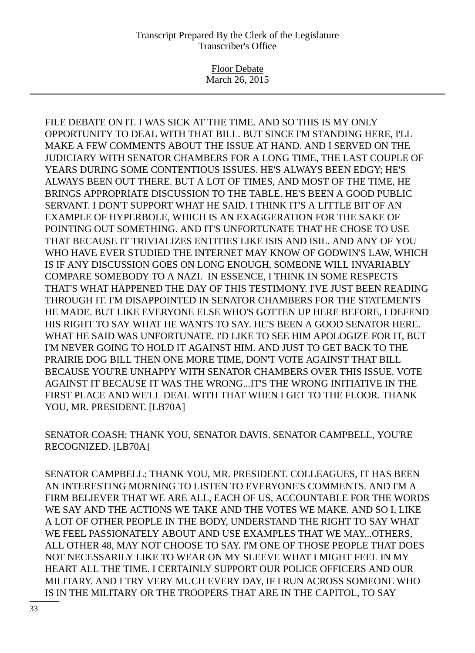Floor Debate March 26, 2015

FILE DEBATE ON IT. I WAS SICK AT THE TIME. AND SO THIS IS MY ONLY OPPORTUNITY TO DEAL WITH THAT BILL. BUT SINCE I'M STANDING HERE, I'LL MAKE A FEW COMMENTS ABOUT THE ISSUE AT HAND. AND I SERVED ON THE JUDICIARY WITH SENATOR CHAMBERS FOR A LONG TIME, THE LAST COUPLE OF YEARS DURING SOME CONTENTIOUS ISSUES. HE'S ALWAYS BEEN EDGY; HE'S ALWAYS BEEN OUT THERE. BUT A LOT OF TIMES, AND MOST OF THE TIME, HE BRINGS APPROPRIATE DISCUSSION TO THE TABLE. HE'S BEEN A GOOD PUBLIC SERVANT. I DON'T SUPPORT WHAT HE SAID. I THINK IT'S A LITTLE BIT OF AN EXAMPLE OF HYPERBOLE, WHICH IS AN EXAGGERATION FOR THE SAKE OF POINTING OUT SOMETHING. AND IT'S UNFORTUNATE THAT HE CHOSE TO USE THAT BECAUSE IT TRIVIALIZES ENTITIES LIKE ISIS AND ISIL. AND ANY OF YOU WHO HAVE EVER STUDIED THE INTERNET MAY KNOW OF GODWIN'S LAW, WHICH IS IF ANY DISCUSSION GOES ON LONG ENOUGH, SOMEONE WILL INVARIABLY COMPARE SOMEBODY TO A NAZI. IN ESSENCE, I THINK IN SOME RESPECTS THAT'S WHAT HAPPENED THE DAY OF THIS TESTIMONY. I'VE JUST BEEN READING THROUGH IT. I'M DISAPPOINTED IN SENATOR CHAMBERS FOR THE STATEMENTS HE MADE. BUT LIKE EVERYONE ELSE WHO'S GOTTEN UP HERE BEFORE, I DEFEND HIS RIGHT TO SAY WHAT HE WANTS TO SAY. HE'S BEEN A GOOD SENATOR HERE. WHAT HE SAID WAS UNFORTUNATE. I'D LIKE TO SEE HIM APOLOGIZE FOR IT, BUT I'M NEVER GOING TO HOLD IT AGAINST HIM. AND JUST TO GET BACK TO THE PRAIRIE DOG BILL THEN ONE MORE TIME, DON'T VOTE AGAINST THAT BILL BECAUSE YOU'RE UNHAPPY WITH SENATOR CHAMBERS OVER THIS ISSUE. VOTE AGAINST IT BECAUSE IT WAS THE WRONG...IT'S THE WRONG INITIATIVE IN THE FIRST PLACE AND WE'LL DEAL WITH THAT WHEN I GET TO THE FLOOR. THANK YOU, MR. PRESIDENT. [LB70A]

SENATOR COASH: THANK YOU, SENATOR DAVIS. SENATOR CAMPBELL, YOU'RE RECOGNIZED. [LB70A]

SENATOR CAMPBELL: THANK YOU, MR. PRESIDENT. COLLEAGUES, IT HAS BEEN AN INTERESTING MORNING TO LISTEN TO EVERYONE'S COMMENTS. AND I'M A FIRM BELIEVER THAT WE ARE ALL, EACH OF US, ACCOUNTABLE FOR THE WORDS WE SAY AND THE ACTIONS WE TAKE AND THE VOTES WE MAKE. AND SO I, LIKE A LOT OF OTHER PEOPLE IN THE BODY, UNDERSTAND THE RIGHT TO SAY WHAT WE FEEL PASSIONATELY ABOUT AND USE EXAMPLES THAT WE MAY...OTHERS, ALL OTHER 48, MAY NOT CHOOSE TO SAY. I'M ONE OF THOSE PEOPLE THAT DOES NOT NECESSARILY LIKE TO WEAR ON MY SLEEVE WHAT I MIGHT FEEL IN MY HEART ALL THE TIME. I CERTAINLY SUPPORT OUR POLICE OFFICERS AND OUR MILITARY. AND I TRY VERY MUCH EVERY DAY, IF I RUN ACROSS SOMEONE WHO IS IN THE MILITARY OR THE TROOPERS THAT ARE IN THE CAPITOL, TO SAY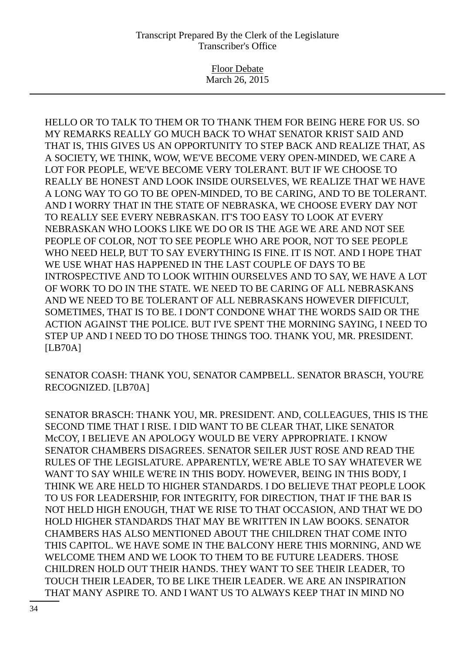Floor Debate March 26, 2015

HELLO OR TO TALK TO THEM OR TO THANK THEM FOR BEING HERE FOR US. SO MY REMARKS REALLY GO MUCH BACK TO WHAT SENATOR KRIST SAID AND THAT IS, THIS GIVES US AN OPPORTUNITY TO STEP BACK AND REALIZE THAT, AS A SOCIETY, WE THINK, WOW, WE'VE BECOME VERY OPEN-MINDED, WE CARE A LOT FOR PEOPLE, WE'VE BECOME VERY TOLERANT. BUT IF WE CHOOSE TO REALLY BE HONEST AND LOOK INSIDE OURSELVES, WE REALIZE THAT WE HAVE A LONG WAY TO GO TO BE OPEN-MINDED, TO BE CARING, AND TO BE TOLERANT. AND I WORRY THAT IN THE STATE OF NEBRASKA, WE CHOOSE EVERY DAY NOT TO REALLY SEE EVERY NEBRASKAN. IT'S TOO EASY TO LOOK AT EVERY NEBRASKAN WHO LOOKS LIKE WE DO OR IS THE AGE WE ARE AND NOT SEE PEOPLE OF COLOR, NOT TO SEE PEOPLE WHO ARE POOR, NOT TO SEE PEOPLE WHO NEED HELP, BUT TO SAY EVERYTHING IS FINE. IT IS NOT. AND I HOPE THAT WE USE WHAT HAS HAPPENED IN THE LAST COUPLE OF DAYS TO BE INTROSPECTIVE AND TO LOOK WITHIN OURSELVES AND TO SAY, WE HAVE A LOT OF WORK TO DO IN THE STATE. WE NEED TO BE CARING OF ALL NEBRASKANS AND WE NEED TO BE TOLERANT OF ALL NEBRASKANS HOWEVER DIFFICULT, SOMETIMES, THAT IS TO BE. I DON'T CONDONE WHAT THE WORDS SAID OR THE ACTION AGAINST THE POLICE. BUT I'VE SPENT THE MORNING SAYING, I NEED TO STEP UP AND I NEED TO DO THOSE THINGS TOO. THANK YOU, MR. PRESIDENT. [LB70A]

SENATOR COASH: THANK YOU, SENATOR CAMPBELL. SENATOR BRASCH, YOU'RE RECOGNIZED. [LB70A]

SENATOR BRASCH: THANK YOU, MR. PRESIDENT. AND, COLLEAGUES, THIS IS THE SECOND TIME THAT I RISE. I DID WANT TO BE CLEAR THAT, LIKE SENATOR McCOY, I BELIEVE AN APOLOGY WOULD BE VERY APPROPRIATE. I KNOW SENATOR CHAMBERS DISAGREES. SENATOR SEILER JUST ROSE AND READ THE RULES OF THE LEGISLATURE. APPARENTLY, WE'RE ABLE TO SAY WHATEVER WE WANT TO SAY WHILE WE'RE IN THIS BODY. HOWEVER, BEING IN THIS BODY, I THINK WE ARE HELD TO HIGHER STANDARDS. I DO BELIEVE THAT PEOPLE LOOK TO US FOR LEADERSHIP, FOR INTEGRITY, FOR DIRECTION, THAT IF THE BAR IS NOT HELD HIGH ENOUGH, THAT WE RISE TO THAT OCCASION, AND THAT WE DO HOLD HIGHER STANDARDS THAT MAY BE WRITTEN IN LAW BOOKS. SENATOR CHAMBERS HAS ALSO MENTIONED ABOUT THE CHILDREN THAT COME INTO THIS CAPITOL. WE HAVE SOME IN THE BALCONY HERE THIS MORNING, AND WE WELCOME THEM AND WE LOOK TO THEM TO BE FUTURE LEADERS. THOSE CHILDREN HOLD OUT THEIR HANDS. THEY WANT TO SEE THEIR LEADER, TO TOUCH THEIR LEADER, TO BE LIKE THEIR LEADER. WE ARE AN INSPIRATION THAT MANY ASPIRE TO. AND I WANT US TO ALWAYS KEEP THAT IN MIND NO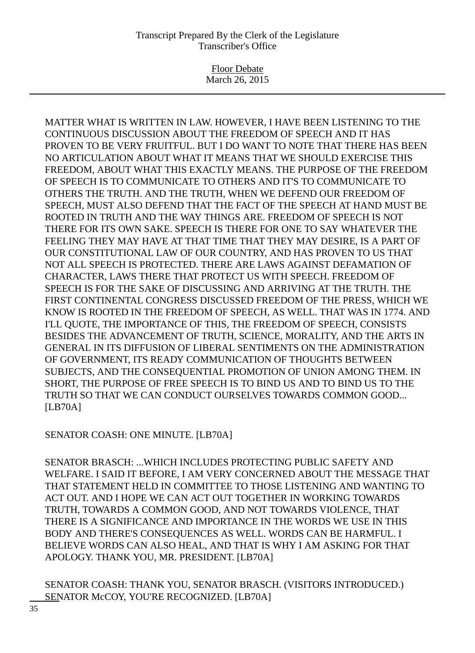Floor Debate March 26, 2015

MATTER WHAT IS WRITTEN IN LAW. HOWEVER, I HAVE BEEN LISTENING TO THE CONTINUOUS DISCUSSION ABOUT THE FREEDOM OF SPEECH AND IT HAS PROVEN TO BE VERY FRUITFUL. BUT I DO WANT TO NOTE THAT THERE HAS BEEN NO ARTICULATION ABOUT WHAT IT MEANS THAT WE SHOULD EXERCISE THIS FREEDOM, ABOUT WHAT THIS EXACTLY MEANS. THE PURPOSE OF THE FREEDOM OF SPEECH IS TO COMMUNICATE TO OTHERS AND IT'S TO COMMUNICATE TO OTHERS THE TRUTH. AND THE TRUTH, WHEN WE DEFEND OUR FREEDOM OF SPEECH, MUST ALSO DEFEND THAT THE FACT OF THE SPEECH AT HAND MUST BE ROOTED IN TRUTH AND THE WAY THINGS ARE. FREEDOM OF SPEECH IS NOT THERE FOR ITS OWN SAKE. SPEECH IS THERE FOR ONE TO SAY WHATEVER THE FEELING THEY MAY HAVE AT THAT TIME THAT THEY MAY DESIRE, IS A PART OF OUR CONSTITUTIONAL LAW OF OUR COUNTRY, AND HAS PROVEN TO US THAT NOT ALL SPEECH IS PROTECTED. THERE ARE LAWS AGAINST DEFAMATION OF CHARACTER, LAWS THERE THAT PROTECT US WITH SPEECH. FREEDOM OF SPEECH IS FOR THE SAKE OF DISCUSSING AND ARRIVING AT THE TRUTH. THE FIRST CONTINENTAL CONGRESS DISCUSSED FREEDOM OF THE PRESS, WHICH WE KNOW IS ROOTED IN THE FREEDOM OF SPEECH, AS WELL. THAT WAS IN 1774. AND I'LL QUOTE, THE IMPORTANCE OF THIS, THE FREEDOM OF SPEECH, CONSISTS BESIDES THE ADVANCEMENT OF TRUTH, SCIENCE, MORALITY, AND THE ARTS IN GENERAL IN ITS DIFFUSION OF LIBERAL SENTIMENTS ON THE ADMINISTRATION OF GOVERNMENT, ITS READY COMMUNICATION OF THOUGHTS BETWEEN SUBJECTS, AND THE CONSEQUENTIAL PROMOTION OF UNION AMONG THEM. IN SHORT, THE PURPOSE OF FREE SPEECH IS TO BIND US AND TO BIND US TO THE TRUTH SO THAT WE CAN CONDUCT OURSELVES TOWARDS COMMON GOOD... [LB70A]

SENATOR COASH: ONE MINUTE. [LB70A]

SENATOR BRASCH: ...WHICH INCLUDES PROTECTING PUBLIC SAFETY AND WELFARE. I SAID IT BEFORE, I AM VERY CONCERNED ABOUT THE MESSAGE THAT THAT STATEMENT HELD IN COMMITTEE TO THOSE LISTENING AND WANTING TO ACT OUT. AND I HOPE WE CAN ACT OUT TOGETHER IN WORKING TOWARDS TRUTH, TOWARDS A COMMON GOOD, AND NOT TOWARDS VIOLENCE, THAT THERE IS A SIGNIFICANCE AND IMPORTANCE IN THE WORDS WE USE IN THIS BODY AND THERE'S CONSEQUENCES AS WELL. WORDS CAN BE HARMFUL. I BELIEVE WORDS CAN ALSO HEAL, AND THAT IS WHY I AM ASKING FOR THAT APOLOGY. THANK YOU, MR. PRESIDENT. [LB70A]

SENATOR COASH: THANK YOU, SENATOR BRASCH. (VISITORS INTRODUCED.) SENATOR McCOY, YOU'RE RECOGNIZED. [LB70A]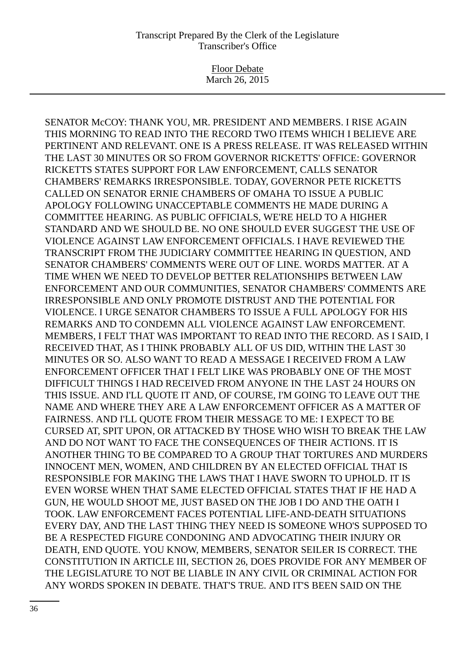Floor Debate March 26, 2015

SENATOR McCOY: THANK YOU, MR. PRESIDENT AND MEMBERS. I RISE AGAIN THIS MORNING TO READ INTO THE RECORD TWO ITEMS WHICH I BELIEVE ARE PERTINENT AND RELEVANT. ONE IS A PRESS RELEASE. IT WAS RELEASED WITHIN THE LAST 30 MINUTES OR SO FROM GOVERNOR RICKETTS' OFFICE: GOVERNOR RICKETTS STATES SUPPORT FOR LAW ENFORCEMENT, CALLS SENATOR CHAMBERS' REMARKS IRRESPONSIBLE. TODAY, GOVERNOR PETE RICKETTS CALLED ON SENATOR ERNIE CHAMBERS OF OMAHA TO ISSUE A PUBLIC APOLOGY FOLLOWING UNACCEPTABLE COMMENTS HE MADE DURING A COMMITTEE HEARING. AS PUBLIC OFFICIALS, WE'RE HELD TO A HIGHER STANDARD AND WE SHOULD BE. NO ONE SHOULD EVER SUGGEST THE USE OF VIOLENCE AGAINST LAW ENFORCEMENT OFFICIALS. I HAVE REVIEWED THE TRANSCRIPT FROM THE JUDICIARY COMMITTEE HEARING IN QUESTION, AND SENATOR CHAMBERS' COMMENTS WERE OUT OF LINE. WORDS MATTER. AT A TIME WHEN WE NEED TO DEVELOP BETTER RELATIONSHIPS BETWEEN LAW ENFORCEMENT AND OUR COMMUNITIES, SENATOR CHAMBERS' COMMENTS ARE IRRESPONSIBLE AND ONLY PROMOTE DISTRUST AND THE POTENTIAL FOR VIOLENCE. I URGE SENATOR CHAMBERS TO ISSUE A FULL APOLOGY FOR HIS REMARKS AND TO CONDEMN ALL VIOLENCE AGAINST LAW ENFORCEMENT. MEMBERS, I FELT THAT WAS IMPORTANT TO READ INTO THE RECORD. AS I SAID, I RECEIVED THAT, AS I THINK PROBABLY ALL OF US DID, WITHIN THE LAST 30 MINUTES OR SO. ALSO WANT TO READ A MESSAGE I RECEIVED FROM A LAW ENFORCEMENT OFFICER THAT I FELT LIKE WAS PROBABLY ONE OF THE MOST DIFFICULT THINGS I HAD RECEIVED FROM ANYONE IN THE LAST 24 HOURS ON THIS ISSUE. AND I'LL QUOTE IT AND, OF COURSE, I'M GOING TO LEAVE OUT THE NAME AND WHERE THEY ARE A LAW ENFORCEMENT OFFICER AS A MATTER OF FAIRNESS. AND I'LL QUOTE FROM THEIR MESSAGE TO ME: I EXPECT TO BE CURSED AT, SPIT UPON, OR ATTACKED BY THOSE WHO WISH TO BREAK THE LAW AND DO NOT WANT TO FACE THE CONSEQUENCES OF THEIR ACTIONS. IT IS ANOTHER THING TO BE COMPARED TO A GROUP THAT TORTURES AND MURDERS INNOCENT MEN, WOMEN, AND CHILDREN BY AN ELECTED OFFICIAL THAT IS RESPONSIBLE FOR MAKING THE LAWS THAT I HAVE SWORN TO UPHOLD. IT IS EVEN WORSE WHEN THAT SAME ELECTED OFFICIAL STATES THAT IF HE HAD A GUN, HE WOULD SHOOT ME, JUST BASED ON THE JOB I DO AND THE OATH I TOOK. LAW ENFORCEMENT FACES POTENTIAL LIFE-AND-DEATH SITUATIONS EVERY DAY, AND THE LAST THING THEY NEED IS SOMEONE WHO'S SUPPOSED TO BE A RESPECTED FIGURE CONDONING AND ADVOCATING THEIR INJURY OR DEATH, END QUOTE. YOU KNOW, MEMBERS, SENATOR SEILER IS CORRECT. THE CONSTITUTION IN ARTICLE III, SECTION 26, DOES PROVIDE FOR ANY MEMBER OF THE LEGISLATURE TO NOT BE LIABLE IN ANY CIVIL OR CRIMINAL ACTION FOR ANY WORDS SPOKEN IN DEBATE. THAT'S TRUE. AND IT'S BEEN SAID ON THE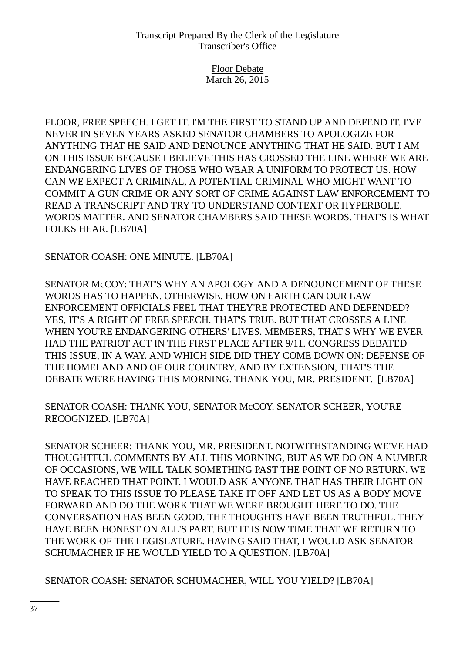Floor Debate March 26, 2015

FLOOR, FREE SPEECH. I GET IT. I'M THE FIRST TO STAND UP AND DEFEND IT. I'VE NEVER IN SEVEN YEARS ASKED SENATOR CHAMBERS TO APOLOGIZE FOR ANYTHING THAT HE SAID AND DENOUNCE ANYTHING THAT HE SAID. BUT I AM ON THIS ISSUE BECAUSE I BELIEVE THIS HAS CROSSED THE LINE WHERE WE ARE ENDANGERING LIVES OF THOSE WHO WEAR A UNIFORM TO PROTECT US. HOW CAN WE EXPECT A CRIMINAL, A POTENTIAL CRIMINAL WHO MIGHT WANT TO COMMIT A GUN CRIME OR ANY SORT OF CRIME AGAINST LAW ENFORCEMENT TO READ A TRANSCRIPT AND TRY TO UNDERSTAND CONTEXT OR HYPERBOLE. WORDS MATTER. AND SENATOR CHAMBERS SAID THESE WORDS. THAT'S IS WHAT FOLKS HEAR. [LB70A]

SENATOR COASH: ONE MINUTE. [LB70A]

SENATOR McCOY: THAT'S WHY AN APOLOGY AND A DENOUNCEMENT OF THESE WORDS HAS TO HAPPEN. OTHERWISE, HOW ON EARTH CAN OUR LAW ENFORCEMENT OFFICIALS FEEL THAT THEY'RE PROTECTED AND DEFENDED? YES, IT'S A RIGHT OF FREE SPEECH. THAT'S TRUE. BUT THAT CROSSES A LINE WHEN YOU'RE ENDANGERING OTHERS' LIVES. MEMBERS, THAT'S WHY WE EVER HAD THE PATRIOT ACT IN THE FIRST PLACE AFTER 9/11. CONGRESS DEBATED THIS ISSUE, IN A WAY. AND WHICH SIDE DID THEY COME DOWN ON: DEFENSE OF THE HOMELAND AND OF OUR COUNTRY. AND BY EXTENSION, THAT'S THE DEBATE WE'RE HAVING THIS MORNING. THANK YOU, MR. PRESIDENT. [LB70A]

SENATOR COASH: THANK YOU, SENATOR McCOY. SENATOR SCHEER, YOU'RE RECOGNIZED. [LB70A]

SENATOR SCHEER: THANK YOU, MR. PRESIDENT. NOTWITHSTANDING WE'VE HAD THOUGHTFUL COMMENTS BY ALL THIS MORNING, BUT AS WE DO ON A NUMBER OF OCCASIONS, WE WILL TALK SOMETHING PAST THE POINT OF NO RETURN. WE HAVE REACHED THAT POINT. I WOULD ASK ANYONE THAT HAS THEIR LIGHT ON TO SPEAK TO THIS ISSUE TO PLEASE TAKE IT OFF AND LET US AS A BODY MOVE FORWARD AND DO THE WORK THAT WE WERE BROUGHT HERE TO DO. THE CONVERSATION HAS BEEN GOOD. THE THOUGHTS HAVE BEEN TRUTHFUL. THEY HAVE BEEN HONEST ON ALL'S PART. BUT IT IS NOW TIME THAT WE RETURN TO THE WORK OF THE LEGISLATURE. HAVING SAID THAT, I WOULD ASK SENATOR SCHUMACHER IF HE WOULD YIELD TO A QUESTION. [LB70A]

SENATOR COASH: SENATOR SCHUMACHER, WILL YOU YIELD? [LB70A]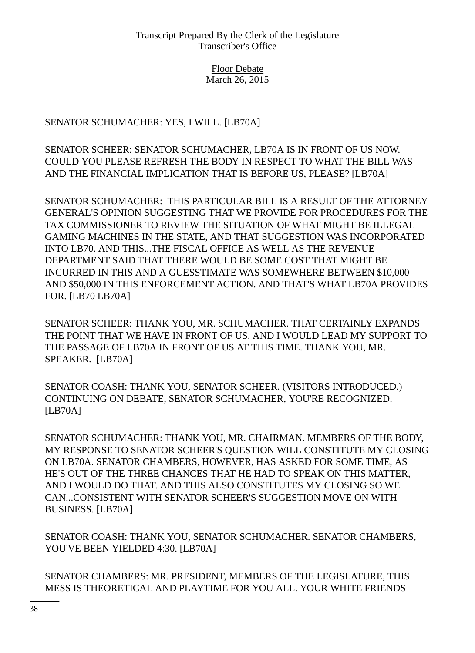# SENATOR SCHUMACHER: YES, I WILL. [LB70A]

SENATOR SCHEER: SENATOR SCHUMACHER, LB70A IS IN FRONT OF US NOW. COULD YOU PLEASE REFRESH THE BODY IN RESPECT TO WHAT THE BILL WAS AND THE FINANCIAL IMPLICATION THAT IS BEFORE US, PLEASE? [LB70A]

SENATOR SCHUMACHER: THIS PARTICULAR BILL IS A RESULT OF THE ATTORNEY GENERAL'S OPINION SUGGESTING THAT WE PROVIDE FOR PROCEDURES FOR THE TAX COMMISSIONER TO REVIEW THE SITUATION OF WHAT MIGHT BE ILLEGAL GAMING MACHINES IN THE STATE, AND THAT SUGGESTION WAS INCORPORATED INTO LB70. AND THIS...THE FISCAL OFFICE AS WELL AS THE REVENUE DEPARTMENT SAID THAT THERE WOULD BE SOME COST THAT MIGHT BE INCURRED IN THIS AND A GUESSTIMATE WAS SOMEWHERE BETWEEN \$10,000 AND \$50,000 IN THIS ENFORCEMENT ACTION. AND THAT'S WHAT LB70A PROVIDES FOR. [LB70 LB70A]

SENATOR SCHEER: THANK YOU, MR. SCHUMACHER. THAT CERTAINLY EXPANDS THE POINT THAT WE HAVE IN FRONT OF US. AND I WOULD LEAD MY SUPPORT TO THE PASSAGE OF LB70A IN FRONT OF US AT THIS TIME. THANK YOU, MR. SPEAKER. [LB70A]

SENATOR COASH: THANK YOU, SENATOR SCHEER. (VISITORS INTRODUCED.) CONTINUING ON DEBATE, SENATOR SCHUMACHER, YOU'RE RECOGNIZED. [LB70A]

SENATOR SCHUMACHER: THANK YOU, MR. CHAIRMAN. MEMBERS OF THE BODY, MY RESPONSE TO SENATOR SCHEER'S QUESTION WILL CONSTITUTE MY CLOSING ON LB70A. SENATOR CHAMBERS, HOWEVER, HAS ASKED FOR SOME TIME, AS HE'S OUT OF THE THREE CHANCES THAT HE HAD TO SPEAK ON THIS MATTER, AND I WOULD DO THAT. AND THIS ALSO CONSTITUTES MY CLOSING SO WE CAN...CONSISTENT WITH SENATOR SCHEER'S SUGGESTION MOVE ON WITH BUSINESS. [LB70A]

SENATOR COASH: THANK YOU, SENATOR SCHUMACHER. SENATOR CHAMBERS, YOU'VE BEEN YIELDED 4:30. [LB70A]

SENATOR CHAMBERS: MR. PRESIDENT, MEMBERS OF THE LEGISLATURE, THIS MESS IS THEORETICAL AND PLAYTIME FOR YOU ALL. YOUR WHITE FRIENDS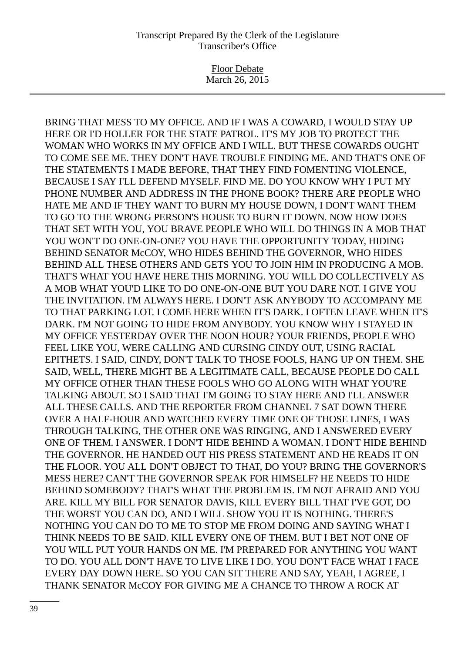Floor Debate March 26, 2015

BRING THAT MESS TO MY OFFICE. AND IF I WAS A COWARD, I WOULD STAY UP HERE OR I'D HOLLER FOR THE STATE PATROL. IT'S MY JOB TO PROTECT THE WOMAN WHO WORKS IN MY OFFICE AND I WILL. BUT THESE COWARDS OUGHT TO COME SEE ME. THEY DON'T HAVE TROUBLE FINDING ME. AND THAT'S ONE OF THE STATEMENTS I MADE BEFORE, THAT THEY FIND FOMENTING VIOLENCE, BECAUSE I SAY I'LL DEFEND MYSELF. FIND ME. DO YOU KNOW WHY I PUT MY PHONE NUMBER AND ADDRESS IN THE PHONE BOOK? THERE ARE PEOPLE WHO HATE ME AND IF THEY WANT TO BURN MY HOUSE DOWN, I DON'T WANT THEM TO GO TO THE WRONG PERSON'S HOUSE TO BURN IT DOWN. NOW HOW DOES THAT SET WITH YOU, YOU BRAVE PEOPLE WHO WILL DO THINGS IN A MOB THAT YOU WON'T DO ONE-ON-ONE? YOU HAVE THE OPPORTUNITY TODAY, HIDING BEHIND SENATOR McCOY, WHO HIDES BEHIND THE GOVERNOR, WHO HIDES BEHIND ALL THESE OTHERS AND GETS YOU TO JOIN HIM IN PRODUCING A MOB. THAT'S WHAT YOU HAVE HERE THIS MORNING. YOU WILL DO COLLECTIVELY AS A MOB WHAT YOU'D LIKE TO DO ONE-ON-ONE BUT YOU DARE NOT. I GIVE YOU THE INVITATION. I'M ALWAYS HERE. I DON'T ASK ANYBODY TO ACCOMPANY ME TO THAT PARKING LOT. I COME HERE WHEN IT'S DARK. I OFTEN LEAVE WHEN IT'S DARK. I'M NOT GOING TO HIDE FROM ANYBODY. YOU KNOW WHY I STAYED IN MY OFFICE YESTERDAY OVER THE NOON HOUR? YOUR FRIENDS, PEOPLE WHO FEEL LIKE YOU, WERE CALLING AND CURSING CINDY OUT, USING RACIAL EPITHETS. I SAID, CINDY, DON'T TALK TO THOSE FOOLS, HANG UP ON THEM. SHE SAID, WELL, THERE MIGHT BE A LEGITIMATE CALL, BECAUSE PEOPLE DO CALL MY OFFICE OTHER THAN THESE FOOLS WHO GO ALONG WITH WHAT YOU'RE TALKING ABOUT. SO I SAID THAT I'M GOING TO STAY HERE AND I'LL ANSWER ALL THESE CALLS. AND THE REPORTER FROM CHANNEL 7 SAT DOWN THERE OVER A HALF-HOUR AND WATCHED EVERY TIME ONE OF THOSE LINES, I WAS THROUGH TALKING, THE OTHER ONE WAS RINGING, AND I ANSWERED EVERY ONE OF THEM. I ANSWER. I DON'T HIDE BEHIND A WOMAN. I DON'T HIDE BEHIND THE GOVERNOR. HE HANDED OUT HIS PRESS STATEMENT AND HE READS IT ON THE FLOOR. YOU ALL DON'T OBJECT TO THAT, DO YOU? BRING THE GOVERNOR'S MESS HERE? CAN'T THE GOVERNOR SPEAK FOR HIMSELF? HE NEEDS TO HIDE BEHIND SOMEBODY? THAT'S WHAT THE PROBLEM IS. I'M NOT AFRAID AND YOU ARE. KILL MY BILL FOR SENATOR DAVIS, KILL EVERY BILL THAT I'VE GOT, DO THE WORST YOU CAN DO, AND I WILL SHOW YOU IT IS NOTHING. THERE'S NOTHING YOU CAN DO TO ME TO STOP ME FROM DOING AND SAYING WHAT I THINK NEEDS TO BE SAID. KILL EVERY ONE OF THEM. BUT I BET NOT ONE OF YOU WILL PUT YOUR HANDS ON ME. I'M PREPARED FOR ANYTHING YOU WANT TO DO. YOU ALL DON'T HAVE TO LIVE LIKE I DO. YOU DON'T FACE WHAT I FACE EVERY DAY DOWN HERE. SO YOU CAN SIT THERE AND SAY, YEAH, I AGREE, I THANK SENATOR McCOY FOR GIVING ME A CHANCE TO THROW A ROCK AT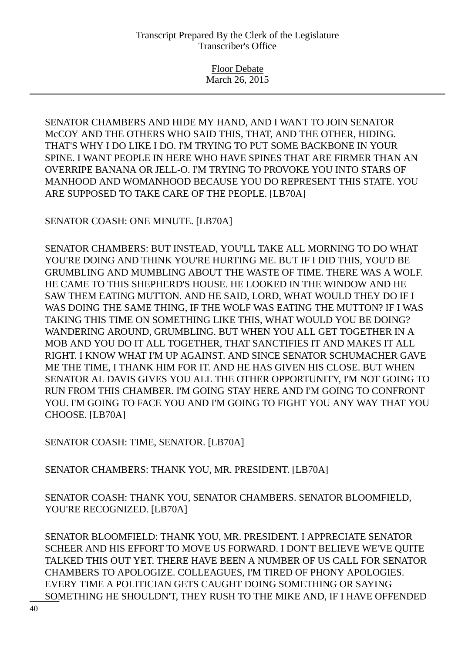Floor Debate March 26, 2015

SENATOR CHAMBERS AND HIDE MY HAND, AND I WANT TO JOIN SENATOR McCOY AND THE OTHERS WHO SAID THIS, THAT, AND THE OTHER, HIDING. THAT'S WHY I DO LIKE I DO. I'M TRYING TO PUT SOME BACKBONE IN YOUR SPINE. I WANT PEOPLE IN HERE WHO HAVE SPINES THAT ARE FIRMER THAN AN OVERRIPE BANANA OR JELL-O. I'M TRYING TO PROVOKE YOU INTO STARS OF MANHOOD AND WOMANHOOD BECAUSE YOU DO REPRESENT THIS STATE. YOU ARE SUPPOSED TO TAKE CARE OF THE PEOPLE. [LB70A]

SENATOR COASH: ONE MINUTE. [LB70A]

SENATOR CHAMBERS: BUT INSTEAD, YOU'LL TAKE ALL MORNING TO DO WHAT YOU'RE DOING AND THINK YOU'RE HURTING ME. BUT IF I DID THIS, YOU'D BE GRUMBLING AND MUMBLING ABOUT THE WASTE OF TIME. THERE WAS A WOLF. HE CAME TO THIS SHEPHERD'S HOUSE. HE LOOKED IN THE WINDOW AND HE SAW THEM EATING MUTTON. AND HE SAID, LORD, WHAT WOULD THEY DO IF I WAS DOING THE SAME THING, IF THE WOLF WAS EATING THE MUTTON? IF I WAS TAKING THIS TIME ON SOMETHING LIKE THIS, WHAT WOULD YOU BE DOING? WANDERING AROUND, GRUMBLING. BUT WHEN YOU ALL GET TOGETHER IN A MOB AND YOU DO IT ALL TOGETHER, THAT SANCTIFIES IT AND MAKES IT ALL RIGHT. I KNOW WHAT I'M UP AGAINST. AND SINCE SENATOR SCHUMACHER GAVE ME THE TIME, I THANK HIM FOR IT. AND HE HAS GIVEN HIS CLOSE. BUT WHEN SENATOR AL DAVIS GIVES YOU ALL THE OTHER OPPORTUNITY, I'M NOT GOING TO RUN FROM THIS CHAMBER. I'M GOING STAY HERE AND I'M GOING TO CONFRONT YOU. I'M GOING TO FACE YOU AND I'M GOING TO FIGHT YOU ANY WAY THAT YOU CHOOSE. [LB70A]

SENATOR COASH: TIME, SENATOR. [LB70A]

SENATOR CHAMBERS: THANK YOU, MR. PRESIDENT. [LB70A]

SENATOR COASH: THANK YOU, SENATOR CHAMBERS. SENATOR BLOOMFIELD, YOU'RE RECOGNIZED. [LB70A]

SENATOR BLOOMFIELD: THANK YOU, MR. PRESIDENT. I APPRECIATE SENATOR SCHEER AND HIS EFFORT TO MOVE US FORWARD. I DON'T BELIEVE WE'VE QUITE TALKED THIS OUT YET. THERE HAVE BEEN A NUMBER OF US CALL FOR SENATOR CHAMBERS TO APOLOGIZE. COLLEAGUES, I'M TIRED OF PHONY APOLOGIES. EVERY TIME A POLITICIAN GETS CAUGHT DOING SOMETHING OR SAYING SOMETHING HE SHOULDN'T, THEY RUSH TO THE MIKE AND, IF I HAVE OFFENDED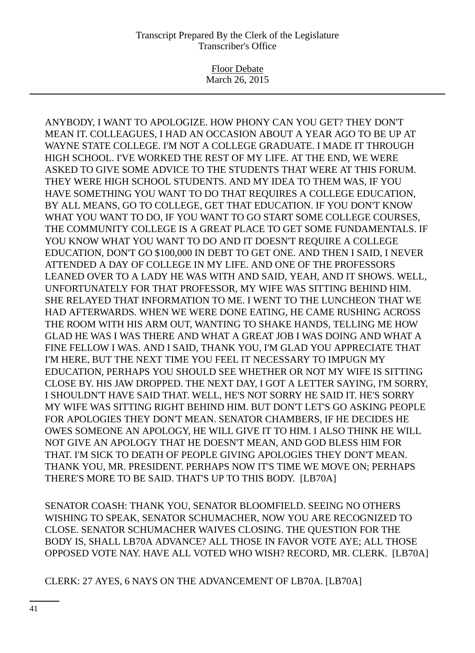Floor Debate March 26, 2015

ANYBODY, I WANT TO APOLOGIZE. HOW PHONY CAN YOU GET? THEY DON'T MEAN IT. COLLEAGUES, I HAD AN OCCASION ABOUT A YEAR AGO TO BE UP AT WAYNE STATE COLLEGE. I'M NOT A COLLEGE GRADUATE. I MADE IT THROUGH HIGH SCHOOL. I'VE WORKED THE REST OF MY LIFE. AT THE END, WE WERE ASKED TO GIVE SOME ADVICE TO THE STUDENTS THAT WERE AT THIS FORUM. THEY WERE HIGH SCHOOL STUDENTS. AND MY IDEA TO THEM WAS, IF YOU HAVE SOMETHING YOU WANT TO DO THAT REQUIRES A COLLEGE EDUCATION, BY ALL MEANS, GO TO COLLEGE, GET THAT EDUCATION. IF YOU DON'T KNOW WHAT YOU WANT TO DO, IF YOU WANT TO GO START SOME COLLEGE COURSES, THE COMMUNITY COLLEGE IS A GREAT PLACE TO GET SOME FUNDAMENTALS. IF YOU KNOW WHAT YOU WANT TO DO AND IT DOESN'T REQUIRE A COLLEGE EDUCATION, DON'T GO \$100,000 IN DEBT TO GET ONE. AND THEN I SAID, I NEVER ATTENDED A DAY OF COLLEGE IN MY LIFE. AND ONE OF THE PROFESSORS LEANED OVER TO A LADY HE WAS WITH AND SAID, YEAH, AND IT SHOWS. WELL, UNFORTUNATELY FOR THAT PROFESSOR, MY WIFE WAS SITTING BEHIND HIM. SHE RELAYED THAT INFORMATION TO ME. I WENT TO THE LUNCHEON THAT WE HAD AFTERWARDS. WHEN WE WERE DONE EATING, HE CAME RUSHING ACROSS THE ROOM WITH HIS ARM OUT, WANTING TO SHAKE HANDS, TELLING ME HOW GLAD HE WAS I WAS THERE AND WHAT A GREAT JOB I WAS DOING AND WHAT A FINE FELLOW I WAS. AND I SAID, THANK YOU, I'M GLAD YOU APPRECIATE THAT I'M HERE, BUT THE NEXT TIME YOU FEEL IT NECESSARY TO IMPUGN MY EDUCATION, PERHAPS YOU SHOULD SEE WHETHER OR NOT MY WIFE IS SITTING CLOSE BY. HIS JAW DROPPED. THE NEXT DAY, I GOT A LETTER SAYING, I'M SORRY, I SHOULDN'T HAVE SAID THAT. WELL, HE'S NOT SORRY HE SAID IT. HE'S SORRY MY WIFE WAS SITTING RIGHT BEHIND HIM. BUT DON'T LET'S GO ASKING PEOPLE FOR APOLOGIES THEY DON'T MEAN. SENATOR CHAMBERS, IF HE DECIDES HE OWES SOMEONE AN APOLOGY, HE WILL GIVE IT TO HIM. I ALSO THINK HE WILL NOT GIVE AN APOLOGY THAT HE DOESN'T MEAN, AND GOD BLESS HIM FOR THAT. I'M SICK TO DEATH OF PEOPLE GIVING APOLOGIES THEY DON'T MEAN. THANK YOU, MR. PRESIDENT. PERHAPS NOW IT'S TIME WE MOVE ON; PERHAPS THERE'S MORE TO BE SAID. THAT'S UP TO THIS BODY. [LB70A]

SENATOR COASH: THANK YOU, SENATOR BLOOMFIELD. SEEING NO OTHERS WISHING TO SPEAK, SENATOR SCHUMACHER, NOW YOU ARE RECOGNIZED TO CLOSE. SENATOR SCHUMACHER WAIVES CLOSING. THE QUESTION FOR THE BODY IS, SHALL LB70A ADVANCE? ALL THOSE IN FAVOR VOTE AYE; ALL THOSE OPPOSED VOTE NAY. HAVE ALL VOTED WHO WISH? RECORD, MR. CLERK. [LB70A]

CLERK: 27 AYES, 6 NAYS ON THE ADVANCEMENT OF LB70A. [LB70A]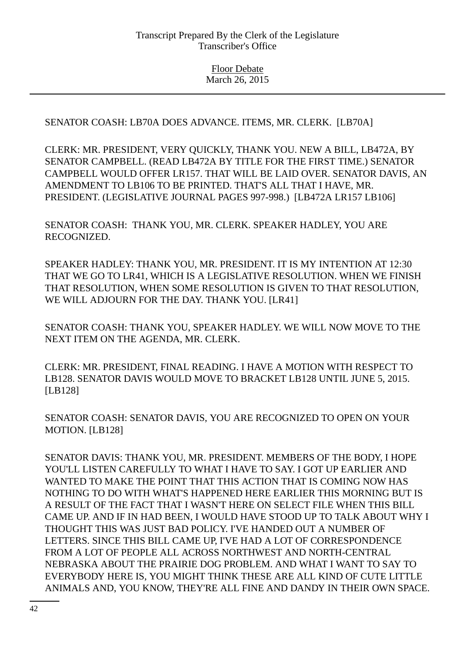SENATOR COASH: LB70A DOES ADVANCE. ITEMS, MR. CLERK. [LB70A]

CLERK: MR. PRESIDENT, VERY QUICKLY, THANK YOU. NEW A BILL, LB472A, BY SENATOR CAMPBELL. (READ LB472A BY TITLE FOR THE FIRST TIME.) SENATOR CAMPBELL WOULD OFFER LR157. THAT WILL BE LAID OVER. SENATOR DAVIS, AN AMENDMENT TO LB106 TO BE PRINTED. THAT'S ALL THAT I HAVE, MR. PRESIDENT. (LEGISLATIVE JOURNAL PAGES 997-998.) [LB472A LR157 LB106]

SENATOR COASH: THANK YOU, MR. CLERK. SPEAKER HADLEY, YOU ARE RECOGNIZED.

SPEAKER HADLEY: THANK YOU, MR. PRESIDENT. IT IS MY INTENTION AT 12:30 THAT WE GO TO LR41, WHICH IS A LEGISLATIVE RESOLUTION. WHEN WE FINISH THAT RESOLUTION, WHEN SOME RESOLUTION IS GIVEN TO THAT RESOLUTION, WE WILL ADJOURN FOR THE DAY. THANK YOU. [LR41]

SENATOR COASH: THANK YOU, SPEAKER HADLEY. WE WILL NOW MOVE TO THE NEXT ITEM ON THE AGENDA, MR. CLERK.

CLERK: MR. PRESIDENT, FINAL READING. I HAVE A MOTION WITH RESPECT TO LB128. SENATOR DAVIS WOULD MOVE TO BRACKET LB128 UNTIL JUNE 5, 2015. [LB128]

SENATOR COASH: SENATOR DAVIS, YOU ARE RECOGNIZED TO OPEN ON YOUR MOTION. [LB128]

SENATOR DAVIS: THANK YOU, MR. PRESIDENT. MEMBERS OF THE BODY, I HOPE YOU'LL LISTEN CAREFULLY TO WHAT I HAVE TO SAY. I GOT UP EARLIER AND WANTED TO MAKE THE POINT THAT THIS ACTION THAT IS COMING NOW HAS NOTHING TO DO WITH WHAT'S HAPPENED HERE EARLIER THIS MORNING BUT IS A RESULT OF THE FACT THAT I WASN'T HERE ON SELECT FILE WHEN THIS BILL CAME UP. AND IF IN HAD BEEN, I WOULD HAVE STOOD UP TO TALK ABOUT WHY I THOUGHT THIS WAS JUST BAD POLICY. I'VE HANDED OUT A NUMBER OF LETTERS. SINCE THIS BILL CAME UP, I'VE HAD A LOT OF CORRESPONDENCE FROM A LOT OF PEOPLE ALL ACROSS NORTHWEST AND NORTH-CENTRAL NEBRASKA ABOUT THE PRAIRIE DOG PROBLEM. AND WHAT I WANT TO SAY TO EVERYBODY HERE IS, YOU MIGHT THINK THESE ARE ALL KIND OF CUTE LITTLE ANIMALS AND, YOU KNOW, THEY'RE ALL FINE AND DANDY IN THEIR OWN SPACE.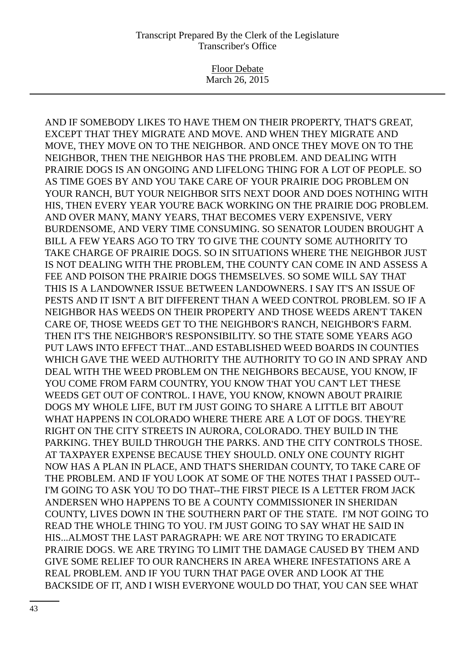Floor Debate March 26, 2015

AND IF SOMEBODY LIKES TO HAVE THEM ON THEIR PROPERTY, THAT'S GREAT, EXCEPT THAT THEY MIGRATE AND MOVE. AND WHEN THEY MIGRATE AND MOVE, THEY MOVE ON TO THE NEIGHBOR. AND ONCE THEY MOVE ON TO THE NEIGHBOR, THEN THE NEIGHBOR HAS THE PROBLEM. AND DEALING WITH PRAIRIE DOGS IS AN ONGOING AND LIFELONG THING FOR A LOT OF PEOPLE. SO AS TIME GOES BY AND YOU TAKE CARE OF YOUR PRAIRIE DOG PROBLEM ON YOUR RANCH, BUT YOUR NEIGHBOR SITS NEXT DOOR AND DOES NOTHING WITH HIS, THEN EVERY YEAR YOU'RE BACK WORKING ON THE PRAIRIE DOG PROBLEM. AND OVER MANY, MANY YEARS, THAT BECOMES VERY EXPENSIVE, VERY BURDENSOME, AND VERY TIME CONSUMING. SO SENATOR LOUDEN BROUGHT A BILL A FEW YEARS AGO TO TRY TO GIVE THE COUNTY SOME AUTHORITY TO TAKE CHARGE OF PRAIRIE DOGS. SO IN SITUATIONS WHERE THE NEIGHBOR JUST IS NOT DEALING WITH THE PROBLEM, THE COUNTY CAN COME IN AND ASSESS A FEE AND POISON THE PRAIRIE DOGS THEMSELVES. SO SOME WILL SAY THAT THIS IS A LANDOWNER ISSUE BETWEEN LANDOWNERS. I SAY IT'S AN ISSUE OF PESTS AND IT ISN'T A BIT DIFFERENT THAN A WEED CONTROL PROBLEM. SO IF A NEIGHBOR HAS WEEDS ON THEIR PROPERTY AND THOSE WEEDS AREN'T TAKEN CARE OF, THOSE WEEDS GET TO THE NEIGHBOR'S RANCH, NEIGHBOR'S FARM. THEN IT'S THE NEIGHBOR'S RESPONSIBILITY. SO THE STATE SOME YEARS AGO PUT LAWS INTO EFFECT THAT...AND ESTABLISHED WEED BOARDS IN COUNTIES WHICH GAVE THE WEED AUTHORITY THE AUTHORITY TO GO IN AND SPRAY AND DEAL WITH THE WEED PROBLEM ON THE NEIGHBORS BECAUSE, YOU KNOW, IF YOU COME FROM FARM COUNTRY, YOU KNOW THAT YOU CAN'T LET THESE WEEDS GET OUT OF CONTROL. I HAVE, YOU KNOW, KNOWN ABOUT PRAIRIE DOGS MY WHOLE LIFE, BUT I'M JUST GOING TO SHARE A LITTLE BIT ABOUT WHAT HAPPENS IN COLORADO WHERE THERE ARE A LOT OF DOGS. THEY'RE RIGHT ON THE CITY STREETS IN AURORA, COLORADO. THEY BUILD IN THE PARKING. THEY BUILD THROUGH THE PARKS. AND THE CITY CONTROLS THOSE. AT TAXPAYER EXPENSE BECAUSE THEY SHOULD. ONLY ONE COUNTY RIGHT NOW HAS A PLAN IN PLACE, AND THAT'S SHERIDAN COUNTY, TO TAKE CARE OF THE PROBLEM. AND IF YOU LOOK AT SOME OF THE NOTES THAT I PASSED OUT-- I'M GOING TO ASK YOU TO DO THAT--THE FIRST PIECE IS A LETTER FROM JACK ANDERSEN WHO HAPPENS TO BE A COUNTY COMMISSIONER IN SHERIDAN COUNTY, LIVES DOWN IN THE SOUTHERN PART OF THE STATE. I'M NOT GOING TO READ THE WHOLE THING TO YOU. I'M JUST GOING TO SAY WHAT HE SAID IN HIS...ALMOST THE LAST PARAGRAPH: WE ARE NOT TRYING TO ERADICATE PRAIRIE DOGS. WE ARE TRYING TO LIMIT THE DAMAGE CAUSED BY THEM AND GIVE SOME RELIEF TO OUR RANCHERS IN AREA WHERE INFESTATIONS ARE A REAL PROBLEM. AND IF YOU TURN THAT PAGE OVER AND LOOK AT THE BACKSIDE OF IT, AND I WISH EVERYONE WOULD DO THAT, YOU CAN SEE WHAT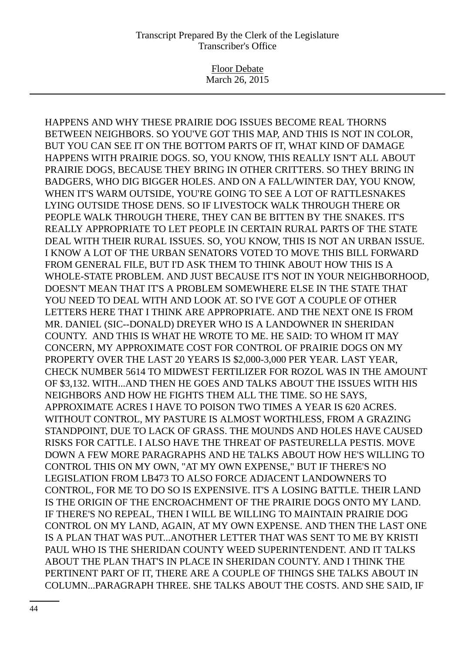Floor Debate March 26, 2015

HAPPENS AND WHY THESE PRAIRIE DOG ISSUES BECOME REAL THORNS BETWEEN NEIGHBORS. SO YOU'VE GOT THIS MAP, AND THIS IS NOT IN COLOR, BUT YOU CAN SEE IT ON THE BOTTOM PARTS OF IT, WHAT KIND OF DAMAGE HAPPENS WITH PRAIRIE DOGS. SO, YOU KNOW, THIS REALLY ISN'T ALL ABOUT PRAIRIE DOGS, BECAUSE THEY BRING IN OTHER CRITTERS. SO THEY BRING IN BADGERS, WHO DIG BIGGER HOLES. AND ON A FALL/WINTER DAY, YOU KNOW, WHEN IT'S WARM OUTSIDE, YOU'RE GOING TO SEE A LOT OF RATTLESNAKES LYING OUTSIDE THOSE DENS. SO IF LIVESTOCK WALK THROUGH THERE OR PEOPLE WALK THROUGH THERE, THEY CAN BE BITTEN BY THE SNAKES. IT'S REALLY APPROPRIATE TO LET PEOPLE IN CERTAIN RURAL PARTS OF THE STATE DEAL WITH THEIR RURAL ISSUES. SO, YOU KNOW, THIS IS NOT AN URBAN ISSUE. I KNOW A LOT OF THE URBAN SENATORS VOTED TO MOVE THIS BILL FORWARD FROM GENERAL FILE, BUT I'D ASK THEM TO THINK ABOUT HOW THIS IS A WHOLE-STATE PROBLEM. AND JUST BECAUSE IT'S NOT IN YOUR NEIGHBORHOOD, DOESN'T MEAN THAT IT'S A PROBLEM SOMEWHERE ELSE IN THE STATE THAT YOU NEED TO DEAL WITH AND LOOK AT. SO I'VE GOT A COUPLE OF OTHER LETTERS HERE THAT I THINK ARE APPROPRIATE. AND THE NEXT ONE IS FROM MR. DANIEL (SIC--DONALD) DREYER WHO IS A LANDOWNER IN SHERIDAN COUNTY. AND THIS IS WHAT HE WROTE TO ME. HE SAID: TO WHOM IT MAY CONCERN, MY APPROXIMATE COST FOR CONTROL OF PRAIRIE DOGS ON MY PROPERTY OVER THE LAST 20 YEARS IS \$2,000-3,000 PER YEAR. LAST YEAR, CHECK NUMBER 5614 TO MIDWEST FERTILIZER FOR ROZOL WAS IN THE AMOUNT OF \$3,132. WITH...AND THEN HE GOES AND TALKS ABOUT THE ISSUES WITH HIS NEIGHBORS AND HOW HE FIGHTS THEM ALL THE TIME. SO HE SAYS, APPROXIMATE ACRES I HAVE TO POISON TWO TIMES A YEAR IS 620 ACRES. WITHOUT CONTROL, MY PASTURE IS ALMOST WORTHLESS, FROM A GRAZING STANDPOINT, DUE TO LACK OF GRASS. THE MOUNDS AND HOLES HAVE CAUSED RISKS FOR CATTLE. I ALSO HAVE THE THREAT OF PASTEURELLA PESTIS. MOVE DOWN A FEW MORE PARAGRAPHS AND HE TALKS ABOUT HOW HE'S WILLING TO CONTROL THIS ON MY OWN, "AT MY OWN EXPENSE," BUT IF THERE'S NO LEGISLATION FROM LB473 TO ALSO FORCE ADJACENT LANDOWNERS TO CONTROL, FOR ME TO DO SO IS EXPENSIVE. IT'S A LOSING BATTLE. THEIR LAND IS THE ORIGIN OF THE ENCROACHMENT OF THE PRAIRIE DOGS ONTO MY LAND. IF THERE'S NO REPEAL, THEN I WILL BE WILLING TO MAINTAIN PRAIRIE DOG CONTROL ON MY LAND, AGAIN, AT MY OWN EXPENSE. AND THEN THE LAST ONE IS A PLAN THAT WAS PUT...ANOTHER LETTER THAT WAS SENT TO ME BY KRISTI PAUL WHO IS THE SHERIDAN COUNTY WEED SUPERINTENDENT. AND IT TALKS ABOUT THE PLAN THAT'S IN PLACE IN SHERIDAN COUNTY. AND I THINK THE PERTINENT PART OF IT, THERE ARE A COUPLE OF THINGS SHE TALKS ABOUT IN COLUMN...PARAGRAPH THREE. SHE TALKS ABOUT THE COSTS. AND SHE SAID, IF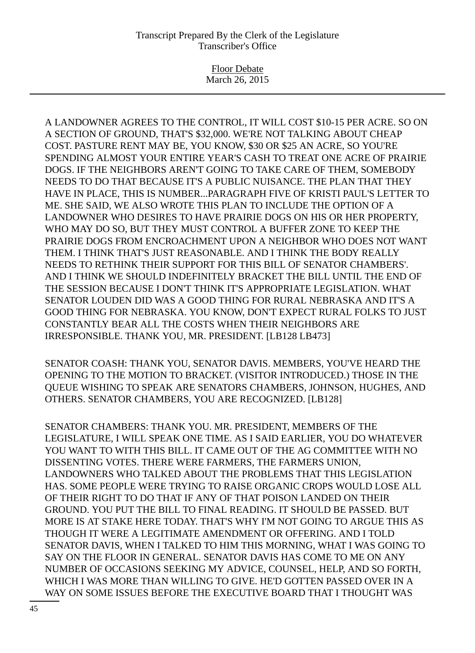Floor Debate March 26, 2015

A LANDOWNER AGREES TO THE CONTROL, IT WILL COST \$10-15 PER ACRE. SO ON A SECTION OF GROUND, THAT'S \$32,000. WE'RE NOT TALKING ABOUT CHEAP COST. PASTURE RENT MAY BE, YOU KNOW, \$30 OR \$25 AN ACRE, SO YOU'RE SPENDING ALMOST YOUR ENTIRE YEAR'S CASH TO TREAT ONE ACRE OF PRAIRIE DOGS. IF THE NEIGHBORS AREN'T GOING TO TAKE CARE OF THEM, SOMEBODY NEEDS TO DO THAT BECAUSE IT'S A PUBLIC NUISANCE. THE PLAN THAT THEY HAVE IN PLACE, THIS IS NUMBER...PARAGRAPH FIVE OF KRISTI PAUL'S LETTER TO ME. SHE SAID, WE ALSO WROTE THIS PLAN TO INCLUDE THE OPTION OF A LANDOWNER WHO DESIRES TO HAVE PRAIRIE DOGS ON HIS OR HER PROPERTY, WHO MAY DO SO, BUT THEY MUST CONTROL A BUFFER ZONE TO KEEP THE PRAIRIE DOGS FROM ENCROACHMENT UPON A NEIGHBOR WHO DOES NOT WANT THEM. I THINK THAT'S JUST REASONABLE. AND I THINK THE BODY REALLY NEEDS TO RETHINK THEIR SUPPORT FOR THIS BILL OF SENATOR CHAMBERS'. AND I THINK WE SHOULD INDEFINITELY BRACKET THE BILL UNTIL THE END OF THE SESSION BECAUSE I DON'T THINK IT'S APPROPRIATE LEGISLATION. WHAT SENATOR LOUDEN DID WAS A GOOD THING FOR RURAL NEBRASKA AND IT'S A GOOD THING FOR NEBRASKA. YOU KNOW, DON'T EXPECT RURAL FOLKS TO JUST CONSTANTLY BEAR ALL THE COSTS WHEN THEIR NEIGHBORS ARE IRRESPONSIBLE. THANK YOU, MR. PRESIDENT. [LB128 LB473]

SENATOR COASH: THANK YOU, SENATOR DAVIS. MEMBERS, YOU'VE HEARD THE OPENING TO THE MOTION TO BRACKET. (VISITOR INTRODUCED.) THOSE IN THE QUEUE WISHING TO SPEAK ARE SENATORS CHAMBERS, JOHNSON, HUGHES, AND OTHERS. SENATOR CHAMBERS, YOU ARE RECOGNIZED. [LB128]

SENATOR CHAMBERS: THANK YOU. MR. PRESIDENT, MEMBERS OF THE LEGISLATURE, I WILL SPEAK ONE TIME. AS I SAID EARLIER, YOU DO WHATEVER YOU WANT TO WITH THIS BILL. IT CAME OUT OF THE AG COMMITTEE WITH NO DISSENTING VOTES. THERE WERE FARMERS, THE FARMERS UNION, LANDOWNERS WHO TALKED ABOUT THE PROBLEMS THAT THIS LEGISLATION HAS. SOME PEOPLE WERE TRYING TO RAISE ORGANIC CROPS WOULD LOSE ALL OF THEIR RIGHT TO DO THAT IF ANY OF THAT POISON LANDED ON THEIR GROUND. YOU PUT THE BILL TO FINAL READING. IT SHOULD BE PASSED. BUT MORE IS AT STAKE HERE TODAY. THAT'S WHY I'M NOT GOING TO ARGUE THIS AS THOUGH IT WERE A LEGITIMATE AMENDMENT OR OFFERING. AND I TOLD SENATOR DAVIS, WHEN I TALKED TO HIM THIS MORNING, WHAT I WAS GOING TO SAY ON THE FLOOR IN GENERAL. SENATOR DAVIS HAS COME TO ME ON ANY NUMBER OF OCCASIONS SEEKING MY ADVICE, COUNSEL, HELP, AND SO FORTH, WHICH I WAS MORE THAN WILLING TO GIVE. HE'D GOTTEN PASSED OVER IN A WAY ON SOME ISSUES BEFORE THE EXECUTIVE BOARD THAT I THOUGHT WAS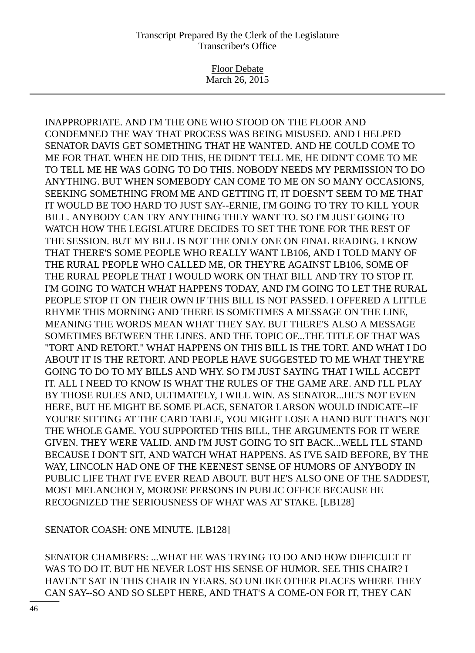Floor Debate March 26, 2015

INAPPROPRIATE. AND I'M THE ONE WHO STOOD ON THE FLOOR AND CONDEMNED THE WAY THAT PROCESS WAS BEING MISUSED. AND I HELPED SENATOR DAVIS GET SOMETHING THAT HE WANTED. AND HE COULD COME TO ME FOR THAT. WHEN HE DID THIS, HE DIDN'T TELL ME, HE DIDN'T COME TO ME TO TELL ME HE WAS GOING TO DO THIS. NOBODY NEEDS MY PERMISSION TO DO ANYTHING. BUT WHEN SOMEBODY CAN COME TO ME ON SO MANY OCCASIONS, SEEKING SOMETHING FROM ME AND GETTING IT, IT DOESN'T SEEM TO ME THAT IT WOULD BE TOO HARD TO JUST SAY--ERNIE, I'M GOING TO TRY TO KILL YOUR BILL. ANYBODY CAN TRY ANYTHING THEY WANT TO. SO I'M JUST GOING TO WATCH HOW THE LEGISLATURE DECIDES TO SET THE TONE FOR THE REST OF THE SESSION. BUT MY BILL IS NOT THE ONLY ONE ON FINAL READING. I KNOW THAT THERE'S SOME PEOPLE WHO REALLY WANT LB106, AND I TOLD MANY OF THE RURAL PEOPLE WHO CALLED ME, OR THEY'RE AGAINST LB106, SOME OF THE RURAL PEOPLE THAT I WOULD WORK ON THAT BILL AND TRY TO STOP IT. I'M GOING TO WATCH WHAT HAPPENS TODAY, AND I'M GOING TO LET THE RURAL PEOPLE STOP IT ON THEIR OWN IF THIS BILL IS NOT PASSED. I OFFERED A LITTLE RHYME THIS MORNING AND THERE IS SOMETIMES A MESSAGE ON THE LINE, MEANING THE WORDS MEAN WHAT THEY SAY. BUT THERE'S ALSO A MESSAGE SOMETIMES BETWEEN THE LINES. AND THE TOPIC OF...THE TITLE OF THAT WAS "TORT AND RETORT." WHAT HAPPENS ON THIS BILL IS THE TORT. AND WHAT I DO ABOUT IT IS THE RETORT. AND PEOPLE HAVE SUGGESTED TO ME WHAT THEY'RE GOING TO DO TO MY BILLS AND WHY. SO I'M JUST SAYING THAT I WILL ACCEPT IT. ALL I NEED TO KNOW IS WHAT THE RULES OF THE GAME ARE. AND I'LL PLAY BY THOSE RULES AND, ULTIMATELY, I WILL WIN. AS SENATOR...HE'S NOT EVEN HERE, BUT HE MIGHT BE SOME PLACE, SENATOR LARSON WOULD INDICATE--IF YOU'RE SITTING AT THE CARD TABLE, YOU MIGHT LOSE A HAND BUT THAT'S NOT THE WHOLE GAME. YOU SUPPORTED THIS BILL, THE ARGUMENTS FOR IT WERE GIVEN. THEY WERE VALID. AND I'M JUST GOING TO SIT BACK...WELL I'LL STAND BECAUSE I DON'T SIT, AND WATCH WHAT HAPPENS. AS I'VE SAID BEFORE, BY THE WAY, LINCOLN HAD ONE OF THE KEENEST SENSE OF HUMORS OF ANYBODY IN PUBLIC LIFE THAT I'VE EVER READ ABOUT. BUT HE'S ALSO ONE OF THE SADDEST, MOST MELANCHOLY, MOROSE PERSONS IN PUBLIC OFFICE BECAUSE HE RECOGNIZED THE SERIOUSNESS OF WHAT WAS AT STAKE. [LB128]

SENATOR COASH: ONE MINUTE. [LB128]

SENATOR CHAMBERS: ...WHAT HE WAS TRYING TO DO AND HOW DIFFICULT IT WAS TO DO IT. BUT HE NEVER LOST HIS SENSE OF HUMOR. SEE THIS CHAIR? I HAVEN'T SAT IN THIS CHAIR IN YEARS. SO UNLIKE OTHER PLACES WHERE THEY CAN SAY--SO AND SO SLEPT HERE, AND THAT'S A COME-ON FOR IT, THEY CAN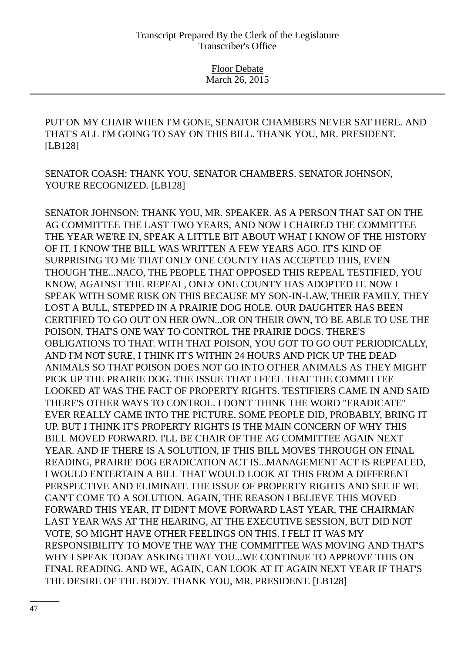PUT ON MY CHAIR WHEN I'M GONE, SENATOR CHAMBERS NEVER SAT HERE. AND THAT'S ALL I'M GOING TO SAY ON THIS BILL. THANK YOU, MR. PRESIDENT. [LB128]

SENATOR COASH: THANK YOU, SENATOR CHAMBERS. SENATOR JOHNSON, YOU'RE RECOGNIZED. [LB128]

SENATOR JOHNSON: THANK YOU, MR. SPEAKER. AS A PERSON THAT SAT ON THE AG COMMITTEE THE LAST TWO YEARS, AND NOW I CHAIRED THE COMMITTEE THE YEAR WE'RE IN, SPEAK A LITTLE BIT ABOUT WHAT I KNOW OF THE HISTORY OF IT. I KNOW THE BILL WAS WRITTEN A FEW YEARS AGO. IT'S KIND OF SURPRISING TO ME THAT ONLY ONE COUNTY HAS ACCEPTED THIS, EVEN THOUGH THE...NACO, THE PEOPLE THAT OPPOSED THIS REPEAL TESTIFIED, YOU KNOW, AGAINST THE REPEAL, ONLY ONE COUNTY HAS ADOPTED IT. NOW I SPEAK WITH SOME RISK ON THIS BECAUSE MY SON-IN-LAW, THEIR FAMILY, THEY LOST A BULL, STEPPED IN A PRAIRIE DOG HOLE. OUR DAUGHTER HAS BEEN CERTIFIED TO GO OUT ON HER OWN...OR ON THEIR OWN, TO BE ABLE TO USE THE POISON, THAT'S ONE WAY TO CONTROL THE PRAIRIE DOGS. THERE'S OBLIGATIONS TO THAT. WITH THAT POISON, YOU GOT TO GO OUT PERIODICALLY, AND I'M NOT SURE, I THINK IT'S WITHIN 24 HOURS AND PICK UP THE DEAD ANIMALS SO THAT POISON DOES NOT GO INTO OTHER ANIMALS AS THEY MIGHT PICK UP THE PRAIRIE DOG. THE ISSUE THAT I FEEL THAT THE COMMITTEE LOOKED AT WAS THE FACT OF PROPERTY RIGHTS. TESTIFIERS CAME IN AND SAID THERE'S OTHER WAYS TO CONTROL. I DON'T THINK THE WORD "ERADICATE" EVER REALLY CAME INTO THE PICTURE. SOME PEOPLE DID, PROBABLY, BRING IT UP. BUT I THINK IT'S PROPERTY RIGHTS IS THE MAIN CONCERN OF WHY THIS BILL MOVED FORWARD. I'LL BE CHAIR OF THE AG COMMITTEE AGAIN NEXT YEAR. AND IF THERE IS A SOLUTION, IF THIS BILL MOVES THROUGH ON FINAL READING, PRAIRIE DOG ERADICATION ACT IS...MANAGEMENT ACT IS REPEALED, I WOULD ENTERTAIN A BILL THAT WOULD LOOK AT THIS FROM A DIFFERENT PERSPECTIVE AND ELIMINATE THE ISSUE OF PROPERTY RIGHTS AND SEE IF WE CAN'T COME TO A SOLUTION. AGAIN, THE REASON I BELIEVE THIS MOVED FORWARD THIS YEAR, IT DIDN'T MOVE FORWARD LAST YEAR, THE CHAIRMAN LAST YEAR WAS AT THE HEARING, AT THE EXECUTIVE SESSION, BUT DID NOT VOTE, SO MIGHT HAVE OTHER FEELINGS ON THIS. I FELT IT WAS MY RESPONSIBILITY TO MOVE THE WAY THE COMMITTEE WAS MOVING AND THAT'S WHY I SPEAK TODAY ASKING THAT YOU...WE CONTINUE TO APPROVE THIS ON FINAL READING. AND WE, AGAIN, CAN LOOK AT IT AGAIN NEXT YEAR IF THAT'S THE DESIRE OF THE BODY. THANK YOU, MR. PRESIDENT. [LB128]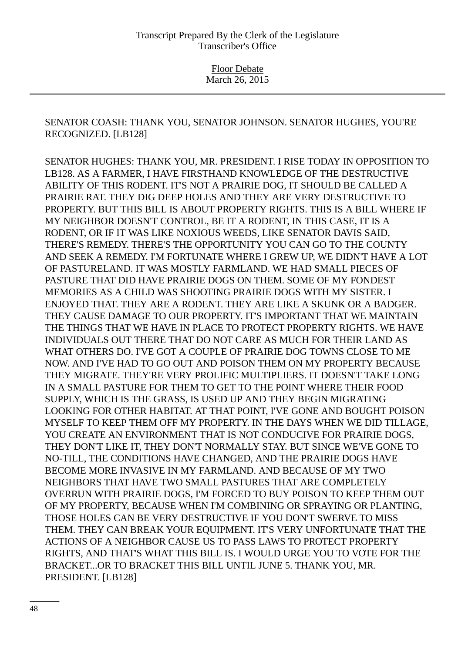SENATOR COASH: THANK YOU, SENATOR JOHNSON. SENATOR HUGHES, YOU'RE RECOGNIZED. [LB128]

SENATOR HUGHES: THANK YOU, MR. PRESIDENT. I RISE TODAY IN OPPOSITION TO LB128. AS A FARMER, I HAVE FIRSTHAND KNOWLEDGE OF THE DESTRUCTIVE ABILITY OF THIS RODENT. IT'S NOT A PRAIRIE DOG, IT SHOULD BE CALLED A PRAIRIE RAT. THEY DIG DEEP HOLES AND THEY ARE VERY DESTRUCTIVE TO PROPERTY. BUT THIS BILL IS ABOUT PROPERTY RIGHTS. THIS IS A BILL WHERE IF MY NEIGHBOR DOESN'T CONTROL, BE IT A RODENT, IN THIS CASE, IT IS A RODENT, OR IF IT WAS LIKE NOXIOUS WEEDS, LIKE SENATOR DAVIS SAID, THERE'S REMEDY. THERE'S THE OPPORTUNITY YOU CAN GO TO THE COUNTY AND SEEK A REMEDY. I'M FORTUNATE WHERE I GREW UP, WE DIDN'T HAVE A LOT OF PASTURELAND. IT WAS MOSTLY FARMLAND. WE HAD SMALL PIECES OF PASTURE THAT DID HAVE PRAIRIE DOGS ON THEM. SOME OF MY FONDEST MEMORIES AS A CHILD WAS SHOOTING PRAIRIE DOGS WITH MY SISTER. I ENJOYED THAT. THEY ARE A RODENT. THEY ARE LIKE A SKUNK OR A BADGER. THEY CAUSE DAMAGE TO OUR PROPERTY. IT'S IMPORTANT THAT WE MAINTAIN THE THINGS THAT WE HAVE IN PLACE TO PROTECT PROPERTY RIGHTS. WE HAVE INDIVIDUALS OUT THERE THAT DO NOT CARE AS MUCH FOR THEIR LAND AS WHAT OTHERS DO. I'VE GOT A COUPLE OF PRAIRIE DOG TOWNS CLOSE TO ME NOW. AND I'VE HAD TO GO OUT AND POISON THEM ON MY PROPERTY BECAUSE THEY MIGRATE. THEY'RE VERY PROLIFIC MULTIPLIERS. IT DOESN'T TAKE LONG IN A SMALL PASTURE FOR THEM TO GET TO THE POINT WHERE THEIR FOOD SUPPLY, WHICH IS THE GRASS, IS USED UP AND THEY BEGIN MIGRATING LOOKING FOR OTHER HABITAT. AT THAT POINT, I'VE GONE AND BOUGHT POISON MYSELF TO KEEP THEM OFF MY PROPERTY. IN THE DAYS WHEN WE DID TILLAGE, YOU CREATE AN ENVIRONMENT THAT IS NOT CONDUCIVE FOR PRAIRIE DOGS, THEY DON'T LIKE IT, THEY DON'T NORMALLY STAY. BUT SINCE WE'VE GONE TO NO-TILL, THE CONDITIONS HAVE CHANGED, AND THE PRAIRIE DOGS HAVE BECOME MORE INVASIVE IN MY FARMLAND. AND BECAUSE OF MY TWO NEIGHBORS THAT HAVE TWO SMALL PASTURES THAT ARE COMPLETELY OVERRUN WITH PRAIRIE DOGS, I'M FORCED TO BUY POISON TO KEEP THEM OUT OF MY PROPERTY, BECAUSE WHEN I'M COMBINING OR SPRAYING OR PLANTING, THOSE HOLES CAN BE VERY DESTRUCTIVE IF YOU DON'T SWERVE TO MISS THEM. THEY CAN BREAK YOUR EQUIPMENT. IT'S VERY UNFORTUNATE THAT THE ACTIONS OF A NEIGHBOR CAUSE US TO PASS LAWS TO PROTECT PROPERTY RIGHTS, AND THAT'S WHAT THIS BILL IS. I WOULD URGE YOU TO VOTE FOR THE BRACKET...OR TO BRACKET THIS BILL UNTIL JUNE 5. THANK YOU, MR. PRESIDENT. [LB128]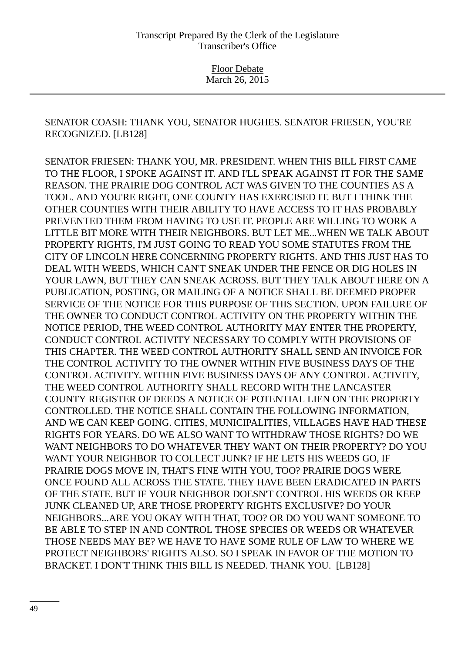SENATOR COASH: THANK YOU, SENATOR HUGHES. SENATOR FRIESEN, YOU'RE RECOGNIZED. [LB128]

SENATOR FRIESEN: THANK YOU, MR. PRESIDENT. WHEN THIS BILL FIRST CAME TO THE FLOOR, I SPOKE AGAINST IT. AND I'LL SPEAK AGAINST IT FOR THE SAME REASON. THE PRAIRIE DOG CONTROL ACT WAS GIVEN TO THE COUNTIES AS A TOOL. AND YOU'RE RIGHT, ONE COUNTY HAS EXERCISED IT. BUT I THINK THE OTHER COUNTIES WITH THEIR ABILITY TO HAVE ACCESS TO IT HAS PROBABLY PREVENTED THEM FROM HAVING TO USE IT. PEOPLE ARE WILLING TO WORK A LITTLE BIT MORE WITH THEIR NEIGHBORS. BUT LET ME...WHEN WE TALK ABOUT PROPERTY RIGHTS, I'M JUST GOING TO READ YOU SOME STATUTES FROM THE CITY OF LINCOLN HERE CONCERNING PROPERTY RIGHTS. AND THIS JUST HAS TO DEAL WITH WEEDS, WHICH CAN'T SNEAK UNDER THE FENCE OR DIG HOLES IN YOUR LAWN, BUT THEY CAN SNEAK ACROSS. BUT THEY TALK ABOUT HERE ON A PUBLICATION, POSTING, OR MAILING OF A NOTICE SHALL BE DEEMED PROPER SERVICE OF THE NOTICE FOR THIS PURPOSE OF THIS SECTION. UPON FAILURE OF THE OWNER TO CONDUCT CONTROL ACTIVITY ON THE PROPERTY WITHIN THE NOTICE PERIOD, THE WEED CONTROL AUTHORITY MAY ENTER THE PROPERTY, CONDUCT CONTROL ACTIVITY NECESSARY TO COMPLY WITH PROVISIONS OF THIS CHAPTER. THE WEED CONTROL AUTHORITY SHALL SEND AN INVOICE FOR THE CONTROL ACTIVITY TO THE OWNER WITHIN FIVE BUSINESS DAYS OF THE CONTROL ACTIVITY. WITHIN FIVE BUSINESS DAYS OF ANY CONTROL ACTIVITY, THE WEED CONTROL AUTHORITY SHALL RECORD WITH THE LANCASTER COUNTY REGISTER OF DEEDS A NOTICE OF POTENTIAL LIEN ON THE PROPERTY CONTROLLED. THE NOTICE SHALL CONTAIN THE FOLLOWING INFORMATION, AND WE CAN KEEP GOING. CITIES, MUNICIPALITIES, VILLAGES HAVE HAD THESE RIGHTS FOR YEARS. DO WE ALSO WANT TO WITHDRAW THOSE RIGHTS? DO WE WANT NEIGHBORS TO DO WHATEVER THEY WANT ON THEIR PROPERTY? DO YOU WANT YOUR NEIGHBOR TO COLLECT JUNK? IF HE LETS HIS WEEDS GO, IF PRAIRIE DOGS MOVE IN, THAT'S FINE WITH YOU, TOO? PRAIRIE DOGS WERE ONCE FOUND ALL ACROSS THE STATE. THEY HAVE BEEN ERADICATED IN PARTS OF THE STATE. BUT IF YOUR NEIGHBOR DOESN'T CONTROL HIS WEEDS OR KEEP JUNK CLEANED UP, ARE THOSE PROPERTY RIGHTS EXCLUSIVE? DO YOUR NEIGHBORS...ARE YOU OKAY WITH THAT, TOO? OR DO YOU WANT SOMEONE TO BE ABLE TO STEP IN AND CONTROL THOSE SPECIES OR WEEDS OR WHATEVER THOSE NEEDS MAY BE? WE HAVE TO HAVE SOME RULE OF LAW TO WHERE WE PROTECT NEIGHBORS' RIGHTS ALSO. SO I SPEAK IN FAVOR OF THE MOTION TO BRACKET. I DON'T THINK THIS BILL IS NEEDED. THANK YOU. [LB128]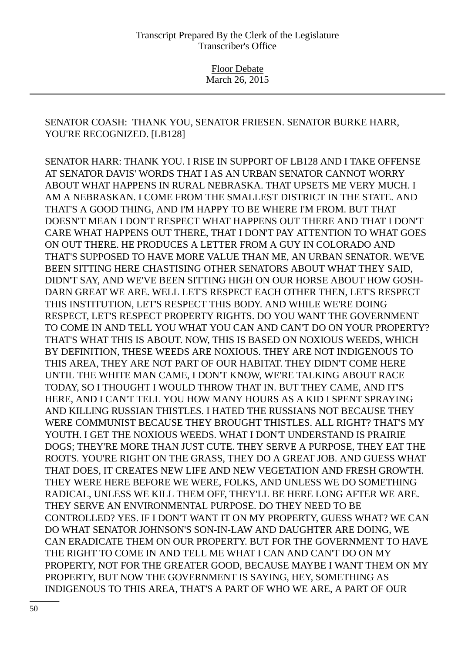SENATOR COASH: THANK YOU, SENATOR FRIESEN. SENATOR BURKE HARR, YOU'RE RECOGNIZED. [LB128]

SENATOR HARR: THANK YOU. I RISE IN SUPPORT OF LB128 AND I TAKE OFFENSE AT SENATOR DAVIS' WORDS THAT I AS AN URBAN SENATOR CANNOT WORRY ABOUT WHAT HAPPENS IN RURAL NEBRASKA. THAT UPSETS ME VERY MUCH. I AM A NEBRASKAN. I COME FROM THE SMALLEST DISTRICT IN THE STATE. AND THAT'S A GOOD THING, AND I'M HAPPY TO BE WHERE I'M FROM. BUT THAT DOESN'T MEAN I DON'T RESPECT WHAT HAPPENS OUT THERE AND THAT I DON'T CARE WHAT HAPPENS OUT THERE, THAT I DON'T PAY ATTENTION TO WHAT GOES ON OUT THERE. HE PRODUCES A LETTER FROM A GUY IN COLORADO AND THAT'S SUPPOSED TO HAVE MORE VALUE THAN ME, AN URBAN SENATOR. WE'VE BEEN SITTING HERE CHASTISING OTHER SENATORS ABOUT WHAT THEY SAID, DIDN'T SAY, AND WE'VE BEEN SITTING HIGH ON OUR HORSE ABOUT HOW GOSH-DARN GREAT WE ARE. WELL LET'S RESPECT EACH OTHER THEN, LET'S RESPECT THIS INSTITUTION, LET'S RESPECT THIS BODY. AND WHILE WE'RE DOING RESPECT, LET'S RESPECT PROPERTY RIGHTS. DO YOU WANT THE GOVERNMENT TO COME IN AND TELL YOU WHAT YOU CAN AND CAN'T DO ON YOUR PROPERTY? THAT'S WHAT THIS IS ABOUT. NOW, THIS IS BASED ON NOXIOUS WEEDS, WHICH BY DEFINITION, THESE WEEDS ARE NOXIOUS. THEY ARE NOT INDIGENOUS TO THIS AREA, THEY ARE NOT PART OF OUR HABITAT. THEY DIDN'T COME HERE UNTIL THE WHITE MAN CAME, I DON'T KNOW, WE'RE TALKING ABOUT RACE TODAY, SO I THOUGHT I WOULD THROW THAT IN. BUT THEY CAME, AND IT'S HERE, AND I CAN'T TELL YOU HOW MANY HOURS AS A KID I SPENT SPRAYING AND KILLING RUSSIAN THISTLES. I HATED THE RUSSIANS NOT BECAUSE THEY WERE COMMUNIST BECAUSE THEY BROUGHT THISTLES. ALL RIGHT? THAT'S MY YOUTH. I GET THE NOXIOUS WEEDS. WHAT I DON'T UNDERSTAND IS PRAIRIE DOGS; THEY'RE MORE THAN JUST CUTE. THEY SERVE A PURPOSE, THEY EAT THE ROOTS. YOU'RE RIGHT ON THE GRASS, THEY DO A GREAT JOB. AND GUESS WHAT THAT DOES, IT CREATES NEW LIFE AND NEW VEGETATION AND FRESH GROWTH. THEY WERE HERE BEFORE WE WERE, FOLKS, AND UNLESS WE DO SOMETHING RADICAL, UNLESS WE KILL THEM OFF, THEY'LL BE HERE LONG AFTER WE ARE. THEY SERVE AN ENVIRONMENTAL PURPOSE. DO THEY NEED TO BE CONTROLLED? YES. IF I DON'T WANT IT ON MY PROPERTY, GUESS WHAT? WE CAN DO WHAT SENATOR JOHNSON'S SON-IN-LAW AND DAUGHTER ARE DOING, WE CAN ERADICATE THEM ON OUR PROPERTY. BUT FOR THE GOVERNMENT TO HAVE THE RIGHT TO COME IN AND TELL ME WHAT I CAN AND CAN'T DO ON MY PROPERTY, NOT FOR THE GREATER GOOD, BECAUSE MAYBE I WANT THEM ON MY PROPERTY, BUT NOW THE GOVERNMENT IS SAYING, HEY, SOMETHING AS INDIGENOUS TO THIS AREA, THAT'S A PART OF WHO WE ARE, A PART OF OUR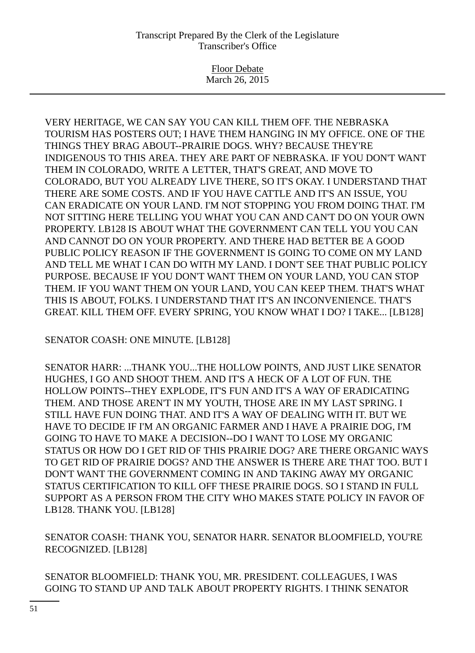Floor Debate March 26, 2015

VERY HERITAGE, WE CAN SAY YOU CAN KILL THEM OFF. THE NEBRASKA TOURISM HAS POSTERS OUT; I HAVE THEM HANGING IN MY OFFICE. ONE OF THE THINGS THEY BRAG ABOUT--PRAIRIE DOGS. WHY? BECAUSE THEY'RE INDIGENOUS TO THIS AREA. THEY ARE PART OF NEBRASKA. IF YOU DON'T WANT THEM IN COLORADO, WRITE A LETTER, THAT'S GREAT, AND MOVE TO COLORADO, BUT YOU ALREADY LIVE THERE, SO IT'S OKAY. I UNDERSTAND THAT THERE ARE SOME COSTS. AND IF YOU HAVE CATTLE AND IT'S AN ISSUE, YOU CAN ERADICATE ON YOUR LAND. I'M NOT STOPPING YOU FROM DOING THAT. I'M NOT SITTING HERE TELLING YOU WHAT YOU CAN AND CAN'T DO ON YOUR OWN PROPERTY. LB128 IS ABOUT WHAT THE GOVERNMENT CAN TELL YOU YOU CAN AND CANNOT DO ON YOUR PROPERTY. AND THERE HAD BETTER BE A GOOD PUBLIC POLICY REASON IF THE GOVERNMENT IS GOING TO COME ON MY LAND AND TELL ME WHAT I CAN DO WITH MY LAND. I DON'T SEE THAT PUBLIC POLICY PURPOSE. BECAUSE IF YOU DON'T WANT THEM ON YOUR LAND, YOU CAN STOP THEM. IF YOU WANT THEM ON YOUR LAND, YOU CAN KEEP THEM. THAT'S WHAT THIS IS ABOUT, FOLKS. I UNDERSTAND THAT IT'S AN INCONVENIENCE. THAT'S GREAT. KILL THEM OFF. EVERY SPRING, YOU KNOW WHAT I DO? I TAKE... [LB128]

SENATOR COASH: ONE MINUTE. [LB128]

SENATOR HARR: ...THANK YOU...THE HOLLOW POINTS, AND JUST LIKE SENATOR HUGHES, I GO AND SHOOT THEM. AND IT'S A HECK OF A LOT OF FUN. THE HOLLOW POINTS--THEY EXPLODE, IT'S FUN AND IT'S A WAY OF ERADICATING THEM. AND THOSE AREN'T IN MY YOUTH, THOSE ARE IN MY LAST SPRING. I STILL HAVE FUN DOING THAT. AND IT'S A WAY OF DEALING WITH IT. BUT WE HAVE TO DECIDE IF I'M AN ORGANIC FARMER AND I HAVE A PRAIRIE DOG, I'M GOING TO HAVE TO MAKE A DECISION--DO I WANT TO LOSE MY ORGANIC STATUS OR HOW DO I GET RID OF THIS PRAIRIE DOG? ARE THERE ORGANIC WAYS TO GET RID OF PRAIRIE DOGS? AND THE ANSWER IS THERE ARE THAT TOO. BUT I DON'T WANT THE GOVERNMENT COMING IN AND TAKING AWAY MY ORGANIC STATUS CERTIFICATION TO KILL OFF THESE PRAIRIE DOGS. SO I STAND IN FULL SUPPORT AS A PERSON FROM THE CITY WHO MAKES STATE POLICY IN FAVOR OF LB128. THANK YOU. [LB128]

SENATOR COASH: THANK YOU, SENATOR HARR. SENATOR BLOOMFIELD, YOU'RE RECOGNIZED. [LB128]

SENATOR BLOOMFIELD: THANK YOU, MR. PRESIDENT. COLLEAGUES, I WAS GOING TO STAND UP AND TALK ABOUT PROPERTY RIGHTS. I THINK SENATOR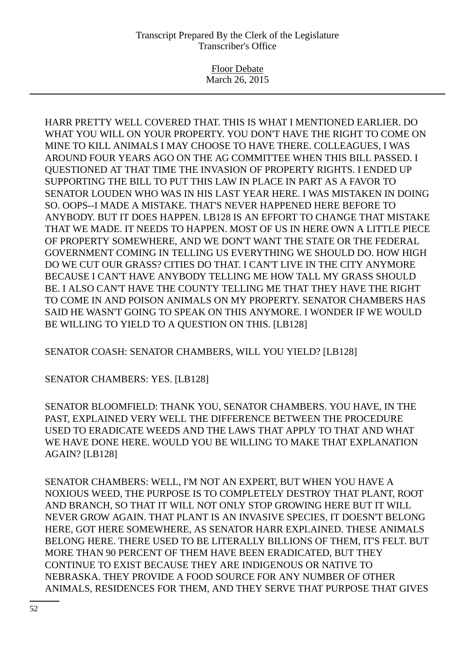Floor Debate March 26, 2015

HARR PRETTY WELL COVERED THAT. THIS IS WHAT I MENTIONED EARLIER. DO WHAT YOU WILL ON YOUR PROPERTY. YOU DON'T HAVE THE RIGHT TO COME ON MINE TO KILL ANIMALS I MAY CHOOSE TO HAVE THERE. COLLEAGUES, I WAS AROUND FOUR YEARS AGO ON THE AG COMMITTEE WHEN THIS BILL PASSED. I QUESTIONED AT THAT TIME THE INVASION OF PROPERTY RIGHTS. I ENDED UP SUPPORTING THE BILL TO PUT THIS LAW IN PLACE IN PART AS A FAVOR TO SENATOR LOUDEN WHO WAS IN HIS LAST YEAR HERE. I WAS MISTAKEN IN DOING SO. OOPS--I MADE A MISTAKE. THAT'S NEVER HAPPENED HERE BEFORE TO ANYBODY. BUT IT DOES HAPPEN. LB128 IS AN EFFORT TO CHANGE THAT MISTAKE THAT WE MADE. IT NEEDS TO HAPPEN. MOST OF US IN HERE OWN A LITTLE PIECE OF PROPERTY SOMEWHERE, AND WE DON'T WANT THE STATE OR THE FEDERAL GOVERNMENT COMING IN TELLING US EVERYTHING WE SHOULD DO. HOW HIGH DO WE CUT OUR GRASS? CITIES DO THAT. I CAN'T LIVE IN THE CITY ANYMORE BECAUSE I CAN'T HAVE ANYBODY TELLING ME HOW TALL MY GRASS SHOULD BE. I ALSO CAN'T HAVE THE COUNTY TELLING ME THAT THEY HAVE THE RIGHT TO COME IN AND POISON ANIMALS ON MY PROPERTY. SENATOR CHAMBERS HAS SAID HE WASN'T GOING TO SPEAK ON THIS ANYMORE. I WONDER IF WE WOULD BE WILLING TO YIELD TO A QUESTION ON THIS. [LB128]

SENATOR COASH: SENATOR CHAMBERS, WILL YOU YIELD? [LB128]

SENATOR CHAMBERS: YES. [LB128]

SENATOR BLOOMFIELD: THANK YOU, SENATOR CHAMBERS. YOU HAVE, IN THE PAST, EXPLAINED VERY WELL THE DIFFERENCE BETWEEN THE PROCEDURE USED TO ERADICATE WEEDS AND THE LAWS THAT APPLY TO THAT AND WHAT WE HAVE DONE HERE. WOULD YOU BE WILLING TO MAKE THAT EXPLANATION AGAIN? [LB128]

SENATOR CHAMBERS: WELL, I'M NOT AN EXPERT, BUT WHEN YOU HAVE A NOXIOUS WEED, THE PURPOSE IS TO COMPLETELY DESTROY THAT PLANT, ROOT AND BRANCH, SO THAT IT WILL NOT ONLY STOP GROWING HERE BUT IT WILL NEVER GROW AGAIN. THAT PLANT IS AN INVASIVE SPECIES, IT DOESN'T BELONG HERE, GOT HERE SOMEWHERE, AS SENATOR HARR EXPLAINED. THESE ANIMALS BELONG HERE. THERE USED TO BE LITERALLY BILLIONS OF THEM, IT'S FELT. BUT MORE THAN 90 PERCENT OF THEM HAVE BEEN ERADICATED, BUT THEY CONTINUE TO EXIST BECAUSE THEY ARE INDIGENOUS OR NATIVE TO NEBRASKA. THEY PROVIDE A FOOD SOURCE FOR ANY NUMBER OF OTHER ANIMALS, RESIDENCES FOR THEM, AND THEY SERVE THAT PURPOSE THAT GIVES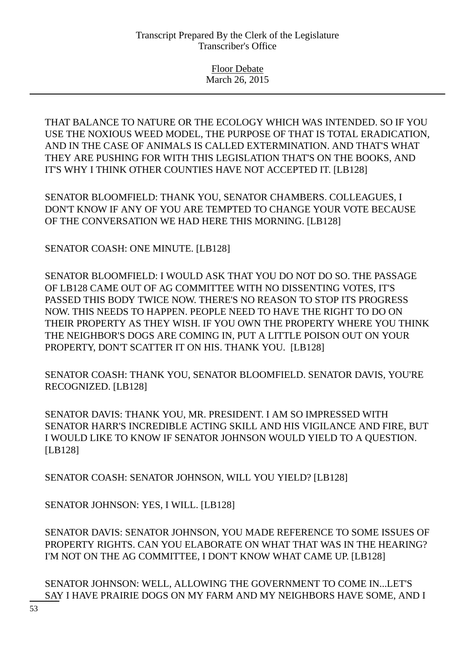THAT BALANCE TO NATURE OR THE ECOLOGY WHICH WAS INTENDED. SO IF YOU USE THE NOXIOUS WEED MODEL, THE PURPOSE OF THAT IS TOTAL ERADICATION, AND IN THE CASE OF ANIMALS IS CALLED EXTERMINATION. AND THAT'S WHAT THEY ARE PUSHING FOR WITH THIS LEGISLATION THAT'S ON THE BOOKS, AND IT'S WHY I THINK OTHER COUNTIES HAVE NOT ACCEPTED IT. [LB128]

SENATOR BLOOMFIELD: THANK YOU, SENATOR CHAMBERS. COLLEAGUES, I DON'T KNOW IF ANY OF YOU ARE TEMPTED TO CHANGE YOUR VOTE BECAUSE OF THE CONVERSATION WE HAD HERE THIS MORNING. [LB128]

SENATOR COASH: ONE MINUTE. [LB128]

SENATOR BLOOMFIELD: I WOULD ASK THAT YOU DO NOT DO SO. THE PASSAGE OF LB128 CAME OUT OF AG COMMITTEE WITH NO DISSENTING VOTES, IT'S PASSED THIS BODY TWICE NOW. THERE'S NO REASON TO STOP ITS PROGRESS NOW. THIS NEEDS TO HAPPEN. PEOPLE NEED TO HAVE THE RIGHT TO DO ON THEIR PROPERTY AS THEY WISH. IF YOU OWN THE PROPERTY WHERE YOU THINK THE NEIGHBOR'S DOGS ARE COMING IN, PUT A LITTLE POISON OUT ON YOUR PROPERTY, DON'T SCATTER IT ON HIS. THANK YOU. [LB128]

SENATOR COASH: THANK YOU, SENATOR BLOOMFIELD. SENATOR DAVIS, YOU'RE RECOGNIZED. [LB128]

SENATOR DAVIS: THANK YOU, MR. PRESIDENT. I AM SO IMPRESSED WITH SENATOR HARR'S INCREDIBLE ACTING SKILL AND HIS VIGILANCE AND FIRE, BUT I WOULD LIKE TO KNOW IF SENATOR JOHNSON WOULD YIELD TO A QUESTION. [LB128]

SENATOR COASH: SENATOR JOHNSON, WILL YOU YIELD? [LB128]

SENATOR JOHNSON: YES, I WILL. [LB128]

SENATOR DAVIS: SENATOR JOHNSON, YOU MADE REFERENCE TO SOME ISSUES OF PROPERTY RIGHTS. CAN YOU ELABORATE ON WHAT THAT WAS IN THE HEARING? I'M NOT ON THE AG COMMITTEE, I DON'T KNOW WHAT CAME UP. [LB128]

SENATOR JOHNSON: WELL, ALLOWING THE GOVERNMENT TO COME IN...LET'S SAY I HAVE PRAIRIE DOGS ON MY FARM AND MY NEIGHBORS HAVE SOME, AND I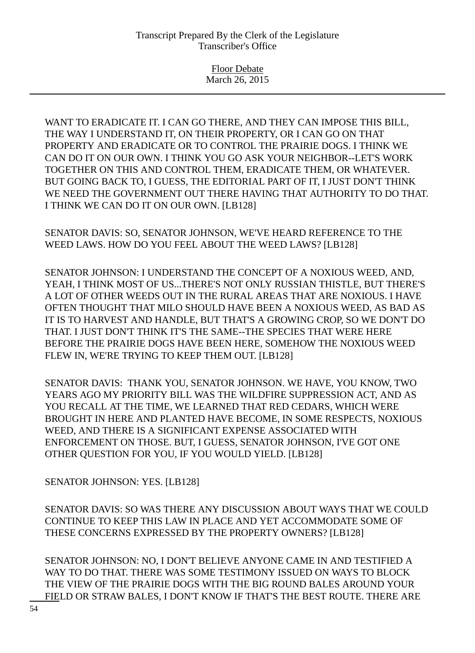Floor Debate March 26, 2015

WANT TO ERADICATE IT. I CAN GO THERE, AND THEY CAN IMPOSE THIS BILL, THE WAY I UNDERSTAND IT, ON THEIR PROPERTY, OR I CAN GO ON THAT PROPERTY AND ERADICATE OR TO CONTROL THE PRAIRIE DOGS. I THINK WE CAN DO IT ON OUR OWN. I THINK YOU GO ASK YOUR NEIGHBOR--LET'S WORK TOGETHER ON THIS AND CONTROL THEM, ERADICATE THEM, OR WHATEVER. BUT GOING BACK TO, I GUESS, THE EDITORIAL PART OF IT, I JUST DON'T THINK WE NEED THE GOVERNMENT OUT THERE HAVING THAT AUTHORITY TO DO THAT. I THINK WE CAN DO IT ON OUR OWN. [LB128]

SENATOR DAVIS: SO, SENATOR JOHNSON, WE'VE HEARD REFERENCE TO THE WEED LAWS. HOW DO YOU FEEL ABOUT THE WEED LAWS? [LB128]

SENATOR JOHNSON: I UNDERSTAND THE CONCEPT OF A NOXIOUS WEED, AND, YEAH, I THINK MOST OF US...THERE'S NOT ONLY RUSSIAN THISTLE, BUT THERE'S A LOT OF OTHER WEEDS OUT IN THE RURAL AREAS THAT ARE NOXIOUS. I HAVE OFTEN THOUGHT THAT MILO SHOULD HAVE BEEN A NOXIOUS WEED, AS BAD AS IT IS TO HARVEST AND HANDLE, BUT THAT'S A GROWING CROP, SO WE DON'T DO THAT. I JUST DON'T THINK IT'S THE SAME--THE SPECIES THAT WERE HERE BEFORE THE PRAIRIE DOGS HAVE BEEN HERE, SOMEHOW THE NOXIOUS WEED FLEW IN, WE'RE TRYING TO KEEP THEM OUT. [LB128]

SENATOR DAVIS: THANK YOU, SENATOR JOHNSON. WE HAVE, YOU KNOW, TWO YEARS AGO MY PRIORITY BILL WAS THE WILDFIRE SUPPRESSION ACT, AND AS YOU RECALL AT THE TIME, WE LEARNED THAT RED CEDARS, WHICH WERE BROUGHT IN HERE AND PLANTED HAVE BECOME, IN SOME RESPECTS, NOXIOUS WEED, AND THERE IS A SIGNIFICANT EXPENSE ASSOCIATED WITH ENFORCEMENT ON THOSE. BUT, I GUESS, SENATOR JOHNSON, I'VE GOT ONE OTHER QUESTION FOR YOU, IF YOU WOULD YIELD. [LB128]

SENATOR JOHNSON: YES. [LB128]

SENATOR DAVIS: SO WAS THERE ANY DISCUSSION ABOUT WAYS THAT WE COULD CONTINUE TO KEEP THIS LAW IN PLACE AND YET ACCOMMODATE SOME OF THESE CONCERNS EXPRESSED BY THE PROPERTY OWNERS? [LB128]

SENATOR JOHNSON: NO, I DON'T BELIEVE ANYONE CAME IN AND TESTIFIED A WAY TO DO THAT. THERE WAS SOME TESTIMONY ISSUED ON WAYS TO BLOCK THE VIEW OF THE PRAIRIE DOGS WITH THE BIG ROUND BALES AROUND YOUR FIELD OR STRAW BALES, I DON'T KNOW IF THAT'S THE BEST ROUTE. THERE ARE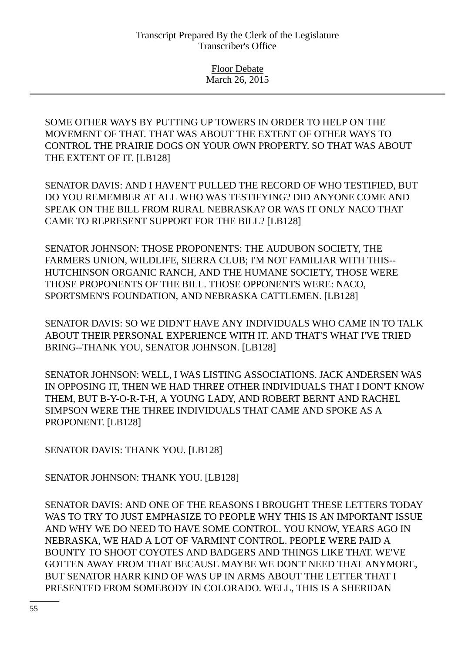SOME OTHER WAYS BY PUTTING UP TOWERS IN ORDER TO HELP ON THE MOVEMENT OF THAT. THAT WAS ABOUT THE EXTENT OF OTHER WAYS TO CONTROL THE PRAIRIE DOGS ON YOUR OWN PROPERTY. SO THAT WAS ABOUT THE EXTENT OF IT. [LB128]

SENATOR DAVIS: AND I HAVEN'T PULLED THE RECORD OF WHO TESTIFIED, BUT DO YOU REMEMBER AT ALL WHO WAS TESTIFYING? DID ANYONE COME AND SPEAK ON THE BILL FROM RURAL NEBRASKA? OR WAS IT ONLY NACO THAT CAME TO REPRESENT SUPPORT FOR THE BILL? [LB128]

SENATOR JOHNSON: THOSE PROPONENTS: THE AUDUBON SOCIETY, THE FARMERS UNION, WILDLIFE, SIERRA CLUB; I'M NOT FAMILIAR WITH THIS-- HUTCHINSON ORGANIC RANCH, AND THE HUMANE SOCIETY, THOSE WERE THOSE PROPONENTS OF THE BILL. THOSE OPPONENTS WERE: NACO, SPORTSMEN'S FOUNDATION, AND NEBRASKA CATTLEMEN. [LB128]

SENATOR DAVIS: SO WE DIDN'T HAVE ANY INDIVIDUALS WHO CAME IN TO TALK ABOUT THEIR PERSONAL EXPERIENCE WITH IT. AND THAT'S WHAT I'VE TRIED BRING--THANK YOU, SENATOR JOHNSON. [LB128]

SENATOR JOHNSON: WELL, I WAS LISTING ASSOCIATIONS. JACK ANDERSEN WAS IN OPPOSING IT, THEN WE HAD THREE OTHER INDIVIDUALS THAT I DON'T KNOW THEM, BUT B-Y-O-R-T-H, A YOUNG LADY, AND ROBERT BERNT AND RACHEL SIMPSON WERE THE THREE INDIVIDUALS THAT CAME AND SPOKE AS A PROPONENT. [LB128]

SENATOR DAVIS: THANK YOU. [LB128]

SENATOR JOHNSON: THANK YOU. [LB128]

SENATOR DAVIS: AND ONE OF THE REASONS I BROUGHT THESE LETTERS TODAY WAS TO TRY TO JUST EMPHASIZE TO PEOPLE WHY THIS IS AN IMPORTANT ISSUE AND WHY WE DO NEED TO HAVE SOME CONTROL. YOU KNOW, YEARS AGO IN NEBRASKA, WE HAD A LOT OF VARMINT CONTROL. PEOPLE WERE PAID A BOUNTY TO SHOOT COYOTES AND BADGERS AND THINGS LIKE THAT. WE'VE GOTTEN AWAY FROM THAT BECAUSE MAYBE WE DON'T NEED THAT ANYMORE, BUT SENATOR HARR KIND OF WAS UP IN ARMS ABOUT THE LETTER THAT I PRESENTED FROM SOMEBODY IN COLORADO. WELL, THIS IS A SHERIDAN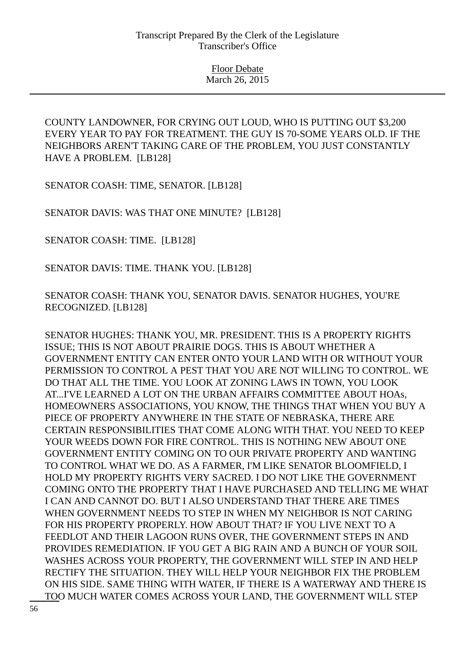COUNTY LANDOWNER, FOR CRYING OUT LOUD, WHO IS PUTTING OUT \$3,200 EVERY YEAR TO PAY FOR TREATMENT. THE GUY IS 70-SOME YEARS OLD. IF THE NEIGHBORS AREN'T TAKING CARE OF THE PROBLEM, YOU JUST CONSTANTLY HAVE A PROBLEM. [LB128]

SENATOR COASH: TIME, SENATOR. [LB128]

SENATOR DAVIS: WAS THAT ONE MINUTE? [LB128]

SENATOR COASH: TIME. [LB128]

SENATOR DAVIS: TIME. THANK YOU. [LB128]

SENATOR COASH: THANK YOU, SENATOR DAVIS. SENATOR HUGHES, YOU'RE RECOGNIZED. [LB128]

SENATOR HUGHES: THANK YOU, MR. PRESIDENT. THIS IS A PROPERTY RIGHTS ISSUE; THIS IS NOT ABOUT PRAIRIE DOGS. THIS IS ABOUT WHETHER A GOVERNMENT ENTITY CAN ENTER ONTO YOUR LAND WITH OR WITHOUT YOUR PERMISSION TO CONTROL A PEST THAT YOU ARE NOT WILLING TO CONTROL. WE DO THAT ALL THE TIME. YOU LOOK AT ZONING LAWS IN TOWN, YOU LOOK AT...I'VE LEARNED A LOT ON THE URBAN AFFAIRS COMMITTEE ABOUT HOAs, HOMEOWNERS ASSOCIATIONS, YOU KNOW, THE THINGS THAT WHEN YOU BUY A PIECE OF PROPERTY ANYWHERE IN THE STATE OF NEBRASKA, THERE ARE CERTAIN RESPONSIBILITIES THAT COME ALONG WITH THAT. YOU NEED TO KEEP YOUR WEEDS DOWN FOR FIRE CONTROL. THIS IS NOTHING NEW ABOUT ONE GOVERNMENT ENTITY COMING ON TO OUR PRIVATE PROPERTY AND WANTING TO CONTROL WHAT WE DO. AS A FARMER, I'M LIKE SENATOR BLOOMFIELD, I HOLD MY PROPERTY RIGHTS VERY SACRED. I DO NOT LIKE THE GOVERNMENT COMING ONTO THE PROPERTY THAT I HAVE PURCHASED AND TELLING ME WHAT I CAN AND CANNOT DO. BUT I ALSO UNDERSTAND THAT THERE ARE TIMES WHEN GOVERNMENT NEEDS TO STEP IN WHEN MY NEIGHBOR IS NOT CARING FOR HIS PROPERTY PROPERLY. HOW ABOUT THAT? IF YOU LIVE NEXT TO A FEEDLOT AND THEIR LAGOON RUNS OVER, THE GOVERNMENT STEPS IN AND PROVIDES REMEDIATION. IF YOU GET A BIG RAIN AND A BUNCH OF YOUR SOIL WASHES ACROSS YOUR PROPERTY, THE GOVERNMENT WILL STEP IN AND HELP RECTIFY THE SITUATION. THEY WILL HELP YOUR NEIGHBOR FIX THE PROBLEM ON HIS SIDE. SAME THING WITH WATER, IF THERE IS A WATERWAY AND THERE IS TOO MUCH WATER COMES ACROSS YOUR LAND, THE GOVERNMENT WILL STEP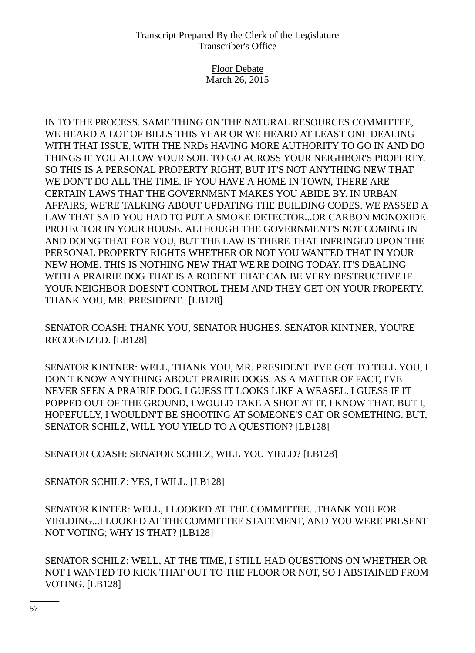Floor Debate March 26, 2015

IN TO THE PROCESS. SAME THING ON THE NATURAL RESOURCES COMMITTEE, WE HEARD A LOT OF BILLS THIS YEAR OR WE HEARD AT LEAST ONE DEALING WITH THAT ISSUE, WITH THE NRDs HAVING MORE AUTHORITY TO GO IN AND DO THINGS IF YOU ALLOW YOUR SOIL TO GO ACROSS YOUR NEIGHBOR'S PROPERTY. SO THIS IS A PERSONAL PROPERTY RIGHT, BUT IT'S NOT ANYTHING NEW THAT WE DON'T DO ALL THE TIME. IF YOU HAVE A HOME IN TOWN, THERE ARE CERTAIN LAWS THAT THE GOVERNMENT MAKES YOU ABIDE BY. IN URBAN AFFAIRS, WE'RE TALKING ABOUT UPDATING THE BUILDING CODES. WE PASSED A LAW THAT SAID YOU HAD TO PUT A SMOKE DETECTOR...OR CARBON MONOXIDE PROTECTOR IN YOUR HOUSE. ALTHOUGH THE GOVERNMENT'S NOT COMING IN AND DOING THAT FOR YOU, BUT THE LAW IS THERE THAT INFRINGED UPON THE PERSONAL PROPERTY RIGHTS WHETHER OR NOT YOU WANTED THAT IN YOUR NEW HOME. THIS IS NOTHING NEW THAT WE'RE DOING TODAY. IT'S DEALING WITH A PRAIRIE DOG THAT IS A RODENT THAT CAN BE VERY DESTRUCTIVE IF YOUR NEIGHBOR DOESN'T CONTROL THEM AND THEY GET ON YOUR PROPERTY. THANK YOU, MR. PRESIDENT. [LB128]

SENATOR COASH: THANK YOU, SENATOR HUGHES. SENATOR KINTNER, YOU'RE RECOGNIZED. [LB128]

SENATOR KINTNER: WELL, THANK YOU, MR. PRESIDENT. I'VE GOT TO TELL YOU, I DON'T KNOW ANYTHING ABOUT PRAIRIE DOGS. AS A MATTER OF FACT, I'VE NEVER SEEN A PRAIRIE DOG. I GUESS IT LOOKS LIKE A WEASEL. I GUESS IF IT POPPED OUT OF THE GROUND, I WOULD TAKE A SHOT AT IT, I KNOW THAT, BUT I, HOPEFULLY, I WOULDN'T BE SHOOTING AT SOMEONE'S CAT OR SOMETHING. BUT, SENATOR SCHILZ, WILL YOU YIELD TO A QUESTION? [LB128]

SENATOR COASH: SENATOR SCHILZ, WILL YOU YIELD? [LB128]

SENATOR SCHILZ: YES, I WILL. [LB128]

SENATOR KINTER: WELL, I LOOKED AT THE COMMITTEE...THANK YOU FOR YIELDING...I LOOKED AT THE COMMITTEE STATEMENT, AND YOU WERE PRESENT NOT VOTING; WHY IS THAT? [LB128]

SENATOR SCHILZ: WELL, AT THE TIME, I STILL HAD QUESTIONS ON WHETHER OR NOT I WANTED TO KICK THAT OUT TO THE FLOOR OR NOT, SO I ABSTAINED FROM VOTING. [LB128]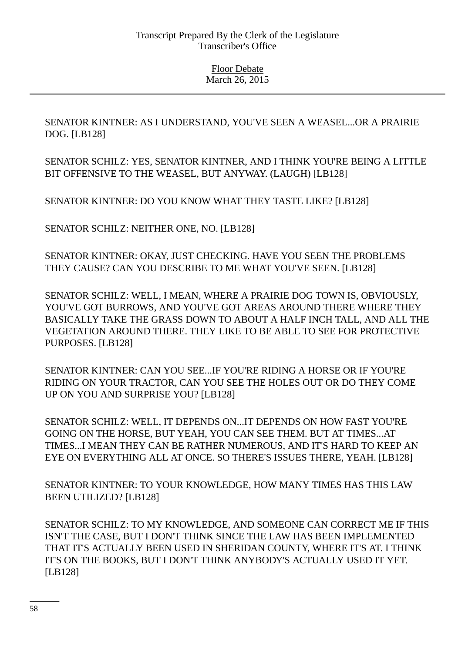SENATOR KINTNER: AS I UNDERSTAND, YOU'VE SEEN A WEASEL...OR A PRAIRIE DOG. [LB128]

SENATOR SCHILZ: YES, SENATOR KINTNER, AND I THINK YOU'RE BEING A LITTLE BIT OFFENSIVE TO THE WEASEL, BUT ANYWAY. (LAUGH) [LB128]

SENATOR KINTNER: DO YOU KNOW WHAT THEY TASTE LIKE? [LB128]

SENATOR SCHILZ: NEITHER ONE, NO. [LB128]

SENATOR KINTNER: OKAY, JUST CHECKING. HAVE YOU SEEN THE PROBLEMS THEY CAUSE? CAN YOU DESCRIBE TO ME WHAT YOU'VE SEEN. [LB128]

SENATOR SCHILZ: WELL, I MEAN, WHERE A PRAIRIE DOG TOWN IS, OBVIOUSLY, YOU'VE GOT BURROWS, AND YOU'VE GOT AREAS AROUND THERE WHERE THEY BASICALLY TAKE THE GRASS DOWN TO ABOUT A HALF INCH TALL, AND ALL THE VEGETATION AROUND THERE. THEY LIKE TO BE ABLE TO SEE FOR PROTECTIVE PURPOSES. [LB128]

SENATOR KINTNER: CAN YOU SEE...IF YOU'RE RIDING A HORSE OR IF YOU'RE RIDING ON YOUR TRACTOR, CAN YOU SEE THE HOLES OUT OR DO THEY COME UP ON YOU AND SURPRISE YOU? [LB128]

SENATOR SCHILZ: WELL, IT DEPENDS ON...IT DEPENDS ON HOW FAST YOU'RE GOING ON THE HORSE, BUT YEAH, YOU CAN SEE THEM. BUT AT TIMES...AT TIMES...I MEAN THEY CAN BE RATHER NUMEROUS, AND IT'S HARD TO KEEP AN EYE ON EVERYTHING ALL AT ONCE. SO THERE'S ISSUES THERE, YEAH. [LB128]

SENATOR KINTNER: TO YOUR KNOWLEDGE, HOW MANY TIMES HAS THIS LAW BEEN UTILIZED? [LB128]

SENATOR SCHILZ: TO MY KNOWLEDGE, AND SOMEONE CAN CORRECT ME IF THIS ISN'T THE CASE, BUT I DON'T THINK SINCE THE LAW HAS BEEN IMPLEMENTED THAT IT'S ACTUALLY BEEN USED IN SHERIDAN COUNTY, WHERE IT'S AT. I THINK IT'S ON THE BOOKS, BUT I DON'T THINK ANYBODY'S ACTUALLY USED IT YET. [LB128]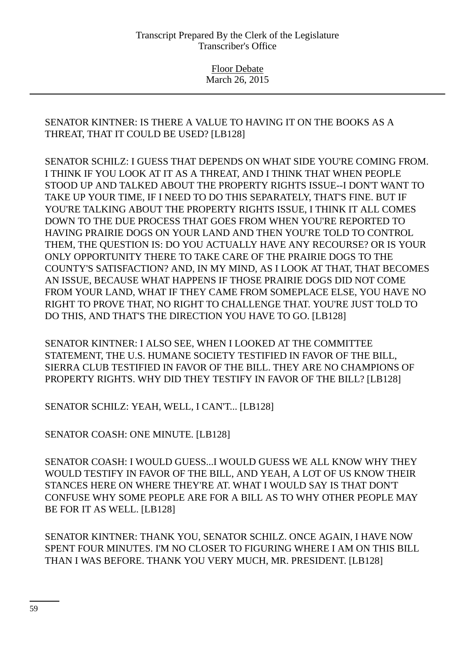# SENATOR KINTNER: IS THERE A VALUE TO HAVING IT ON THE BOOKS AS A THREAT, THAT IT COULD BE USED? [LB128]

SENATOR SCHILZ: I GUESS THAT DEPENDS ON WHAT SIDE YOU'RE COMING FROM. I THINK IF YOU LOOK AT IT AS A THREAT, AND I THINK THAT WHEN PEOPLE STOOD UP AND TALKED ABOUT THE PROPERTY RIGHTS ISSUE--I DON'T WANT TO TAKE UP YOUR TIME, IF I NEED TO DO THIS SEPARATELY, THAT'S FINE. BUT IF YOU'RE TALKING ABOUT THE PROPERTY RIGHTS ISSUE, I THINK IT ALL COMES DOWN TO THE DUE PROCESS THAT GOES FROM WHEN YOU'RE REPORTED TO HAVING PRAIRIE DOGS ON YOUR LAND AND THEN YOU'RE TOLD TO CONTROL THEM, THE QUESTION IS: DO YOU ACTUALLY HAVE ANY RECOURSE? OR IS YOUR ONLY OPPORTUNITY THERE TO TAKE CARE OF THE PRAIRIE DOGS TO THE COUNTY'S SATISFACTION? AND, IN MY MIND, AS I LOOK AT THAT, THAT BECOMES AN ISSUE, BECAUSE WHAT HAPPENS IF THOSE PRAIRIE DOGS DID NOT COME FROM YOUR LAND, WHAT IF THEY CAME FROM SOMEPLACE ELSE, YOU HAVE NO RIGHT TO PROVE THAT, NO RIGHT TO CHALLENGE THAT. YOU'RE JUST TOLD TO DO THIS, AND THAT'S THE DIRECTION YOU HAVE TO GO. [LB128]

SENATOR KINTNER: I ALSO SEE, WHEN I LOOKED AT THE COMMITTEE STATEMENT, THE U.S. HUMANE SOCIETY TESTIFIED IN FAVOR OF THE BILL, SIERRA CLUB TESTIFIED IN FAVOR OF THE BILL. THEY ARE NO CHAMPIONS OF PROPERTY RIGHTS. WHY DID THEY TESTIFY IN FAVOR OF THE BILL? [LB128]

SENATOR SCHILZ: YEAH, WELL, I CAN'T... [LB128]

SENATOR COASH: ONE MINUTE. [LB128]

SENATOR COASH: I WOULD GUESS...I WOULD GUESS WE ALL KNOW WHY THEY WOULD TESTIFY IN FAVOR OF THE BILL, AND YEAH, A LOT OF US KNOW THEIR STANCES HERE ON WHERE THEY'RE AT. WHAT I WOULD SAY IS THAT DON'T CONFUSE WHY SOME PEOPLE ARE FOR A BILL AS TO WHY OTHER PEOPLE MAY BE FOR IT AS WELL. [LB128]

SENATOR KINTNER: THANK YOU, SENATOR SCHILZ. ONCE AGAIN, I HAVE NOW SPENT FOUR MINUTES. I'M NO CLOSER TO FIGURING WHERE I AM ON THIS BILL THAN I WAS BEFORE. THANK YOU VERY MUCH, MR. PRESIDENT. [LB128]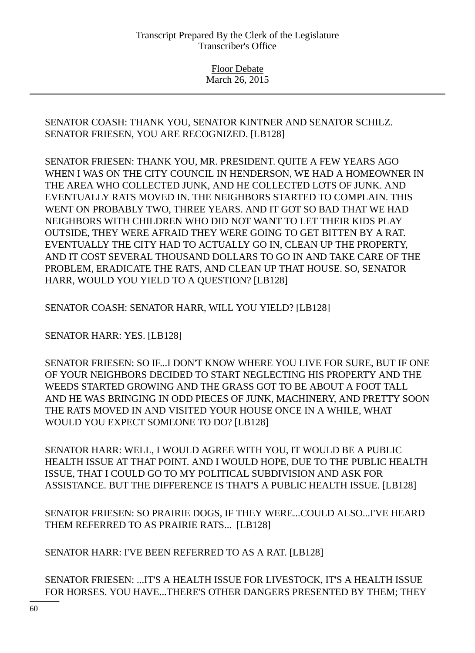> Floor Debate March 26, 2015

SENATOR COASH: THANK YOU, SENATOR KINTNER AND SENATOR SCHILZ. SENATOR FRIESEN, YOU ARE RECOGNIZED. [LB128]

SENATOR FRIESEN: THANK YOU, MR. PRESIDENT. QUITE A FEW YEARS AGO WHEN I WAS ON THE CITY COUNCIL IN HENDERSON, WE HAD A HOMEOWNER IN THE AREA WHO COLLECTED JUNK, AND HE COLLECTED LOTS OF JUNK. AND EVENTUALLY RATS MOVED IN. THE NEIGHBORS STARTED TO COMPLAIN. THIS WENT ON PROBABLY TWO, THREE YEARS. AND IT GOT SO BAD THAT WE HAD NEIGHBORS WITH CHILDREN WHO DID NOT WANT TO LET THEIR KIDS PLAY OUTSIDE, THEY WERE AFRAID THEY WERE GOING TO GET BITTEN BY A RAT. EVENTUALLY THE CITY HAD TO ACTUALLY GO IN, CLEAN UP THE PROPERTY, AND IT COST SEVERAL THOUSAND DOLLARS TO GO IN AND TAKE CARE OF THE PROBLEM, ERADICATE THE RATS, AND CLEAN UP THAT HOUSE. SO, SENATOR HARR, WOULD YOU YIELD TO A QUESTION? [LB128]

SENATOR COASH: SENATOR HARR, WILL YOU YIELD? [LB128]

SENATOR HARR: YES. [LB128]

SENATOR FRIESEN: SO IF...I DON'T KNOW WHERE YOU LIVE FOR SURE, BUT IF ONE OF YOUR NEIGHBORS DECIDED TO START NEGLECTING HIS PROPERTY AND THE WEEDS STARTED GROWING AND THE GRASS GOT TO BE ABOUT A FOOT TALL AND HE WAS BRINGING IN ODD PIECES OF JUNK, MACHINERY, AND PRETTY SOON THE RATS MOVED IN AND VISITED YOUR HOUSE ONCE IN A WHILE, WHAT WOULD YOU EXPECT SOMEONE TO DO? [LB128]

SENATOR HARR: WELL, I WOULD AGREE WITH YOU, IT WOULD BE A PUBLIC HEALTH ISSUE AT THAT POINT. AND I WOULD HOPE, DUE TO THE PUBLIC HEALTH ISSUE, THAT I COULD GO TO MY POLITICAL SUBDIVISION AND ASK FOR ASSISTANCE. BUT THE DIFFERENCE IS THAT'S A PUBLIC HEALTH ISSUE. [LB128]

SENATOR FRIESEN: SO PRAIRIE DOGS, IF THEY WERE...COULD ALSO...I'VE HEARD THEM REFERRED TO AS PRAIRIE RATS... [LB128]

SENATOR HARR: I'VE BEEN REFERRED TO AS A RAT. [LB128]

SENATOR FRIESEN: ...IT'S A HEALTH ISSUE FOR LIVESTOCK, IT'S A HEALTH ISSUE FOR HORSES. YOU HAVE...THERE'S OTHER DANGERS PRESENTED BY THEM; THEY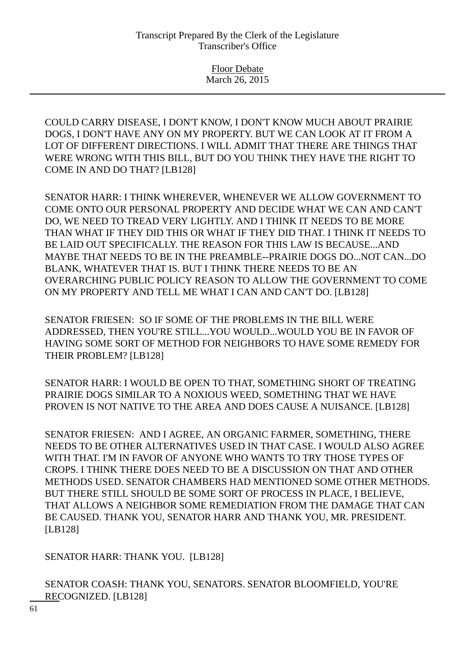COULD CARRY DISEASE, I DON'T KNOW, I DON'T KNOW MUCH ABOUT PRAIRIE DOGS, I DON'T HAVE ANY ON MY PROPERTY. BUT WE CAN LOOK AT IT FROM A LOT OF DIFFERENT DIRECTIONS. I WILL ADMIT THAT THERE ARE THINGS THAT WERE WRONG WITH THIS BILL, BUT DO YOU THINK THEY HAVE THE RIGHT TO COME IN AND DO THAT? [LB128]

SENATOR HARR: I THINK WHEREVER, WHENEVER WE ALLOW GOVERNMENT TO COME ONTO OUR PERSONAL PROPERTY AND DECIDE WHAT WE CAN AND CAN'T DO, WE NEED TO TREAD VERY LIGHTLY. AND I THINK IT NEEDS TO BE MORE THAN WHAT IF THEY DID THIS OR WHAT IF THEY DID THAT. I THINK IT NEEDS TO BE LAID OUT SPECIFICALLY. THE REASON FOR THIS LAW IS BECAUSE...AND MAYBE THAT NEEDS TO BE IN THE PREAMBLE--PRAIRIE DOGS DO...NOT CAN...DO BLANK, WHATEVER THAT IS. BUT I THINK THERE NEEDS TO BE AN OVERARCHING PUBLIC POLICY REASON TO ALLOW THE GOVERNMENT TO COME ON MY PROPERTY AND TELL ME WHAT I CAN AND CAN'T DO. [LB128]

SENATOR FRIESEN: SO IF SOME OF THE PROBLEMS IN THE BILL WERE ADDRESSED, THEN YOU'RE STILL...YOU WOULD...WOULD YOU BE IN FAVOR OF HAVING SOME SORT OF METHOD FOR NEIGHBORS TO HAVE SOME REMEDY FOR THEIR PROBLEM? [LB128]

SENATOR HARR: I WOULD BE OPEN TO THAT, SOMETHING SHORT OF TREATING PRAIRIE DOGS SIMILAR TO A NOXIOUS WEED, SOMETHING THAT WE HAVE PROVEN IS NOT NATIVE TO THE AREA AND DOES CAUSE A NUISANCE. [LB128]

SENATOR FRIESEN: AND I AGREE, AN ORGANIC FARMER, SOMETHING, THERE NEEDS TO BE OTHER ALTERNATIVES USED IN THAT CASE. I WOULD ALSO AGREE WITH THAT. I'M IN FAVOR OF ANYONE WHO WANTS TO TRY THOSE TYPES OF CROPS. I THINK THERE DOES NEED TO BE A DISCUSSION ON THAT AND OTHER METHODS USED. SENATOR CHAMBERS HAD MENTIONED SOME OTHER METHODS. BUT THERE STILL SHOULD BE SOME SORT OF PROCESS IN PLACE, I BELIEVE, THAT ALLOWS A NEIGHBOR SOME REMEDIATION FROM THE DAMAGE THAT CAN BE CAUSED. THANK YOU, SENATOR HARR AND THANK YOU, MR. PRESIDENT. [LB128]

SENATOR HARR: THANK YOU. [LB128]

SENATOR COASH: THANK YOU, SENATORS. SENATOR BLOOMFIELD, YOU'RE RECOGNIZED. [LB128]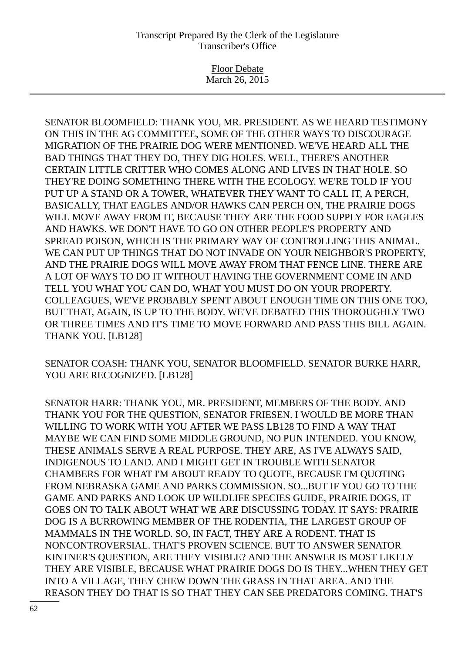Floor Debate March 26, 2015

SENATOR BLOOMFIELD: THANK YOU, MR. PRESIDENT. AS WE HEARD TESTIMONY ON THIS IN THE AG COMMITTEE, SOME OF THE OTHER WAYS TO DISCOURAGE MIGRATION OF THE PRAIRIE DOG WERE MENTIONED. WE'VE HEARD ALL THE BAD THINGS THAT THEY DO, THEY DIG HOLES. WELL, THERE'S ANOTHER CERTAIN LITTLE CRITTER WHO COMES ALONG AND LIVES IN THAT HOLE. SO THEY'RE DOING SOMETHING THERE WITH THE ECOLOGY. WE'RE TOLD IF YOU PUT UP A STAND OR A TOWER, WHATEVER THEY WANT TO CALL IT, A PERCH, BASICALLY, THAT EAGLES AND/OR HAWKS CAN PERCH ON, THE PRAIRIE DOGS WILL MOVE AWAY FROM IT, BECAUSE THEY ARE THE FOOD SUPPLY FOR EAGLES AND HAWKS. WE DON'T HAVE TO GO ON OTHER PEOPLE'S PROPERTY AND SPREAD POISON, WHICH IS THE PRIMARY WAY OF CONTROLLING THIS ANIMAL. WE CAN PUT UP THINGS THAT DO NOT INVADE ON YOUR NEIGHBOR'S PROPERTY, AND THE PRAIRIE DOGS WILL MOVE AWAY FROM THAT FENCE LINE. THERE ARE A LOT OF WAYS TO DO IT WITHOUT HAVING THE GOVERNMENT COME IN AND TELL YOU WHAT YOU CAN DO, WHAT YOU MUST DO ON YOUR PROPERTY. COLLEAGUES, WE'VE PROBABLY SPENT ABOUT ENOUGH TIME ON THIS ONE TOO, BUT THAT, AGAIN, IS UP TO THE BODY. WE'VE DEBATED THIS THOROUGHLY TWO OR THREE TIMES AND IT'S TIME TO MOVE FORWARD AND PASS THIS BILL AGAIN. THANK YOU. [LB128]

SENATOR COASH: THANK YOU, SENATOR BLOOMFIELD. SENATOR BURKE HARR, YOU ARE RECOGNIZED. [LB128]

SENATOR HARR: THANK YOU, MR. PRESIDENT, MEMBERS OF THE BODY. AND THANK YOU FOR THE QUESTION, SENATOR FRIESEN. I WOULD BE MORE THAN WILLING TO WORK WITH YOU AFTER WE PASS LB128 TO FIND A WAY THAT MAYBE WE CAN FIND SOME MIDDLE GROUND, NO PUN INTENDED. YOU KNOW, THESE ANIMALS SERVE A REAL PURPOSE. THEY ARE, AS I'VE ALWAYS SAID, INDIGENOUS TO LAND. AND I MIGHT GET IN TROUBLE WITH SENATOR CHAMBERS FOR WHAT I'M ABOUT READY TO QUOTE, BECAUSE I'M QUOTING FROM NEBRASKA GAME AND PARKS COMMISSION. SO...BUT IF YOU GO TO THE GAME AND PARKS AND LOOK UP WILDLIFE SPECIES GUIDE, PRAIRIE DOGS, IT GOES ON TO TALK ABOUT WHAT WE ARE DISCUSSING TODAY. IT SAYS: PRAIRIE DOG IS A BURROWING MEMBER OF THE RODENTIA, THE LARGEST GROUP OF MAMMALS IN THE WORLD. SO, IN FACT, THEY ARE A RODENT. THAT IS NONCONTROVERSIAL. THAT'S PROVEN SCIENCE. BUT TO ANSWER SENATOR KINTNER'S QUESTION, ARE THEY VISIBLE? AND THE ANSWER IS MOST LIKELY THEY ARE VISIBLE, BECAUSE WHAT PRAIRIE DOGS DO IS THEY...WHEN THEY GET INTO A VILLAGE, THEY CHEW DOWN THE GRASS IN THAT AREA. AND THE REASON THEY DO THAT IS SO THAT THEY CAN SEE PREDATORS COMING. THAT'S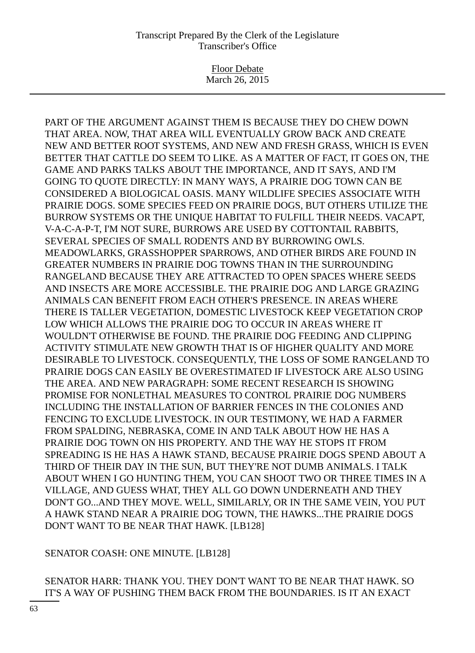Floor Debate March 26, 2015

PART OF THE ARGUMENT AGAINST THEM IS BECAUSE THEY DO CHEW DOWN THAT AREA. NOW, THAT AREA WILL EVENTUALLY GROW BACK AND CREATE NEW AND BETTER ROOT SYSTEMS, AND NEW AND FRESH GRASS, WHICH IS EVEN BETTER THAT CATTLE DO SEEM TO LIKE. AS A MATTER OF FACT, IT GOES ON, THE GAME AND PARKS TALKS ABOUT THE IMPORTANCE, AND IT SAYS, AND I'M GOING TO QUOTE DIRECTLY: IN MANY WAYS, A PRAIRIE DOG TOWN CAN BE CONSIDERED A BIOLOGICAL OASIS. MANY WILDLIFE SPECIES ASSOCIATE WITH PRAIRIE DOGS. SOME SPECIES FEED ON PRAIRIE DOGS, BUT OTHERS UTILIZE THE BURROW SYSTEMS OR THE UNIQUE HABITAT TO FULFILL THEIR NEEDS. VACAPT, V-A-C-A-P-T, I'M NOT SURE, BURROWS ARE USED BY COTTONTAIL RABBITS, SEVERAL SPECIES OF SMALL RODENTS AND BY BURROWING OWLS. MEADOWLARKS, GRASSHOPPER SPARROWS, AND OTHER BIRDS ARE FOUND IN GREATER NUMBERS IN PRAIRIE DOG TOWNS THAN IN THE SURROUNDING RANGELAND BECAUSE THEY ARE ATTRACTED TO OPEN SPACES WHERE SEEDS AND INSECTS ARE MORE ACCESSIBLE. THE PRAIRIE DOG AND LARGE GRAZING ANIMALS CAN BENEFIT FROM EACH OTHER'S PRESENCE. IN AREAS WHERE THERE IS TALLER VEGETATION, DOMESTIC LIVESTOCK KEEP VEGETATION CROP LOW WHICH ALLOWS THE PRAIRIE DOG TO OCCUR IN AREAS WHERE IT WOULDN'T OTHERWISE BE FOUND. THE PRAIRIE DOG FEEDING AND CLIPPING ACTIVITY STIMULATE NEW GROWTH THAT IS OF HIGHER QUALITY AND MORE DESIRABLE TO LIVESTOCK. CONSEQUENTLY, THE LOSS OF SOME RANGELAND TO PRAIRIE DOGS CAN EASILY BE OVERESTIMATED IF LIVESTOCK ARE ALSO USING THE AREA. AND NEW PARAGRAPH: SOME RECENT RESEARCH IS SHOWING PROMISE FOR NONLETHAL MEASURES TO CONTROL PRAIRIE DOG NUMBERS INCLUDING THE INSTALLATION OF BARRIER FENCES IN THE COLONIES AND FENCING TO EXCLUDE LIVESTOCK. IN OUR TESTIMONY, WE HAD A FARMER FROM SPALDING, NEBRASKA, COME IN AND TALK ABOUT HOW HE HAS A PRAIRIE DOG TOWN ON HIS PROPERTY. AND THE WAY HE STOPS IT FROM SPREADING IS HE HAS A HAWK STAND, BECAUSE PRAIRIE DOGS SPEND ABOUT A THIRD OF THEIR DAY IN THE SUN, BUT THEY'RE NOT DUMB ANIMALS. I TALK ABOUT WHEN I GO HUNTING THEM, YOU CAN SHOOT TWO OR THREE TIMES IN A VILLAGE, AND GUESS WHAT, THEY ALL GO DOWN UNDERNEATH AND THEY DON'T GO...AND THEY MOVE. WELL, SIMILARLY, OR IN THE SAME VEIN, YOU PUT A HAWK STAND NEAR A PRAIRIE DOG TOWN, THE HAWKS...THE PRAIRIE DOGS DON'T WANT TO BE NEAR THAT HAWK. [LB128]

SENATOR COASH: ONE MINUTE. [LB128]

SENATOR HARR: THANK YOU. THEY DON'T WANT TO BE NEAR THAT HAWK. SO IT'S A WAY OF PUSHING THEM BACK FROM THE BOUNDARIES. IS IT AN EXACT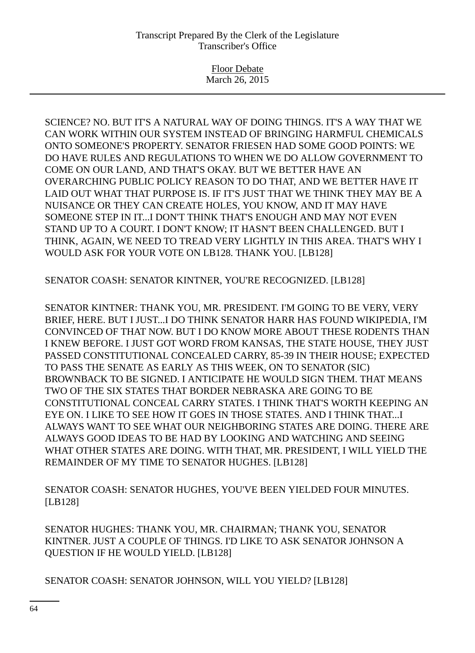Floor Debate March 26, 2015

SCIENCE? NO. BUT IT'S A NATURAL WAY OF DOING THINGS. IT'S A WAY THAT WE CAN WORK WITHIN OUR SYSTEM INSTEAD OF BRINGING HARMFUL CHEMICALS ONTO SOMEONE'S PROPERTY. SENATOR FRIESEN HAD SOME GOOD POINTS: WE DO HAVE RULES AND REGULATIONS TO WHEN WE DO ALLOW GOVERNMENT TO COME ON OUR LAND, AND THAT'S OKAY. BUT WE BETTER HAVE AN OVERARCHING PUBLIC POLICY REASON TO DO THAT, AND WE BETTER HAVE IT LAID OUT WHAT THAT PURPOSE IS. IF IT'S JUST THAT WE THINK THEY MAY BE A NUISANCE OR THEY CAN CREATE HOLES, YOU KNOW, AND IT MAY HAVE SOMEONE STEP IN IT...I DON'T THINK THAT'S ENOUGH AND MAY NOT EVEN STAND UP TO A COURT. I DON'T KNOW; IT HASN'T BEEN CHALLENGED. BUT I THINK, AGAIN, WE NEED TO TREAD VERY LIGHTLY IN THIS AREA. THAT'S WHY I WOULD ASK FOR YOUR VOTE ON LB128. THANK YOU. [LB128]

SENATOR COASH: SENATOR KINTNER, YOU'RE RECOGNIZED. [LB128]

SENATOR KINTNER: THANK YOU, MR. PRESIDENT. I'M GOING TO BE VERY, VERY BRIEF, HERE. BUT I JUST...I DO THINK SENATOR HARR HAS FOUND WIKIPEDIA, I'M CONVINCED OF THAT NOW. BUT I DO KNOW MORE ABOUT THESE RODENTS THAN I KNEW BEFORE. I JUST GOT WORD FROM KANSAS, THE STATE HOUSE, THEY JUST PASSED CONSTITUTIONAL CONCEALED CARRY, 85-39 IN THEIR HOUSE; EXPECTED TO PASS THE SENATE AS EARLY AS THIS WEEK, ON TO SENATOR (SIC) BROWNBACK TO BE SIGNED. I ANTICIPATE HE WOULD SIGN THEM. THAT MEANS TWO OF THE SIX STATES THAT BORDER NEBRASKA ARE GOING TO BE CONSTITUTIONAL CONCEAL CARRY STATES. I THINK THAT'S WORTH KEEPING AN EYE ON. I LIKE TO SEE HOW IT GOES IN THOSE STATES. AND I THINK THAT...I ALWAYS WANT TO SEE WHAT OUR NEIGHBORING STATES ARE DOING. THERE ARE ALWAYS GOOD IDEAS TO BE HAD BY LOOKING AND WATCHING AND SEEING WHAT OTHER STATES ARE DOING. WITH THAT, MR. PRESIDENT, I WILL YIELD THE REMAINDER OF MY TIME TO SENATOR HUGHES. [LB128]

SENATOR COASH: SENATOR HUGHES, YOU'VE BEEN YIELDED FOUR MINUTES. [LB128]

SENATOR HUGHES: THANK YOU, MR. CHAIRMAN; THANK YOU, SENATOR KINTNER. JUST A COUPLE OF THINGS. I'D LIKE TO ASK SENATOR JOHNSON A QUESTION IF HE WOULD YIELD. [LB128]

SENATOR COASH: SENATOR JOHNSON, WILL YOU YIELD? [LB128]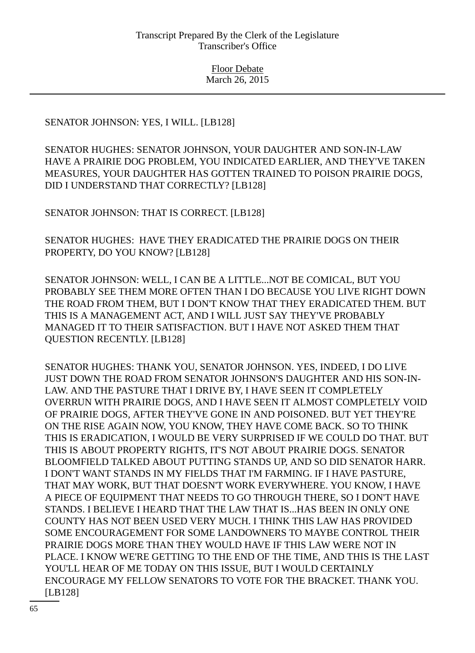SENATOR JOHNSON: YES, I WILL. [LB128]

SENATOR HUGHES: SENATOR JOHNSON, YOUR DAUGHTER AND SON-IN-LAW HAVE A PRAIRIE DOG PROBLEM, YOU INDICATED EARLIER, AND THEY'VE TAKEN MEASURES, YOUR DAUGHTER HAS GOTTEN TRAINED TO POISON PRAIRIE DOGS, DID I UNDERSTAND THAT CORRECTLY? [LB128]

SENATOR JOHNSON: THAT IS CORRECT. [LB128]

SENATOR HUGHES: HAVE THEY ERADICATED THE PRAIRIE DOGS ON THEIR PROPERTY, DO YOU KNOW? [LB128]

SENATOR JOHNSON: WELL, I CAN BE A LITTLE...NOT BE COMICAL, BUT YOU PROBABLY SEE THEM MORE OFTEN THAN I DO BECAUSE YOU LIVE RIGHT DOWN THE ROAD FROM THEM, BUT I DON'T KNOW THAT THEY ERADICATED THEM. BUT THIS IS A MANAGEMENT ACT, AND I WILL JUST SAY THEY'VE PROBABLY MANAGED IT TO THEIR SATISFACTION. BUT I HAVE NOT ASKED THEM THAT QUESTION RECENTLY. [LB128]

SENATOR HUGHES: THANK YOU, SENATOR JOHNSON. YES, INDEED, I DO LIVE JUST DOWN THE ROAD FROM SENATOR JOHNSON'S DAUGHTER AND HIS SON-IN-LAW. AND THE PASTURE THAT I DRIVE BY, I HAVE SEEN IT COMPLETELY OVERRUN WITH PRAIRIE DOGS, AND I HAVE SEEN IT ALMOST COMPLETELY VOID OF PRAIRIE DOGS, AFTER THEY'VE GONE IN AND POISONED. BUT YET THEY'RE ON THE RISE AGAIN NOW, YOU KNOW, THEY HAVE COME BACK. SO TO THINK THIS IS ERADICATION, I WOULD BE VERY SURPRISED IF WE COULD DO THAT. BUT THIS IS ABOUT PROPERTY RIGHTS, IT'S NOT ABOUT PRAIRIE DOGS. SENATOR BLOOMFIELD TALKED ABOUT PUTTING STANDS UP, AND SO DID SENATOR HARR. I DON'T WANT STANDS IN MY FIELDS THAT I'M FARMING. IF I HAVE PASTURE, THAT MAY WORK, BUT THAT DOESN'T WORK EVERYWHERE. YOU KNOW, I HAVE A PIECE OF EQUIPMENT THAT NEEDS TO GO THROUGH THERE, SO I DON'T HAVE STANDS. I BELIEVE I HEARD THAT THE LAW THAT IS...HAS BEEN IN ONLY ONE COUNTY HAS NOT BEEN USED VERY MUCH. I THINK THIS LAW HAS PROVIDED SOME ENCOURAGEMENT FOR SOME LANDOWNERS TO MAYBE CONTROL THEIR PRAIRIE DOGS MORE THAN THEY WOULD HAVE IF THIS LAW WERE NOT IN PLACE. I KNOW WE'RE GETTING TO THE END OF THE TIME, AND THIS IS THE LAST YOU'LL HEAR OF ME TODAY ON THIS ISSUE, BUT I WOULD CERTAINLY ENCOURAGE MY FELLOW SENATORS TO VOTE FOR THE BRACKET. THANK YOU. [LB128]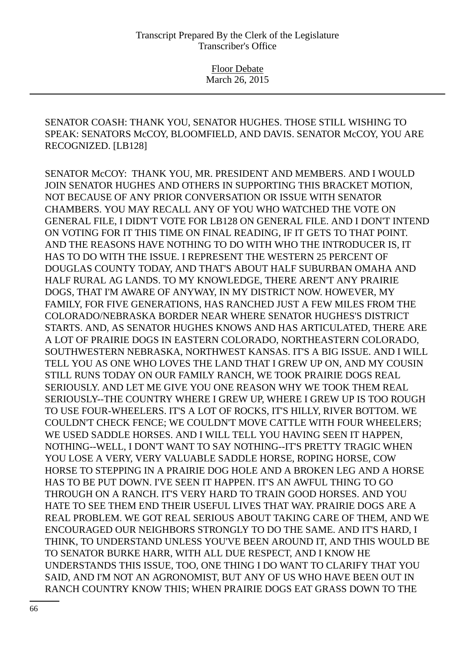SENATOR COASH: THANK YOU, SENATOR HUGHES. THOSE STILL WISHING TO SPEAK: SENATORS McCOY, BLOOMFIELD, AND DAVIS. SENATOR McCOY, YOU ARE RECOGNIZED. [LB128]

SENATOR McCOY: THANK YOU, MR. PRESIDENT AND MEMBERS. AND I WOULD JOIN SENATOR HUGHES AND OTHERS IN SUPPORTING THIS BRACKET MOTION, NOT BECAUSE OF ANY PRIOR CONVERSATION OR ISSUE WITH SENATOR CHAMBERS. YOU MAY RECALL ANY OF YOU WHO WATCHED THE VOTE ON GENERAL FILE, I DIDN'T VOTE FOR LB128 ON GENERAL FILE. AND I DON'T INTEND ON VOTING FOR IT THIS TIME ON FINAL READING, IF IT GETS TO THAT POINT. AND THE REASONS HAVE NOTHING TO DO WITH WHO THE INTRODUCER IS, IT HAS TO DO WITH THE ISSUE. I REPRESENT THE WESTERN 25 PERCENT OF DOUGLAS COUNTY TODAY, AND THAT'S ABOUT HALF SUBURBAN OMAHA AND HALF RURAL AG LANDS. TO MY KNOWLEDGE, THERE AREN'T ANY PRAIRIE DOGS, THAT I'M AWARE OF ANYWAY, IN MY DISTRICT NOW. HOWEVER, MY FAMILY, FOR FIVE GENERATIONS, HAS RANCHED JUST A FEW MILES FROM THE COLORADO/NEBRASKA BORDER NEAR WHERE SENATOR HUGHES'S DISTRICT STARTS. AND, AS SENATOR HUGHES KNOWS AND HAS ARTICULATED, THERE ARE A LOT OF PRAIRIE DOGS IN EASTERN COLORADO, NORTHEASTERN COLORADO, SOUTHWESTERN NEBRASKA, NORTHWEST KANSAS. IT'S A BIG ISSUE. AND I WILL TELL YOU AS ONE WHO LOVES THE LAND THAT I GREW UP ON, AND MY COUSIN STILL RUNS TODAY ON OUR FAMILY RANCH, WE TOOK PRAIRIE DOGS REAL SERIOUSLY. AND LET ME GIVE YOU ONE REASON WHY WE TOOK THEM REAL SERIOUSLY--THE COUNTRY WHERE I GREW UP, WHERE I GREW UP IS TOO ROUGH TO USE FOUR-WHEELERS. IT'S A LOT OF ROCKS, IT'S HILLY, RIVER BOTTOM. WE COULDN'T CHECK FENCE; WE COULDN'T MOVE CATTLE WITH FOUR WHEELERS; WE USED SADDLE HORSES. AND I WILL TELL YOU HAVING SEEN IT HAPPEN, NOTHING--WELL, I DON'T WANT TO SAY NOTHING--IT'S PRETTY TRAGIC WHEN YOU LOSE A VERY, VERY VALUABLE SADDLE HORSE, ROPING HORSE, COW HORSE TO STEPPING IN A PRAIRIE DOG HOLE AND A BROKEN LEG AND A HORSE HAS TO BE PUT DOWN. I'VE SEEN IT HAPPEN. IT'S AN AWFUL THING TO GO THROUGH ON A RANCH. IT'S VERY HARD TO TRAIN GOOD HORSES. AND YOU HATE TO SEE THEM END THEIR USEFUL LIVES THAT WAY. PRAIRIE DOGS ARE A REAL PROBLEM. WE GOT REAL SERIOUS ABOUT TAKING CARE OF THEM, AND WE ENCOURAGED OUR NEIGHBORS STRONGLY TO DO THE SAME. AND IT'S HARD, I THINK, TO UNDERSTAND UNLESS YOU'VE BEEN AROUND IT, AND THIS WOULD BE TO SENATOR BURKE HARR, WITH ALL DUE RESPECT, AND I KNOW HE UNDERSTANDS THIS ISSUE, TOO, ONE THING I DO WANT TO CLARIFY THAT YOU SAID, AND I'M NOT AN AGRONOMIST, BUT ANY OF US WHO HAVE BEEN OUT IN RANCH COUNTRY KNOW THIS; WHEN PRAIRIE DOGS EAT GRASS DOWN TO THE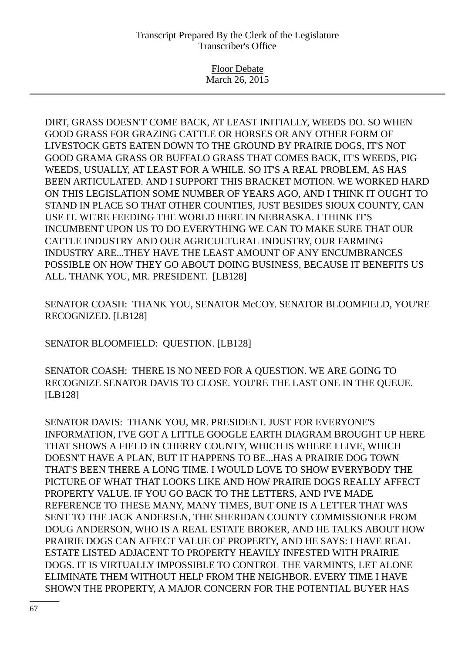Floor Debate March 26, 2015

DIRT, GRASS DOESN'T COME BACK, AT LEAST INITIALLY, WEEDS DO. SO WHEN GOOD GRASS FOR GRAZING CATTLE OR HORSES OR ANY OTHER FORM OF LIVESTOCK GETS EATEN DOWN TO THE GROUND BY PRAIRIE DOGS, IT'S NOT GOOD GRAMA GRASS OR BUFFALO GRASS THAT COMES BACK, IT'S WEEDS, PIG WEEDS, USUALLY, AT LEAST FOR A WHILE. SO IT'S A REAL PROBLEM, AS HAS BEEN ARTICULATED. AND I SUPPORT THIS BRACKET MOTION. WE WORKED HARD ON THIS LEGISLATION SOME NUMBER OF YEARS AGO, AND I THINK IT OUGHT TO STAND IN PLACE SO THAT OTHER COUNTIES, JUST BESIDES SIOUX COUNTY, CAN USE IT. WE'RE FEEDING THE WORLD HERE IN NEBRASKA. I THINK IT'S INCUMBENT UPON US TO DO EVERYTHING WE CAN TO MAKE SURE THAT OUR CATTLE INDUSTRY AND OUR AGRICULTURAL INDUSTRY, OUR FARMING INDUSTRY ARE...THEY HAVE THE LEAST AMOUNT OF ANY ENCUMBRANCES POSSIBLE ON HOW THEY GO ABOUT DOING BUSINESS, BECAUSE IT BENEFITS US ALL. THANK YOU, MR. PRESIDENT. [LB128]

SENATOR COASH: THANK YOU, SENATOR McCOY. SENATOR BLOOMFIELD, YOU'RE RECOGNIZED. [LB128]

SENATOR BLOOMFIELD: QUESTION. [LB128]

SENATOR COASH: THERE IS NO NEED FOR A QUESTION. WE ARE GOING TO RECOGNIZE SENATOR DAVIS TO CLOSE. YOU'RE THE LAST ONE IN THE QUEUE. [LB128]

SENATOR DAVIS: THANK YOU, MR. PRESIDENT. JUST FOR EVERYONE'S INFORMATION, I'VE GOT A LITTLE GOOGLE EARTH DIAGRAM BROUGHT UP HERE THAT SHOWS A FIELD IN CHERRY COUNTY, WHICH IS WHERE I LIVE, WHICH DOESN'T HAVE A PLAN, BUT IT HAPPENS TO BE...HAS A PRAIRIE DOG TOWN THAT'S BEEN THERE A LONG TIME. I WOULD LOVE TO SHOW EVERYBODY THE PICTURE OF WHAT THAT LOOKS LIKE AND HOW PRAIRIE DOGS REALLY AFFECT PROPERTY VALUE. IF YOU GO BACK TO THE LETTERS, AND I'VE MADE REFERENCE TO THESE MANY, MANY TIMES, BUT ONE IS A LETTER THAT WAS SENT TO THE JACK ANDERSEN, THE SHERIDAN COUNTY COMMISSIONER FROM DOUG ANDERSON, WHO IS A REAL ESTATE BROKER, AND HE TALKS ABOUT HOW PRAIRIE DOGS CAN AFFECT VALUE OF PROPERTY, AND HE SAYS: I HAVE REAL ESTATE LISTED ADJACENT TO PROPERTY HEAVILY INFESTED WITH PRAIRIE DOGS. IT IS VIRTUALLY IMPOSSIBLE TO CONTROL THE VARMINTS, LET ALONE ELIMINATE THEM WITHOUT HELP FROM THE NEIGHBOR. EVERY TIME I HAVE SHOWN THE PROPERTY, A MAJOR CONCERN FOR THE POTENTIAL BUYER HAS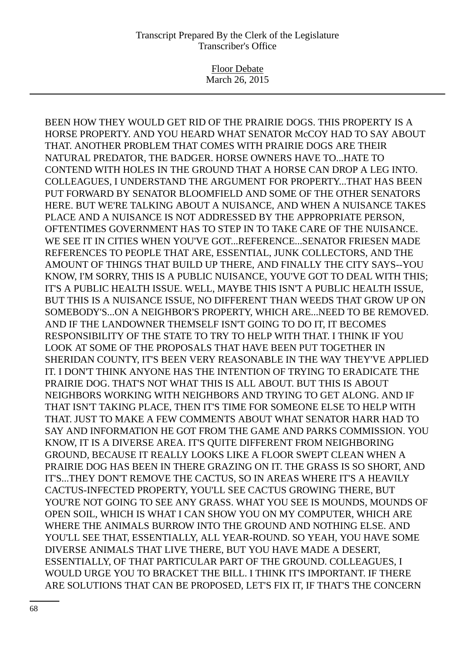Floor Debate March 26, 2015

BEEN HOW THEY WOULD GET RID OF THE PRAIRIE DOGS. THIS PROPERTY IS A HORSE PROPERTY. AND YOU HEARD WHAT SENATOR McCOY HAD TO SAY ABOUT THAT. ANOTHER PROBLEM THAT COMES WITH PRAIRIE DOGS ARE THEIR NATURAL PREDATOR, THE BADGER. HORSE OWNERS HAVE TO...HATE TO CONTEND WITH HOLES IN THE GROUND THAT A HORSE CAN DROP A LEG INTO. COLLEAGUES, I UNDERSTAND THE ARGUMENT FOR PROPERTY...THAT HAS BEEN PUT FORWARD BY SENATOR BLOOMFIELD AND SOME OF THE OTHER SENATORS HERE. BUT WE'RE TALKING ABOUT A NUISANCE, AND WHEN A NUISANCE TAKES PLACE AND A NUISANCE IS NOT ADDRESSED BY THE APPROPRIATE PERSON, OFTENTIMES GOVERNMENT HAS TO STEP IN TO TAKE CARE OF THE NUISANCE. WE SEE IT IN CITIES WHEN YOU'VE GOT...REFERENCE...SENATOR FRIESEN MADE REFERENCES TO PEOPLE THAT ARE, ESSENTIAL, JUNK COLLECTORS, AND THE AMOUNT OF THINGS THAT BUILD UP THERE, AND FINALLY THE CITY SAYS--YOU KNOW, I'M SORRY, THIS IS A PUBLIC NUISANCE, YOU'VE GOT TO DEAL WITH THIS; IT'S A PUBLIC HEALTH ISSUE. WELL, MAYBE THIS ISN'T A PUBLIC HEALTH ISSUE, BUT THIS IS A NUISANCE ISSUE, NO DIFFERENT THAN WEEDS THAT GROW UP ON SOMEBODY'S...ON A NEIGHBOR'S PROPERTY, WHICH ARE...NEED TO BE REMOVED. AND IF THE LANDOWNER THEMSELF ISN'T GOING TO DO IT, IT BECOMES RESPONSIBILITY OF THE STATE TO TRY TO HELP WITH THAT. I THINK IF YOU LOOK AT SOME OF THE PROPOSALS THAT HAVE BEEN PUT TOGETHER IN SHERIDAN COUNTY, IT'S BEEN VERY REASONABLE IN THE WAY THEY'VE APPLIED IT. I DON'T THINK ANYONE HAS THE INTENTION OF TRYING TO ERADICATE THE PRAIRIE DOG. THAT'S NOT WHAT THIS IS ALL ABOUT. BUT THIS IS ABOUT NEIGHBORS WORKING WITH NEIGHBORS AND TRYING TO GET ALONG. AND IF THAT ISN'T TAKING PLACE, THEN IT'S TIME FOR SOMEONE ELSE TO HELP WITH THAT. JUST TO MAKE A FEW COMMENTS ABOUT WHAT SENATOR HARR HAD TO SAY AND INFORMATION HE GOT FROM THE GAME AND PARKS COMMISSION. YOU KNOW, IT IS A DIVERSE AREA. IT'S QUITE DIFFERENT FROM NEIGHBORING GROUND, BECAUSE IT REALLY LOOKS LIKE A FLOOR SWEPT CLEAN WHEN A PRAIRIE DOG HAS BEEN IN THERE GRAZING ON IT. THE GRASS IS SO SHORT, AND IT'S...THEY DON'T REMOVE THE CACTUS, SO IN AREAS WHERE IT'S A HEAVILY CACTUS-INFECTED PROPERTY, YOU'LL SEE CACTUS GROWING THERE, BUT YOU'RE NOT GOING TO SEE ANY GRASS. WHAT YOU SEE IS MOUNDS, MOUNDS OF OPEN SOIL, WHICH IS WHAT I CAN SHOW YOU ON MY COMPUTER, WHICH ARE WHERE THE ANIMALS BURROW INTO THE GROUND AND NOTHING ELSE. AND YOU'LL SEE THAT, ESSENTIALLY, ALL YEAR-ROUND. SO YEAH, YOU HAVE SOME DIVERSE ANIMALS THAT LIVE THERE, BUT YOU HAVE MADE A DESERT, ESSENTIALLY, OF THAT PARTICULAR PART OF THE GROUND. COLLEAGUES, I WOULD URGE YOU TO BRACKET THE BILL. I THINK IT'S IMPORTANT. IF THERE ARE SOLUTIONS THAT CAN BE PROPOSED, LET'S FIX IT, IF THAT'S THE CONCERN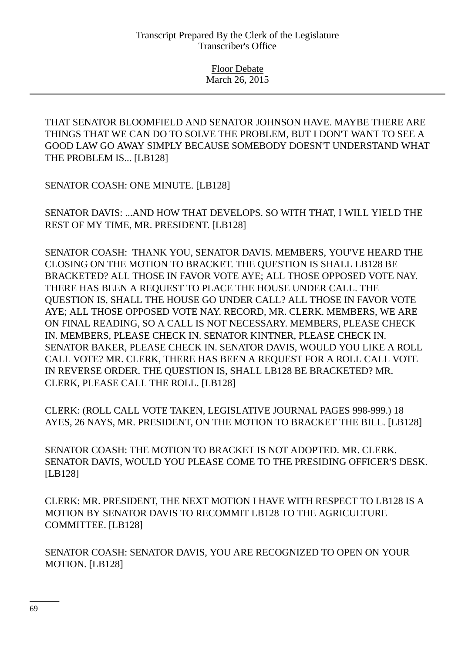THAT SENATOR BLOOMFIELD AND SENATOR JOHNSON HAVE. MAYBE THERE ARE THINGS THAT WE CAN DO TO SOLVE THE PROBLEM, BUT I DON'T WANT TO SEE A GOOD LAW GO AWAY SIMPLY BECAUSE SOMEBODY DOESN'T UNDERSTAND WHAT THE PROBLEM IS... [LB128]

SENATOR COASH: ONE MINUTE. [LB128]

SENATOR DAVIS: ...AND HOW THAT DEVELOPS. SO WITH THAT, I WILL YIELD THE REST OF MY TIME, MR. PRESIDENT. [LB128]

SENATOR COASH: THANK YOU, SENATOR DAVIS. MEMBERS, YOU'VE HEARD THE CLOSING ON THE MOTION TO BRACKET. THE QUESTION IS SHALL LB128 BE BRACKETED? ALL THOSE IN FAVOR VOTE AYE; ALL THOSE OPPOSED VOTE NAY. THERE HAS BEEN A REQUEST TO PLACE THE HOUSE UNDER CALL. THE QUESTION IS, SHALL THE HOUSE GO UNDER CALL? ALL THOSE IN FAVOR VOTE AYE; ALL THOSE OPPOSED VOTE NAY. RECORD, MR. CLERK. MEMBERS, WE ARE ON FINAL READING, SO A CALL IS NOT NECESSARY. MEMBERS, PLEASE CHECK IN. MEMBERS, PLEASE CHECK IN. SENATOR KINTNER, PLEASE CHECK IN. SENATOR BAKER, PLEASE CHECK IN. SENATOR DAVIS, WOULD YOU LIKE A ROLL CALL VOTE? MR. CLERK, THERE HAS BEEN A REQUEST FOR A ROLL CALL VOTE IN REVERSE ORDER. THE QUESTION IS, SHALL LB128 BE BRACKETED? MR. CLERK, PLEASE CALL THE ROLL. [LB128]

CLERK: (ROLL CALL VOTE TAKEN, LEGISLATIVE JOURNAL PAGES 998-999.) 18 AYES, 26 NAYS, MR. PRESIDENT, ON THE MOTION TO BRACKET THE BILL. [LB128]

SENATOR COASH: THE MOTION TO BRACKET IS NOT ADOPTED. MR. CLERK. SENATOR DAVIS, WOULD YOU PLEASE COME TO THE PRESIDING OFFICER'S DESK. [LB128]

CLERK: MR. PRESIDENT, THE NEXT MOTION I HAVE WITH RESPECT TO LB128 IS A MOTION BY SENATOR DAVIS TO RECOMMIT LB128 TO THE AGRICULTURE COMMITTEE. [LB128]

SENATOR COASH: SENATOR DAVIS, YOU ARE RECOGNIZED TO OPEN ON YOUR MOTION. [LB128]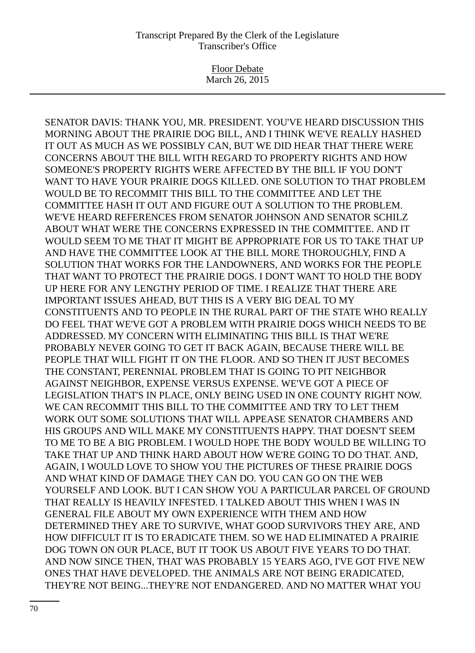Floor Debate March 26, 2015

SENATOR DAVIS: THANK YOU, MR. PRESIDENT. YOU'VE HEARD DISCUSSION THIS MORNING ABOUT THE PRAIRIE DOG BILL, AND I THINK WE'VE REALLY HASHED IT OUT AS MUCH AS WE POSSIBLY CAN, BUT WE DID HEAR THAT THERE WERE CONCERNS ABOUT THE BILL WITH REGARD TO PROPERTY RIGHTS AND HOW SOMEONE'S PROPERTY RIGHTS WERE AFFECTED BY THE BILL IF YOU DON'T WANT TO HAVE YOUR PRAIRIE DOGS KILLED. ONE SOLUTION TO THAT PROBLEM WOULD BE TO RECOMMIT THIS BILL TO THE COMMITTEE AND LET THE COMMITTEE HASH IT OUT AND FIGURE OUT A SOLUTION TO THE PROBLEM. WE'VE HEARD REFERENCES FROM SENATOR JOHNSON AND SENATOR SCHILZ ABOUT WHAT WERE THE CONCERNS EXPRESSED IN THE COMMITTEE. AND IT WOULD SEEM TO ME THAT IT MIGHT BE APPROPRIATE FOR US TO TAKE THAT UP AND HAVE THE COMMITTEE LOOK AT THE BILL MORE THOROUGHLY, FIND A SOLUTION THAT WORKS FOR THE LANDOWNERS, AND WORKS FOR THE PEOPLE THAT WANT TO PROTECT THE PRAIRIE DOGS. I DON'T WANT TO HOLD THE BODY UP HERE FOR ANY LENGTHY PERIOD OF TIME. I REALIZE THAT THERE ARE IMPORTANT ISSUES AHEAD, BUT THIS IS A VERY BIG DEAL TO MY CONSTITUENTS AND TO PEOPLE IN THE RURAL PART OF THE STATE WHO REALLY DO FEEL THAT WE'VE GOT A PROBLEM WITH PRAIRIE DOGS WHICH NEEDS TO BE ADDRESSED. MY CONCERN WITH ELIMINATING THIS BILL IS THAT WE'RE PROBABLY NEVER GOING TO GET IT BACK AGAIN, BECAUSE THERE WILL BE PEOPLE THAT WILL FIGHT IT ON THE FLOOR. AND SO THEN IT JUST BECOMES THE CONSTANT, PERENNIAL PROBLEM THAT IS GOING TO PIT NEIGHBOR AGAINST NEIGHBOR, EXPENSE VERSUS EXPENSE. WE'VE GOT A PIECE OF LEGISLATION THAT'S IN PLACE, ONLY BEING USED IN ONE COUNTY RIGHT NOW. WE CAN RECOMMIT THIS BILL TO THE COMMITTEE AND TRY TO LET THEM WORK OUT SOME SOLUTIONS THAT WILL APPEASE SENATOR CHAMBERS AND HIS GROUPS AND WILL MAKE MY CONSTITUENTS HAPPY. THAT DOESN'T SEEM TO ME TO BE A BIG PROBLEM. I WOULD HOPE THE BODY WOULD BE WILLING TO TAKE THAT UP AND THINK HARD ABOUT HOW WE'RE GOING TO DO THAT. AND, AGAIN, I WOULD LOVE TO SHOW YOU THE PICTURES OF THESE PRAIRIE DOGS AND WHAT KIND OF DAMAGE THEY CAN DO. YOU CAN GO ON THE WEB YOURSELF AND LOOK. BUT I CAN SHOW YOU A PARTICULAR PARCEL OF GROUND THAT REALLY IS HEAVILY INFESTED. I TALKED ABOUT THIS WHEN I WAS IN GENERAL FILE ABOUT MY OWN EXPERIENCE WITH THEM AND HOW DETERMINED THEY ARE TO SURVIVE, WHAT GOOD SURVIVORS THEY ARE, AND HOW DIFFICULT IT IS TO ERADICATE THEM. SO WE HAD ELIMINATED A PRAIRIE DOG TOWN ON OUR PLACE, BUT IT TOOK US ABOUT FIVE YEARS TO DO THAT. AND NOW SINCE THEN, THAT WAS PROBABLY 15 YEARS AGO, I'VE GOT FIVE NEW ONES THAT HAVE DEVELOPED. THE ANIMALS ARE NOT BEING ERADICATED, THEY'RE NOT BEING...THEY'RE NOT ENDANGERED. AND NO MATTER WHAT YOU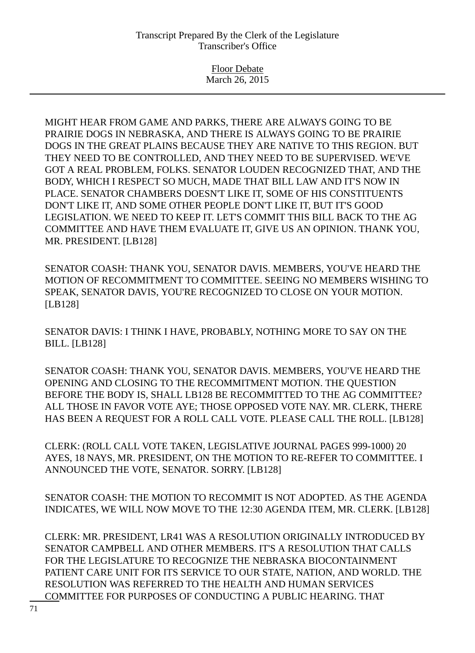Floor Debate March 26, 2015

MIGHT HEAR FROM GAME AND PARKS, THERE ARE ALWAYS GOING TO BE PRAIRIE DOGS IN NEBRASKA, AND THERE IS ALWAYS GOING TO BE PRAIRIE DOGS IN THE GREAT PLAINS BECAUSE THEY ARE NATIVE TO THIS REGION. BUT THEY NEED TO BE CONTROLLED, AND THEY NEED TO BE SUPERVISED. WE'VE GOT A REAL PROBLEM, FOLKS. SENATOR LOUDEN RECOGNIZED THAT, AND THE BODY, WHICH I RESPECT SO MUCH, MADE THAT BILL LAW AND IT'S NOW IN PLACE. SENATOR CHAMBERS DOESN'T LIKE IT, SOME OF HIS CONSTITUENTS DON'T LIKE IT, AND SOME OTHER PEOPLE DON'T LIKE IT, BUT IT'S GOOD LEGISLATION. WE NEED TO KEEP IT. LET'S COMMIT THIS BILL BACK TO THE AG COMMITTEE AND HAVE THEM EVALUATE IT, GIVE US AN OPINION. THANK YOU, MR. PRESIDENT. [LB128]

SENATOR COASH: THANK YOU, SENATOR DAVIS. MEMBERS, YOU'VE HEARD THE MOTION OF RECOMMITMENT TO COMMITTEE. SEEING NO MEMBERS WISHING TO SPEAK, SENATOR DAVIS, YOU'RE RECOGNIZED TO CLOSE ON YOUR MOTION. [LB128]

SENATOR DAVIS: I THINK I HAVE, PROBABLY, NOTHING MORE TO SAY ON THE BILL. [LB128]

SENATOR COASH: THANK YOU, SENATOR DAVIS. MEMBERS, YOU'VE HEARD THE OPENING AND CLOSING TO THE RECOMMITMENT MOTION. THE QUESTION BEFORE THE BODY IS, SHALL LB128 BE RECOMMITTED TO THE AG COMMITTEE? ALL THOSE IN FAVOR VOTE AYE; THOSE OPPOSED VOTE NAY. MR. CLERK, THERE HAS BEEN A REQUEST FOR A ROLL CALL VOTE. PLEASE CALL THE ROLL. [LB128]

CLERK: (ROLL CALL VOTE TAKEN, LEGISLATIVE JOURNAL PAGES 999-1000) 20 AYES, 18 NAYS, MR. PRESIDENT, ON THE MOTION TO RE-REFER TO COMMITTEE. I ANNOUNCED THE VOTE, SENATOR. SORRY. [LB128]

SENATOR COASH: THE MOTION TO RECOMMIT IS NOT ADOPTED. AS THE AGENDA INDICATES, WE WILL NOW MOVE TO THE 12:30 AGENDA ITEM, MR. CLERK. [LB128]

CLERK: MR. PRESIDENT, LR41 WAS A RESOLUTION ORIGINALLY INTRODUCED BY SENATOR CAMPBELL AND OTHER MEMBERS. IT'S A RESOLUTION THAT CALLS FOR THE LEGISLATURE TO RECOGNIZE THE NEBRASKA BIOCONTAINMENT PATIENT CARE UNIT FOR ITS SERVICE TO OUR STATE, NATION, AND WORLD. THE RESOLUTION WAS REFERRED TO THE HEALTH AND HUMAN SERVICES COMMITTEE FOR PURPOSES OF CONDUCTING A PUBLIC HEARING. THAT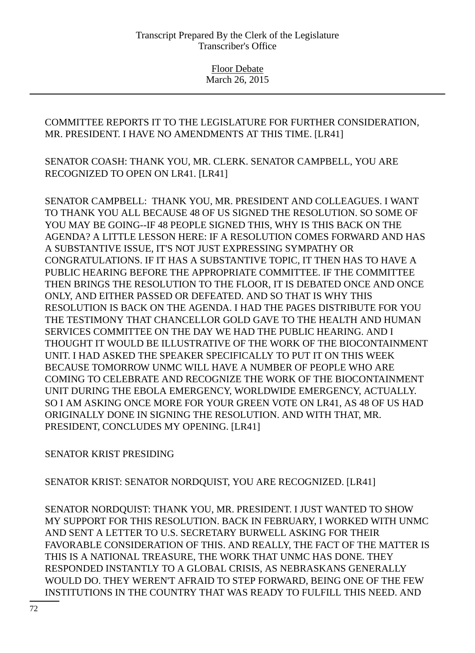COMMITTEE REPORTS IT TO THE LEGISLATURE FOR FURTHER CONSIDERATION, MR. PRESIDENT. I HAVE NO AMENDMENTS AT THIS TIME. [LR41]

SENATOR COASH: THANK YOU, MR. CLERK. SENATOR CAMPBELL, YOU ARE RECOGNIZED TO OPEN ON LR41. [LR41]

SENATOR CAMPBELL: THANK YOU, MR. PRESIDENT AND COLLEAGUES. I WANT TO THANK YOU ALL BECAUSE 48 OF US SIGNED THE RESOLUTION. SO SOME OF YOU MAY BE GOING--IF 48 PEOPLE SIGNED THIS, WHY IS THIS BACK ON THE AGENDA? A LITTLE LESSON HERE: IF A RESOLUTION COMES FORWARD AND HAS A SUBSTANTIVE ISSUE, IT'S NOT JUST EXPRESSING SYMPATHY OR CONGRATULATIONS. IF IT HAS A SUBSTANTIVE TOPIC, IT THEN HAS TO HAVE A PUBLIC HEARING BEFORE THE APPROPRIATE COMMITTEE. IF THE COMMITTEE THEN BRINGS THE RESOLUTION TO THE FLOOR, IT IS DEBATED ONCE AND ONCE ONLY, AND EITHER PASSED OR DEFEATED. AND SO THAT IS WHY THIS RESOLUTION IS BACK ON THE AGENDA. I HAD THE PAGES DISTRIBUTE FOR YOU THE TESTIMONY THAT CHANCELLOR GOLD GAVE TO THE HEALTH AND HUMAN SERVICES COMMITTEE ON THE DAY WE HAD THE PUBLIC HEARING. AND I THOUGHT IT WOULD BE ILLUSTRATIVE OF THE WORK OF THE BIOCONTAINMENT UNIT. I HAD ASKED THE SPEAKER SPECIFICALLY TO PUT IT ON THIS WEEK BECAUSE TOMORROW UNMC WILL HAVE A NUMBER OF PEOPLE WHO ARE COMING TO CELEBRATE AND RECOGNIZE THE WORK OF THE BIOCONTAINMENT UNIT DURING THE EBOLA EMERGENCY, WORLDWIDE EMERGENCY, ACTUALLY. SO I AM ASKING ONCE MORE FOR YOUR GREEN VOTE ON LR41, AS 48 OF US HAD ORIGINALLY DONE IN SIGNING THE RESOLUTION. AND WITH THAT, MR. PRESIDENT, CONCLUDES MY OPENING. [LR41]

# SENATOR KRIST PRESIDING

SENATOR KRIST: SENATOR NORDQUIST, YOU ARE RECOGNIZED. [LR41]

SENATOR NORDQUIST: THANK YOU, MR. PRESIDENT. I JUST WANTED TO SHOW MY SUPPORT FOR THIS RESOLUTION. BACK IN FEBRUARY, I WORKED WITH UNMC AND SENT A LETTER TO U.S. SECRETARY BURWELL ASKING FOR THEIR FAVORABLE CONSIDERATION OF THIS. AND REALLY, THE FACT OF THE MATTER IS THIS IS A NATIONAL TREASURE, THE WORK THAT UNMC HAS DONE. THEY RESPONDED INSTANTLY TO A GLOBAL CRISIS, AS NEBRASKANS GENERALLY WOULD DO. THEY WEREN'T AFRAID TO STEP FORWARD, BEING ONE OF THE FEW INSTITUTIONS IN THE COUNTRY THAT WAS READY TO FULFILL THIS NEED. AND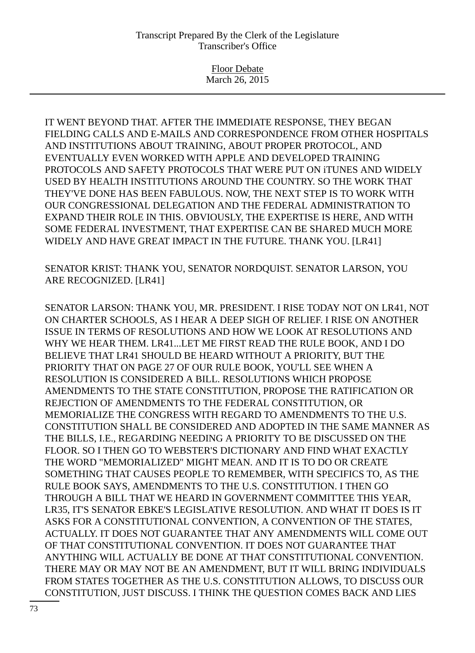## Transcript Prepared By the Clerk of the Legislature Transcriber's Office

Floor Debate March 26, 2015

IT WENT BEYOND THAT. AFTER THE IMMEDIATE RESPONSE, THEY BEGAN FIELDING CALLS AND E-MAILS AND CORRESPONDENCE FROM OTHER HOSPITALS AND INSTITUTIONS ABOUT TRAINING, ABOUT PROPER PROTOCOL, AND EVENTUALLY EVEN WORKED WITH APPLE AND DEVELOPED TRAINING PROTOCOLS AND SAFETY PROTOCOLS THAT WERE PUT ON iTUNES AND WIDELY USED BY HEALTH INSTITUTIONS AROUND THE COUNTRY. SO THE WORK THAT THEY'VE DONE HAS BEEN FABULOUS. NOW, THE NEXT STEP IS TO WORK WITH OUR CONGRESSIONAL DELEGATION AND THE FEDERAL ADMINISTRATION TO EXPAND THEIR ROLE IN THIS. OBVIOUSLY, THE EXPERTISE IS HERE, AND WITH SOME FEDERAL INVESTMENT, THAT EXPERTISE CAN BE SHARED MUCH MORE WIDELY AND HAVE GREAT IMPACT IN THE FUTURE. THANK YOU. [LR41]

SENATOR KRIST: THANK YOU, SENATOR NORDQUIST. SENATOR LARSON, YOU ARE RECOGNIZED. [LR41]

SENATOR LARSON: THANK YOU, MR. PRESIDENT. I RISE TODAY NOT ON LR41, NOT ON CHARTER SCHOOLS, AS I HEAR A DEEP SIGH OF RELIEF. I RISE ON ANOTHER ISSUE IN TERMS OF RESOLUTIONS AND HOW WE LOOK AT RESOLUTIONS AND WHY WE HEAR THEM. LR41...LET ME FIRST READ THE RULE BOOK, AND I DO BELIEVE THAT LR41 SHOULD BE HEARD WITHOUT A PRIORITY, BUT THE PRIORITY THAT ON PAGE 27 OF OUR RULE BOOK, YOU'LL SEE WHEN A RESOLUTION IS CONSIDERED A BILL. RESOLUTIONS WHICH PROPOSE AMENDMENTS TO THE STATE CONSTITUTION, PROPOSE THE RATIFICATION OR REJECTION OF AMENDMENTS TO THE FEDERAL CONSTITUTION, OR MEMORIALIZE THE CONGRESS WITH REGARD TO AMENDMENTS TO THE U.S. CONSTITUTION SHALL BE CONSIDERED AND ADOPTED IN THE SAME MANNER AS THE BILLS, I.E., REGARDING NEEDING A PRIORITY TO BE DISCUSSED ON THE FLOOR. SO I THEN GO TO WEBSTER'S DICTIONARY AND FIND WHAT EXACTLY THE WORD "MEMORIALIZED" MIGHT MEAN. AND IT IS TO DO OR CREATE SOMETHING THAT CAUSES PEOPLE TO REMEMBER, WITH SPECIFICS TO, AS THE RULE BOOK SAYS, AMENDMENTS TO THE U.S. CONSTITUTION. I THEN GO THROUGH A BILL THAT WE HEARD IN GOVERNMENT COMMITTEE THIS YEAR, LR35, IT'S SENATOR EBKE'S LEGISLATIVE RESOLUTION. AND WHAT IT DOES IS IT ASKS FOR A CONSTITUTIONAL CONVENTION, A CONVENTION OF THE STATES, ACTUALLY. IT DOES NOT GUARANTEE THAT ANY AMENDMENTS WILL COME OUT OF THAT CONSTITUTIONAL CONVENTION. IT DOES NOT GUARANTEE THAT ANYTHING WILL ACTUALLY BE DONE AT THAT CONSTITUTIONAL CONVENTION. THERE MAY OR MAY NOT BE AN AMENDMENT, BUT IT WILL BRING INDIVIDUALS FROM STATES TOGETHER AS THE U.S. CONSTITUTION ALLOWS, TO DISCUSS OUR CONSTITUTION, JUST DISCUSS. I THINK THE QUESTION COMES BACK AND LIES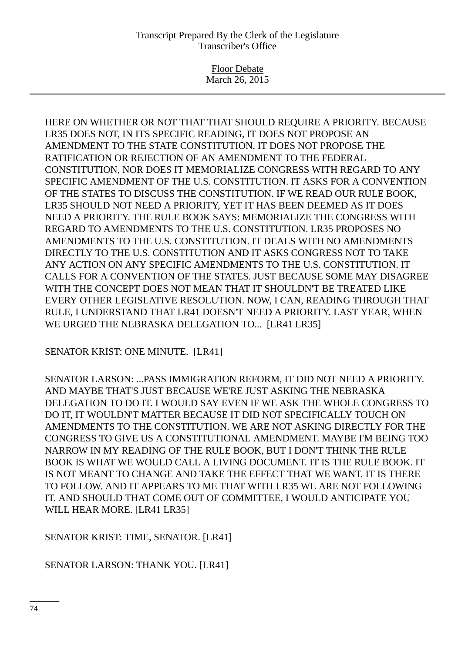## Transcript Prepared By the Clerk of the Legislature Transcriber's Office

Floor Debate March 26, 2015

HERE ON WHETHER OR NOT THAT THAT SHOULD REQUIRE A PRIORITY. BECAUSE LR35 DOES NOT, IN ITS SPECIFIC READING, IT DOES NOT PROPOSE AN AMENDMENT TO THE STATE CONSTITUTION, IT DOES NOT PROPOSE THE RATIFICATION OR REJECTION OF AN AMENDMENT TO THE FEDERAL CONSTITUTION, NOR DOES IT MEMORIALIZE CONGRESS WITH REGARD TO ANY SPECIFIC AMENDMENT OF THE U.S. CONSTITUTION. IT ASKS FOR A CONVENTION OF THE STATES TO DISCUSS THE CONSTITUTION. IF WE READ OUR RULE BOOK, LR35 SHOULD NOT NEED A PRIORITY, YET IT HAS BEEN DEEMED AS IT DOES NEED A PRIORITY. THE RULE BOOK SAYS: MEMORIALIZE THE CONGRESS WITH REGARD TO AMENDMENTS TO THE U.S. CONSTITUTION. LR35 PROPOSES NO AMENDMENTS TO THE U.S. CONSTITUTION. IT DEALS WITH NO AMENDMENTS DIRECTLY TO THE U.S. CONSTITUTION AND IT ASKS CONGRESS NOT TO TAKE ANY ACTION ON ANY SPECIFIC AMENDMENTS TO THE U.S. CONSTITUTION. IT CALLS FOR A CONVENTION OF THE STATES. JUST BECAUSE SOME MAY DISAGREE WITH THE CONCEPT DOES NOT MEAN THAT IT SHOULDN'T BE TREATED LIKE EVERY OTHER LEGISLATIVE RESOLUTION. NOW, I CAN, READING THROUGH THAT RULE, I UNDERSTAND THAT LR41 DOESN'T NEED A PRIORITY. LAST YEAR, WHEN WE URGED THE NEBRASKA DELEGATION TO... [LR41 LR35]

SENATOR KRIST: ONE MINUTE. [LR41]

SENATOR LARSON: ...PASS IMMIGRATION REFORM, IT DID NOT NEED A PRIORITY. AND MAYBE THAT'S JUST BECAUSE WE'RE JUST ASKING THE NEBRASKA DELEGATION TO DO IT. I WOULD SAY EVEN IF WE ASK THE WHOLE CONGRESS TO DO IT, IT WOULDN'T MATTER BECAUSE IT DID NOT SPECIFICALLY TOUCH ON AMENDMENTS TO THE CONSTITUTION. WE ARE NOT ASKING DIRECTLY FOR THE CONGRESS TO GIVE US A CONSTITUTIONAL AMENDMENT. MAYBE I'M BEING TOO NARROW IN MY READING OF THE RULE BOOK, BUT I DON'T THINK THE RULE BOOK IS WHAT WE WOULD CALL A LIVING DOCUMENT. IT IS THE RULE BOOK. IT IS NOT MEANT TO CHANGE AND TAKE THE EFFECT THAT WE WANT. IT IS THERE TO FOLLOW. AND IT APPEARS TO ME THAT WITH LR35 WE ARE NOT FOLLOWING IT. AND SHOULD THAT COME OUT OF COMMITTEE, I WOULD ANTICIPATE YOU WILL HEAR MORE. [LR41 LR35]

SENATOR KRIST: TIME, SENATOR. [LR41]

SENATOR LARSON: THANK YOU. [LR41]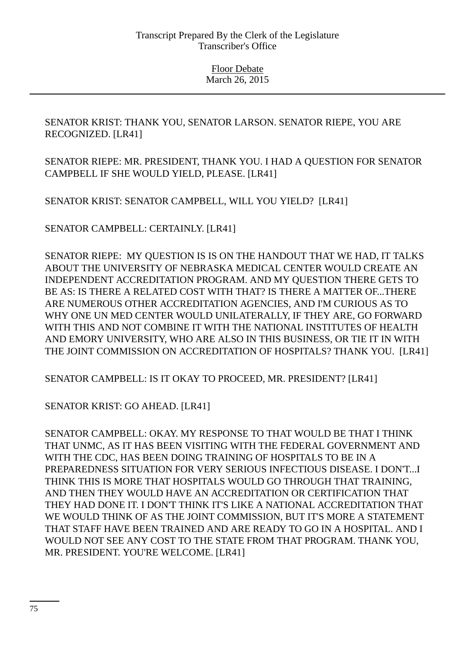Floor Debate March 26, 2015

SENATOR KRIST: THANK YOU, SENATOR LARSON. SENATOR RIEPE, YOU ARE RECOGNIZED. [LR41]

SENATOR RIEPE: MR. PRESIDENT, THANK YOU. I HAD A QUESTION FOR SENATOR CAMPBELL IF SHE WOULD YIELD, PLEASE. [LR41]

SENATOR KRIST: SENATOR CAMPBELL, WILL YOU YIELD? [LR41]

SENATOR CAMPBELL: CERTAINLY. [LR41]

SENATOR RIEPE: MY QUESTION IS IS ON THE HANDOUT THAT WE HAD, IT TALKS ABOUT THE UNIVERSITY OF NEBRASKA MEDICAL CENTER WOULD CREATE AN INDEPENDENT ACCREDITATION PROGRAM. AND MY QUESTION THERE GETS TO BE AS: IS THERE A RELATED COST WITH THAT? IS THERE A MATTER OF...THERE ARE NUMEROUS OTHER ACCREDITATION AGENCIES, AND I'M CURIOUS AS TO WHY ONE UN MED CENTER WOULD UNILATERALLY, IF THEY ARE, GO FORWARD WITH THIS AND NOT COMBINE IT WITH THE NATIONAL INSTITUTES OF HEALTH AND EMORY UNIVERSITY, WHO ARE ALSO IN THIS BUSINESS, OR TIE IT IN WITH THE JOINT COMMISSION ON ACCREDITATION OF HOSPITALS? THANK YOU. [LR41]

SENATOR CAMPBELL: IS IT OKAY TO PROCEED, MR. PRESIDENT? [LR41]

SENATOR KRIST: GO AHEAD. [LR41]

SENATOR CAMPBELL: OKAY. MY RESPONSE TO THAT WOULD BE THAT I THINK THAT UNMC, AS IT HAS BEEN VISITING WITH THE FEDERAL GOVERNMENT AND WITH THE CDC, HAS BEEN DOING TRAINING OF HOSPITALS TO BE IN A PREPAREDNESS SITUATION FOR VERY SERIOUS INFECTIOUS DISEASE. I DON'T...I THINK THIS IS MORE THAT HOSPITALS WOULD GO THROUGH THAT TRAINING, AND THEN THEY WOULD HAVE AN ACCREDITATION OR CERTIFICATION THAT THEY HAD DONE IT. I DON'T THINK IT'S LIKE A NATIONAL ACCREDITATION THAT WE WOULD THINK OF AS THE JOINT COMMISSION, BUT IT'S MORE A STATEMENT THAT STAFF HAVE BEEN TRAINED AND ARE READY TO GO IN A HOSPITAL. AND I WOULD NOT SEE ANY COST TO THE STATE FROM THAT PROGRAM. THANK YOU, MR. PRESIDENT. YOU'RE WELCOME. [LR41]